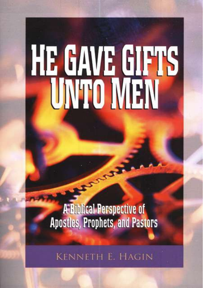# **HE GAVE GIFTS**

**A Biblical Perspective of Apostles, Prophets, and Pastors** 

min

Kenneth E. Hagin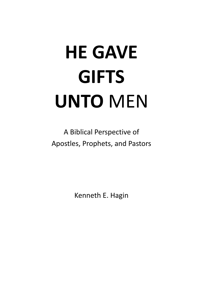# **HE GAVE GIFTS UNTO** MEN

A Biblical Perspective of Apostles, Prophets, and Pastors

Kenneth E. Hagin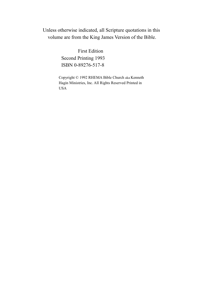#### Unless otherwise indicated, all Scripture quotations in this volume are from the King James Version of the Bible.

First Edition Second Printing 1993 ISBN 0-89276-517-8

Copyright © 1992 RHEMA Bible Church aka Kenneth Hagin Ministries, Inc. All Rights Reserved Printed in USA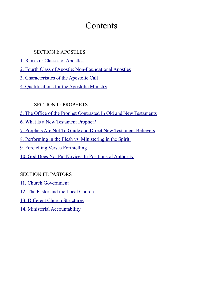## **Contents**

#### SECTION I: APOSTLES

- 1. [Ranks or Classes of Apostles](#page-6-0)
- 2. [Fourth Class of Apostle: Non-Foundational Apostles](#page-24-0)
- 3. [Characteristics of the Apostolic Call](#page-33-0)
- 4. [Qualifications for the Apostolic Ministry](#page-44-0)

#### SECTION II: PROPHETS

- [5. The Office of the Prophet Contrasted In Old and New Testaments](#page-56-0)
- [6. What Is a New Testament Prophet?](#page-65-0)
- 7. [Prophets Are Not To Guide and Direct New Testament Believers](#page-78-0)
- 8. [Performing in the Flesh vs. Ministering in the Spirit](#page-90-0)
- 9. [Foretelling Versus Forthtelling](#page-104-0)
- 10. [God Does Not Put Novices In Positions of Authority](#page-117-0)

#### SECTION III: PASTORS

- 11. [Church Government](#page-127-0)
- [12. The Pastor and the Local Church](#page-141-0)
- 13. [Different Church Structures](#page-159-0)
- 14. [Ministerial Accountability](#page-167-0)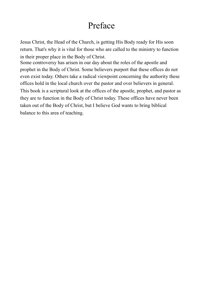# Preface

Jesus Christ, the Head of the Church, is getting His Body ready for His soon return. That's why it is vital for those who are called to the ministry to function in their proper place in the Body of Christ.

Some controversy has arisen in our day about the roles of the apostle and prophet in the Body of Christ. Some believers purport that these offices do not even exist today. Others take a radical viewpoint concerning the authority these offices hold in the local church over the pastor and over believers in general. This book is a scriptural look at the offices of the apostle, prophet, and pastor as they are to function in the Body of Christ today. These offices have never been taken out of the Body of Christ, but I believe God wants to bring biblical balance to this area of teaching.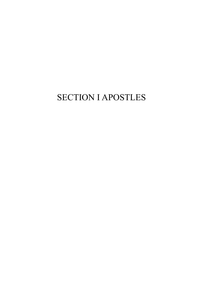# SECTION I APOSTLES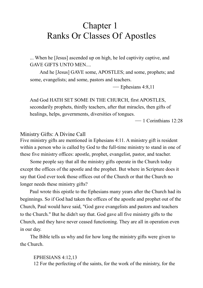## <span id="page-6-0"></span>Chapter 1 Ranks Or Classes Of Apostles

... When he [Jesus] ascended up on high, he led captivity captive, and GAVE GIFTS UNTO MEN....

And he [Jesus] GAVE some, APOSTLES; and some, prophets; and some, evangelists; and some, pastors and teachers.

— Ephesians 4:8,11

And God HATH SET SOME IN THE CHURCH, first APOSTLES, secondarily prophets, thirdly teachers, after that miracles, then gifts of healings, helps, governments, diversities of tongues.

— 1 Corinthians 12:28

#### Ministry Gifts: A Divine Call

Five ministry gifts are mentioned in Ephesians 4:11. A ministry gift is resident within a person who is called by God to the full-time ministry to stand in one of these five ministry offices: apostle, prophet, evangelist, pastor, and teacher.

Some people say that all the ministry gifts operate in the Church today except the offices of the apostle and the prophet. But where in Scripture does it say that God ever took those offices out of the Church or that the Church no longer needs these ministry gifts?

Paul wrote this epistle to the Ephesians many years after the Church had its beginnings. So if God had taken the offices of the apostle and prophet out of the Church, Paul would have said, "God gave evangelists and pastors and teachers to the Church." But he didn't say that. God gave all five ministry gifts to the Church, and they have never ceased functioning. They are all in operation even in our day.

The Bible tells us why and for how long the ministry gifts were given to the Church.

EPHESIANS 4:12,13

12 For the perfecting of the saints, for the work of the ministry, for the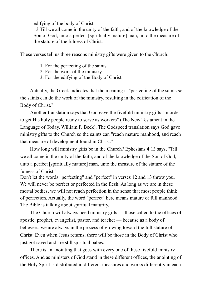edifying of the body of Christ:

13 Till we all come in the unity of the faith, and of the knowledge of the Son of God, unto a perfect [spiritually mature] man, unto the measure of the stature of the fulness of Christ.

These verses tell us three reasons ministry gifts were given to the Church:

- 1. For the perfecting of the saints.
- 2. For the work of the ministry.
- 3. For the edifying of the Body of Christ.

Actually, the Greek indicates that the meaning is "perfecting of the saints so the saints can do the work of the ministry, resulting in the edification of the Body of Christ."

Another translation says that God gave the fivefold ministry gifts "in order to get His holy people ready to serve as workers" (The New Testament in the Language of Today, William F. Beck). The Godspeed translation says God gave ministry gifts to the Church so the saints can "reach mature manhood, and reach that measure of development found in Christ."

How long will ministry gifts be in the Church? Ephesians 4:13 says, "Till we all come in the unity of the faith, and of the knowledge of the Son of God, unto a perfect [spiritually mature] man, unto the measure of the stature of the fulness of Christ."

Don't let the words "perfecting" and "perfect" in verses 12 and 13 throw you. We will never be perfect or perfected in the flesh. As long as we are in these mortal bodies, we will not reach perfection in the sense that most people think of perfection. Actually, the word "perfect" here means mature or full manhood. The Bible is talking about spiritual maturity.

The Church will always need ministry gifts — those called to the offices of apostle, prophet, evangelist, pastor, and teacher — because as a body of believers, we are always in the process of growing toward the full stature of Christ. Even when Jesus returns, there will be those in the Body of Christ who just got saved and are still spiritual babes.

There is an anointing that goes with every one of these fivefold ministry offices. And as ministers of God stand in these different offices, the anointing of the Holy Spirit is distributed in different measures and works differently in each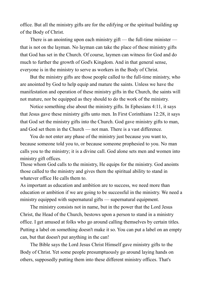office. But all the ministry gifts are for the edifying or the spiritual building up of the Body of Christ.

There is an anointing upon each ministry gift — the full-time minister that is not on the layman. No layman can take the place of these ministry gifts that God has set in the Church. Of course, laymen can witness for God and do much to further the growth of God's Kingdom. And in that general sense, everyone is in the ministry to serve as workers in the Body of Christ.

But the ministry gifts are those people called to the full-time ministry, who are anointed by God to help equip and mature the saints. Unless we have the manifestation and operation of these ministry gifts in the Church, the saints will not mature, nor be equipped as they should to do the work of the ministry.

Notice something else about the ministry gifts. In Ephesians 4:11, it says that Jesus gave these ministry gifts unto men. In First Corinthians 12:28, it says that God set the ministry gifts into the Church. God gave ministry gifts to man, and God set them in the Church — not man. There is a vast difference.

You do not enter any phase of the ministry just because you want to, because someone told you to, or because someone prophesied to you. No man calls you to the ministry; it is a divine call. God alone sets men and women into ministry gift offices.

Those whom God calls to the ministry, He equips for the ministry. God anoints those called to the ministry and gives them the spiritual ability to stand in whatever office He calls them to.

As important as education and ambition are to success, we need more than education or ambition if we are going to be successful in the ministry. We need a ministry equipped with supernatural gifts — supernatural equipment.

The ministry consists not in name, but in the power that the Lord Jesus Christ, the Head of the Church, bestows upon a person to stand in a ministry office. I get amused at folks who go around calling themselves by certain titles. Putting a label on something doesn't make it so. You can put a label on an empty can, but that doesn't put anything in the can!

The Bible says the Lord Jesus Christ Himself gave ministry gifts to the Body of Christ. Yet some people presumptuously go around laying hands on others, supposedly putting them into these different ministry offices. That's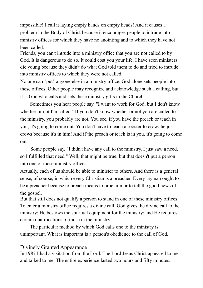impossible! I call it laying empty hands on empty heads! And it causes a problem in the Body of Christ because it encourages people to intrude into ministry offices for which they have no anointing and to which they have not been called.

Friends, you can't intrude into a ministry office that you are not called to by God. It is dangerous to do so. It could cost you your life. I have seen ministers die young because they didn't do what God told them to do and tried to intrude into ministry offices to which they were not called.

No one can "put" anyone else in a ministry office. God alone sets people into these offices. Other people may recognize and acknowledge such a calling, but it is God who calls and sets these ministry gifts in the Church.

Sometimes you hear people say, "I want to work for God, but I don't know whether or not I'm called." If you don't know whether or not you are called to the ministry, you probably are not. You see, if you have the preach or teach in you, it's going to come out. You don't have to teach a rooster to crow; he just crows because it's in him! And if the preach or teach is in you, it's going to come out.

Some people say, "I didn't have any call to the ministry. I just saw a need, so I fulfilled that need." Well, that might be true, but that doesn't put a person into one of these ministry offices.

Actually, each of us should be able to minister to others. And there is a general sense, of course, in which every Christian is a preacher. Every layman ought to be a preacher because to preach means to proclaim or to tell the good news of the gospel.

But that still does not qualify a person to stand in one of these ministry offices. To enter a ministry office requires a divine call. God gives the divine call to the ministry; He bestows the spiritual equipment for the ministry; and He requires certain qualifications of those in the ministry.

The particular method by which God calls one to the ministry is unimportant. What is important is a person's obedience to the call of God.

#### Divinely Granted Appearance

In 1987 I had a visitation from the Lord. The Lord Jesus Christ appeared to me and talked to me. The entire experience lasted two hours and fifty minutes.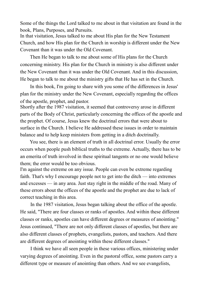Some of the things the Lord talked to me about in that visitation are found in the book, Plans, Purposes, and Pursuits.

In that visitation, Jesus talked to me about His plan for the New Testament Church, and how His plan for the Church in worship is different under the New Covenant than it was under the Old Covenant.

Then He began to talk to me about some of His plans for the Church concerning ministry. His plan for the Church in ministry is also different under the New Covenant than it was under the Old Covenant. And in this discussion, He began to talk to me about the ministry gifts that He has set in the Church.

In this book, I'm going to share with you some of the differences in Jesus' plan for the ministry under the New Covenant, especially regarding the offices of the apostle, prophet, and pastor.

Shortly after the 1987 visitation, it seemed that controversy arose in different parts of the Body of Christ, particularly concerning the offices of the apostle and the prophet. Of course, Jesus knew the doctrinal errors that were about to surface in the Church. I believe He addressed these issues in order to maintain balance and to help keep ministers from getting in a ditch doctrinally.

You see, there is an element of truth in all doctrinal error. Usually the error occurs when people push biblical truths to the extreme. Actually, there has to be an emerita of truth involved in these spiritual tangents or no one would believe them; the error would be too obvious.

I'm against the extreme on any issue. People can even be extreme regarding faith. That's why I encourage people not to get into the ditch — into extremes and excesses — in any area. Just stay right in the middle of the road. Many of these errors about the offices of the apostle and the prophet are due to lack of correct teaching in this area.

In the 1987 visitation, Jesus began talking about the office of the apostle. He said, "There are four classes or ranks of apostles. And within these different classes or ranks, apostles can have different degrees or measures of anointing." Jesus continued, "There are not only different classes of apostles, but there are also different classes of prophets, evangelists, pastors, and teachers. And there are different degrees of anointing within these different classes."

I think we have all seen people in these various offices, ministering under varying degrees of anointing. Even in the pastoral office, some pastors carry a different type or measure of anointing than others. And we see evangelists,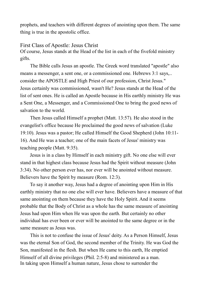prophets, and teachers with different degrees of anointing upon them. The same thing is true in the apostolic office.

#### First Class of Apostle: Jesus Christ

Of course, Jesus stands at the Head of the list in each of the fivefold ministry gifts.

The Bible calls Jesus an apostle. The Greek word translated "apostle" also means a messenger, a sent one, or a commissioned one. Hebrews 3:1 says,.. consider the APOSTLE and High Priest of our profession, Christ Jesus." Jesus certainly was commissioned, wasn't He? Jesus stands at the Head of the list of sent ones. He is called an Apostle because in His earthly ministry He was a Sent One, a Messenger, and a Commissioned One to bring the good news of salvation to the world.

Then Jesus called Himself a prophet (Matt. 13:57). He also stood in the evangelist's office because He proclaimed the good news of salvation (Luke 19:10). Jesus was a pastor; He called Himself the Good Shepherd (John 10:11- 16). And He was a teacher; one of the main facets of Jesus' ministry was teaching people (Matt. 9:35).

Jesus is in a class by Himself in each ministry gift. No one else will ever stand in that highest class because Jesus had the Spirit without measure (John 3:34). No other person ever has, nor ever will be anointed without measure. Believers have the Spirit by measure (Rom. 12:3).

To say it another way, Jesus had a degree of anointing upon Him in His earthly ministry that no one else will ever have. Believers have a measure of that same anointing on them because they have the Holy Spirit. And it seems probable that the Body of Christ as a whole has the same measure of anointing Jesus had upon Him when He was upon the earth. But certainly no other individual has ever been or ever will be anointed to the same degree or in the same measure as Jesus was.

This is not to confuse the issue of Jesus' deity. As a Person Himself, Jesus was the eternal Son of God, the second member of the Trinity. He was God the Son, manifested in the flesh. But when He came to this earth, He emptied Himself of all divine privileges (Phil. 2:5-8) and ministered as a man. In taking upon Himself a human nature, Jesus chose to surrender the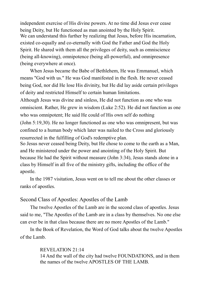independent exercise of His divine powers. At no time did Jesus ever cease being Deity, but He functioned as man anointed by the Holy Spirit. We can understand this further by realizing that Jesus, before His incarnation, existed co-equally and co-eternally with God the Father and God the Holy Spirit. He shared with them all the privileges of deity, such as omniscience (being all-knowing), omnipotence (being all-powerful), and omnipresence (being everywhere at once).

When Jesus became the Babe of Bethlehem, He was Emmanuel, which means "God with us." He was God manifested in the flesh. He never ceased being God, nor did He lose His divinity, but He did lay aside certain privileges of deity and restricted Himself to certain human limitations.

Although Jesus was divine and sinless, He did not function as one who was omniscient. Rather, He grew in wisdom (Luke 2:52). He did not function as one who was omnipotent; He said He could of His own self do nothing (John 5:19,30). He no longer functioned as one who was omnipresent, but was confined to a human body which later was nailed to the Cross and gloriously resurrected in the fulfilling of God's redemptive plan.

So Jesus never ceased being Deity, but He chose to come to the earth as a Man, and He ministered under the power and anointing of the Holy Spirit. But because He had the Spirit without measure (John 3:34), Jesus stands alone in a class by Himself in all five of the ministry gifts, including the office of the apostle.

In the 1987 visitation, Jesus went on to tell me about the other classes or ranks of apostles.

#### Second Class of Apostles: Apostles of the Lamb

The twelve Apostles of the Lamb are in the second class of apostles. Jesus said to me, "The Apostles of the Lamb are in a class by themselves. No one else can ever be in that class because there are no more Apostles of the Lamb."

In the Book of Revelation, the Word of God talks about the twelve Apostles of the Lamb.

REVELATION 21:14

14 And the wall of the city had twelve FOUNDATIONS, and in them the names of the twelve APOSTLES OF THE LAMB.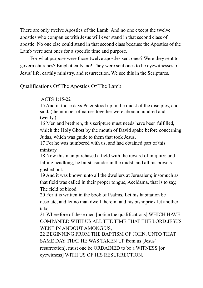There are only twelve Apostles of the Lamb. And no one except the twelve apostles who companies with Jesus will ever stand in that second class of apostle. No one else could stand in that second class because the Apostles of the Lamb were sent ones for a specific time and purpose.

For what purpose were those twelve apostles sent ones? Were they sent to govern churches? Emphatically, no! They were sent ones to be eyewitnesses of Jesus' life, earthly ministry, and resurrection. We see this in the Scriptures.

#### Qualifications Of The Apostles Of The Lamb

#### ACTS 1:15-22

15 And in those days Peter stood up in the midst of the disciples, and said, (the number of names together were about a hundred and twenty,)

16 Men and brethren, this scripture must needs have been fulfilled, which the Holy Ghost by the mouth of David spake before concerning

Judas, which was guide to them that took Jesus.

17 For he was numbered with us, and had obtained part of this ministry.

18 Now this man purchased a field with the reward of iniquity; and falling headlong, he burst asunder in the midst, and all his bowels gushed out.

19 And it was known unto all the dwellers at Jerusalem; insomuch as that field was called in their proper tongue, Aceldama, that is to say, The field of blood.

20 For it is written in the book of Psalms, Let his habitation be desolate, and let no man dwell therein: and his bishoprick let another take.

21 Wherefore of these men [notice the qualifications] WHICH HAVE COMPANIED WITH US ALL THE TIME THAT THE LORD JESUS WENT IN ANDOUT AMONG US.

22 BEGINNING FROM THE BAPTISM OF JOHN, UNTO THAT SAME DAY THAT HE WAS TAKEN UP from us [Jesus' resurrection], must one be ORDAINED to be a WITNESS [or eyewitness] WITH US OF HIS RESURRECTION.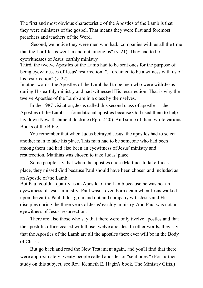The first and most obvious characteristic of the Apostles of the Lamb is that they were ministers of the gospel. That means they were first and foremost preachers and teachers of the Word.

Second, we notice they were men who had.. companies with us all the time that the Lord Jesus went in and out among us" (v. 21). They had to be eyewitnesses of Jesus' earthly ministry.

Third, the twelve Apostles of the Lamb had to be sent ones for the purpose of being eyewitnesses of Jesus' resurrection: "... ordained to be a witness with us of his resurrection" (v. 22).

In other words, the Apostles of the Lamb had to be men who were with Jesus during His earthly ministry and had witnessed His resurrection. That is why the twelve Apostles of the Lamb are in a class by themselves.

In the 1987 visitation, Jesus called this second class of apostle — the Apostles of the Lamb — foundational apostles because God used them to help lay down New Testament doctrine (Eph. 2:20). And some of them wrote various Books of the Bible.

You remember that when Judas betrayed Jesus, the apostles had to select another man to take his place. This man had to be someone who had been among them and had also been an eyewitness of Jesus' ministry and resurrection. Matthias was chosen to take Judas' place.

Some people say that when the apostles chose Matthias to take Judas' place, they missed God because Paul should have been chosen and included as an Apostle of the Lamb.

But Paul couldn't qualify as an Apostle of the Lamb because he was not an eyewitness of Jesus' ministry; Paul wasn't even born again when Jesus walked upon the earth. Paul didn't go in and out and company with Jesus and His disciples during the three years of Jesus' earthly ministry. And Paul was not an eyewitness of Jesus' resurrection.

There are also those who say that there were only twelve apostles and that the apostolic office ceased with those twelve apostles. In other words, they say that the Apostles of the Lamb are all the apostles there ever will be in the Body of Christ.

But go back and read the New Testament again, and you'll find that there were approximately twenty people called apostles or "sent ones." (For further study on this subject, see Rev. Kenneth E. Hagin's book, The Ministry Gifts.)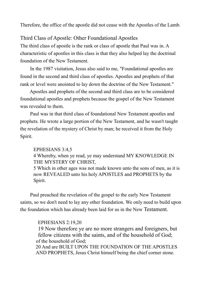Therefore, the office of the apostle did not cease with the Apostles of the Lamb.

#### Third Class of Apostle: Other Foundational Apostles

The third class of apostle is the rank or class of apostle that Paul was in. A characteristic of apostles in this class is that they also helped lay the doctrinal foundation of the New Testament.

In the 1987 visitation, Jesus also said to me, "Foundational apostles are found in the second and third class of apostles. Apostles and prophets of that rank or level were anointed to lay down the doctrine of the New Testament."

Apostles and prophets of the second and third class are to be considered foundational apostles and prophets because the gospel of the New Testament was revealed to them.

Paul was in that third class of foundational New Testament apostles and prophets. He wrote a large portion of the New Testament, and he wasn't taught the revelation of the mystery of Christ by man; he received it from the Holy Spirit.

#### EPHESIANS 3:4,5

4 Whereby, when ye read, ye may understand MY KNOWLEDGE IN THE MYSTERY OF CHRIST,

5 Which in other ages was not made known unto the sons of men, as it is now REVEALED unto his holy APOSTLES and PROPHETS by the Spirit.

Paul preached the revelation of the gospel to the early New Testament saints, so we don't need to lay any other foundation. We only need to build upon the foundation which has already been laid for us in the New Testament.

#### EPHESIANS 2:19,20

19 Now therefore ye are no more strangers and foreigners, but fellow citizens with the saints, and of the household of God; of the household of God;

20 And are BUILT UPON THE FOUNDATION OF THE APOSTLES AND PROPHETS, Jesus Christ himself being the chief corner stone.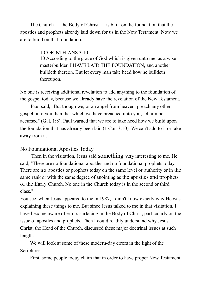The Church — the Body of Christ — is built on the foundation that the apostles and prophets already laid down for us in the New Testament. Now we are to build on that foundation.

> 1 CORINTHIANS 3:10 10 According to the grace of God which is given unto me, as a wise masterbuilder, I HAVE LAID THE FOUNDATION, and another buildeth thereon. But let every man take heed how he buildeth thereupon.

No one is receiving additional revelation to add anything to the foundation of the gospel today, because we already have the revelation of the New Testament.

Paul said, "But though we, or an angel from heaven, preach any other gospel unto you than that which we have preached unto you, let him be accursed" (Gal. 1:8). Paul warned that we are to take heed how we build upon the foundation that has already been laid (1 Cor. 3:10). We can't add to it or take away from it.

No Foundational Apostles Today

Then in the visitation, Jesus said something very interesting to me. He said, "There are no foundational apostles and no foundational prophets today. There are no apostles or prophets today on the same level or authority or in the same rank or with the same degree of anointing as the apostles and prophets of the Early Church. No one in the Church today is in the second or third class."

You see, when Jesus appeared to me in 1987, I didn't know exactly why He was explaining these things to me. But since Jesus talked to me in that visitation, I have become aware of errors surfacing in the Body of Christ, particularly on the issue of apostles and prophets. Then I could readily understand why Jesus Christ, the Head of the Church, discussed these major doctrinal issues at such length.

We will look at some of these modern-day errors in the light of the Scriptures.

First, some people today claim that in order to have proper New Testament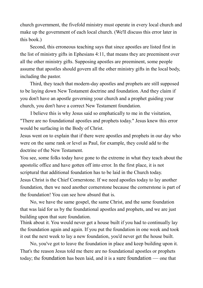church government, the fivefold ministry must operate in every local church and make up the government of each local church. (We'll discuss this error later in this book.)

Second, this erroneous teaching says that since apostles are listed first in the list of ministry gifts in Ephesians 4:11, that means they are preeminent over all the other ministry gifts. Supposing apostles are preeminent, some people assume that apostles should govern all the other ministry gifts in the local body, including the pastor.

Third, they teach that modern-day apostles and prophets are still supposed to be laying down New Testament doctrine and foundation. And they claim if you don't have an apostle governing your church and a prophet guiding your church, you don't have a correct New Testament foundation.

I believe this is why Jesus said so emphatically to me in the visitation, "There are no foundational apostles and prophets today." Jesus knew this error would be surfacing in the Body of Christ.

Jesus went on to explain that if there were apostles and prophets in our day who were on the same rank or level as Paul, for example, they could add to the doctrine of the New Testament.

You see, some folks today have gone to the extreme in what they teach about the apostolic office and have gotten off into error. In the first place, it is not scriptural that additional foundation has to be laid in the Church today. Jesus Christ is the Chief Cornerstone. If we need apostles today to lay another foundation, then we need another cornerstone because the cornerstone is part of the foundation! You can see how absurd that is.

No, we have the same gospel, the same Christ, and the same foundation that was laid for us by the foundational apostles and prophets, and we are just building upon that sure foundation.

Think about it. You would never get a house built if you had to continually lay the foundation again and again. If you put the foundation in one week and took it out the next week to lay a new foundation, you'd never get the house built.

No, you've got to leave the foundation in place and keep building upon it. That's the reason Jesus told me there are no foundational apostles or prophets today; the foundation has been laid, and it is a sure foundation — one that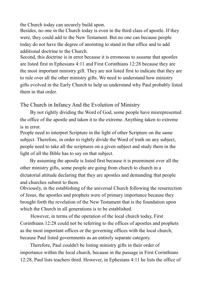the Church today can securely build upon.

Besides, no one in the Church today is even in the third class of apostle. If they were, they could add to the New Testament. But no one can because people today do not have the degree of anointing to stand in that office and to add additional doctrine to the Church.

Second, this doctrine is in error because it is erroneous to assume that apostles are listed first in Ephesians 4:11 and First Corinthians 12:28 because they are the most important ministry gift. They are not listed first to indicate that they are to rule over all the other ministry gifts. We need to understand how ministry gifts evolved in the Early Church to help us understand why Paul probably listed them in that order.

The Church in Infancy And the Evolution of Ministry

By not rightly dividing the Word of God, some people have misrepresented the office of the apostle and taken it to the extreme. Anything taken to extreme is in error.

People need to interpret Scripture in the light of other Scripture on the same subject. Therefore, in order to rightly divide the Word of truth on any subject, people need to take all the scriptures on a given subject and study them in the light of all the Bible has to say on that subject.

By assuming the apostle is listed first because it is preeminent over all the other ministry gifts, some people are going from church to church in a dictatorial attitude declaring that they are apostles and demanding that people and churches submit to them.

Obviously, in the establishing of the universal Church following the resurrection of Jesus, the apostles and prophets were of primary importance because they brought forth the revelation of the New Testament that is the foundation upon which the Church in all generations is to be established.

However, in terms of the operation of the local church today, First Corinthians 12:28 could not be referring to the offices of apostles and prophets as the most important offices or the governing offices with the local church, because Paul listed governments as an entirely separate category.

Therefore, Paul couldn't be listing ministry gifts in their order of importance within the local church, because in the passage in First Corinthians 12:28, Paul lists teachers third. However, in Ephesians 4:11 he lists the office of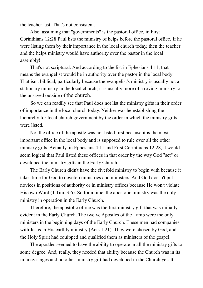the teacher last. That's not consistent.

Also, assuming that "governments" is the pastoral office, in First Corinthians 12:28 Paul lists the ministry of helps before the pastoral office. If he were listing them by their importance in the local church today, then the teacher and the helps ministry would have authority over the pastor in the local assembly!

That's not scriptural. And according to the list in Ephesians 4:11, that means the evangelist would be in authority over the pastor in the local body! That isn't biblical, particularly because the evangelist's ministry is usually not a stationary ministry in the local church; it is usually more of a roving ministry to the unsaved outside of the church.

So we can readily see that Paul does not list the ministry gifts in their order of importance in the local church today. Neither was he establishing the hierarchy for local church government by the order in which the ministry gifts were listed.

No, the office of the apostle was not listed first because it is the most important office in the local body and is supposed to rule over all the other ministry gifts. Actually, in Ephesians 4:11 and First Corinthians 12:28, it would seem logical that Paul listed these offices in that order by the way God "set" or developed the ministry gifts in the Early Church.

The Early Church didn't have the fivefold ministry to begin with because it takes time for God to develop ministries and ministers. And God doesn't put novices in positions of authority or in ministry offices because He won't violate His own Word (1 Tim. 3:6). So for a time, the apostolic ministry was the only ministry in operation in the Early Church.

Therefore, the apostolic office was the first ministry gift that was initially evident in the Early Church. The twelve Apostles of the Lamb were the only ministers in the beginning days of the Early Church. These men had companies with Jesus in His earthly ministry (Acts 1:21). They were chosen by God, and the Holy Spirit had equipped and qualified them as ministers of the gospel.

The apostles seemed to have the ability to operate in all the ministry gifts to some degree. And, really, they needed that ability because the Church was in its infancy stages and no other ministry gift had developed in the Church yet. It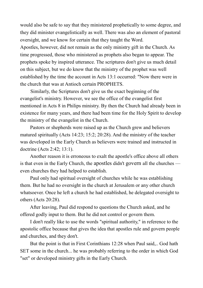would also be safe to say that they ministered prophetically to some degree, and they did minister evangelistically as well. There was also an element of pastoral oversight, and we know for certain that they taught the Word.

Apostles, however, did not remain as the only ministry gift in the Church. As time progressed, those who ministered as prophets also began to appear. The prophets spoke by inspired utterance. The scriptures don't give us much detail on this subject, but we do know that the ministry of the prophet was well established by the time the account in Acts 13:1 occurred: "Now there were in the church that was at Antioch certain PROPHETS.

Similarly, the Scriptures don't give us the exact beginning of the evangelist's ministry. However, we see the office of the evangelist first mentioned in Acts 8 in Philips ministry. By then the Church had already been in existence for many years, and there had been time for the Holy Spirit to develop the ministry of the evangelist in the Church.

Pastors or shepherds were raised up as the Church grew and believers matured spiritually (Acts 14:23; 15:2; 20:28). And the ministry of the teacher was developed in the Early Church as believers were trained and instructed in doctrine (Acts 2:42; 13:1).

Another reason it is erroneous to exalt the apostle's office above all others is that even in the Early Church, the apostles didn't govern all the churches even churches they had helped to establish.

Paul only had spiritual oversight of churches while he was establishing them. But he had no oversight in the church at Jerusalem or any other church whatsoever. Once he left a church he had established, he delegated oversight to others (Acts 20:28).

After leaving, Paul did respond to questions the Church asked, and he offered godly input to them. But he did not control or govern them.

I don't really like to use the words "spiritual authority," in reference to the apostolic office because that gives the idea that apostles rule and govern people and churches, and they don't.

But the point is that in First Corinthians 12:28 when Paul said,.. God hath SET some in the church... he was probably referring to the order in which God "set" or developed ministry gifts in the Early Church.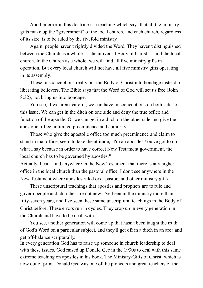Another error in this doctrine is a teaching which says that all the ministry gifts make up the "government" of the local church, and each church, regardless of its size, is to be ruled by the fivefold ministry.

Again, people haven't rightly divided the Word. They haven't distinguished between the Church as a whole — the universal Body of Christ — and the local church. In the Church as a whole, we will find all five ministry gifts in operation. But every local church will not have all five ministry gifts operating in its assembly.

These misconceptions really put the Body of Christ into bondage instead of liberating believers. The Bible says that the Word of God will set us free (John 8:32), not bring us into bondage.

You see, if we aren't careful, we can have misconceptions on both sides of this issue. We can get in the ditch on one side and deny the true office and function of the apostle. Or we can get in a ditch on the other side and give the apostolic office unlimited preeminence and authority.

Those who give the apostolic office too much preeminence and claim to stand in that office, seem to take the attitude, "I'm an apostle! You've got to do what I say because in order to have correct New Testament government, the local church has to be governed by apostles."

Actually, I can't find anywhere in the New Testament that there is any higher office in the local church than the pastoral office. I don't see anywhere in the New Testament where apostles ruled over pastors and other ministry gifts.

These unscriptural teachings that apostles and prophets are to rule and govern people and churches are not new. I've been in the ministry more than fifty-seven years, and I've seen these same unscriptural teachings in the Body of Christ before. These errors run in cycles. They crop up in every generation in the Church and have to be dealt with.

You see, another generation will come up that hasn't been taught the truth of God's Word on a particular subject, and they'll get off in a ditch in an area and get off-balance scripturally.

In every generation God has to raise up someone in church leadership to deal with these issues. God raised up Donald Gee in the 1930s to deal with this same extreme teaching on apostles in his book, The Ministry-Gifts of Christ, which is now out of print. Donald Gee was one of the pioneers and great teachers of the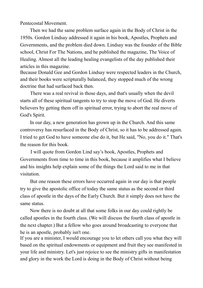Pentecostal Movement.

Then we had the same problem surface again in the Body of Christ in the 1950s. Gordon Lindsay addressed it again in his book, Apostles, Prophets and Governments, and the problem died down. Lindsay was the founder of the Bible school, Christ For The Nations, and he published the magazine, The Voice of Healing. Almost all the leading healing evangelists of the day published their articles in this magazine.

Because Donald Gee and Gordon Lindsay were respected leaders in the Church, and their books were scripturally balanced, they stopped much of the wrong doctrine that had surfaced back then.

There was a real revival in those days, and that's usually when the devil starts all of these spiritual tangents to try to stop the move of God. He diverts believers by getting them off in spiritual error, trying to abort the real move of God's Spirit.

In our day, a new generation has grown up in the Church. And this same controversy has resurfaced in the Body of Christ, so it has to be addressed again. I tried to get God to have someone else do it, but He said, "No, you do it." That's the reason for this book.

I will quote from Gordon Lind say's book, Apostles, Prophets and Governments from time to time in this book, because it amplifies what I believe and his insights help explain some of the things the Lord said to me in that visitation.

But one reason these errors have occurred again in our day is that people try to give the apostolic office of today the same status as the second or third class of apostle in the days of the Early Church. But it simply does not have the same status.

Now there is no doubt at all that some folks in our day could rightly be called apostles in the fourth class. (We will discuss the fourth class of apostle in the next chapter.) But a fellow who goes around broadcasting to everyone that he is an apostle, probably isn't one.

If you are a minister, I would encourage you to let others call you what they will based on the spiritual endowments or equipment and fruit they see manifested in your life and ministry. Let's just rejoice to see the ministry gifts in manifestation and glory in the work the Lord is doing in the Body of Christ without being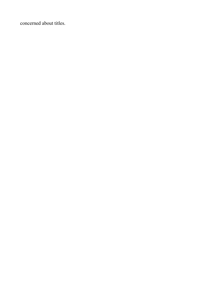concerned about titles.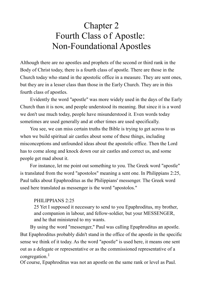# <span id="page-24-0"></span>Chapter 2 Fourth Class of Apostle: Non-Foundational Apostles

Although there are no apostles and prophets of the second or third rank in the Body of Christ today, there is a fourth class of apostle. There are those in the Church today who stand in the apostolic office in a measure. They are sent ones, but they are in a lesser class than those in the Early Church. They are in this fourth class of apostles.

Evidently the word "apostle" was more widely used in the days of the Early Church than it is now, and people understood its meaning. But since it is a word we don't use much today, people have misunderstood it. Even words today sometimes are used generally and at other times are used specifically.

You see, we can miss certain truths the Bible is trying to get across to us when we build spiritual air castles about some of these things, including misconceptions and unfounded ideas about the apostolic office. Then the Lord has to come along and knock down our air castles and correct us, and some people get mad about it.

For instance, let me point out something to you. The Greek word "apostle" is translated from the word "apostolos" meaning a sent one. In Philippians 2:25, Paul talks about Epaphroditus as the Philippians' messenger. The Greek word used here translated as messenger is the word "apostolos."

#### PHILIPPIANS 2:25

25 Yet I supposed it necessary to send to you Epaphroditus, my brother, and companion in labour, and fellow-soldier, but your MESSENGER, and he that ministered to my wants.

By using the word "messenger," Paul was calling Epaphroditus an apostle. But Epaphroditus probably didn't stand in the office of the apostle in the specific sense we think of it today. As the word "apostle" is used here, it means one sent out as a delegate or representative or as the commissioned representative of a congregation.<sup>1</sup>

Of course, Epaphroditus was not an apostle on the same rank or level as Paul.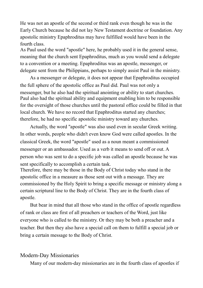He was not an apostle of the second or third rank even though he was in the Early Church because he did not lay New Testament doctrine or foundation. Any apostolic ministry Epaphroditus may have fulfilled would have been in the fourth class.

As Paul used the word "apostle" here, he probably used it in the general sense, meaning that the church sent Epaphroditus, much as you would send a delegate to a convention or a meeting. Epaphroditus was an apostle, messenger, or delegate sent from the Philippians, perhaps to simply assist Paul in the ministry.

As a messenger or delegate, it does not appear that Epaphroditus occupied the full sphere of the apostolic office as Paul did. Paul was not only a messenger, but he also had the spiritual anointing or ability to start churches. Paul also had the spiritual ability and equipment enabling him to be responsible for the oversight of those churches until the pastoral office could be filled in that local church. We have no record that Epaphroditus started any churches; therefore, he had no specific apostolic ministry toward any churches.

Actually, the word "apostle" was also used even in secular Greek writing. In other words, people who didn't even know God were called apostles. In the classical Greek, the word "apostle" used as a noun meant a commissioned messenger or an ambassador. Used as a verb it means to send off or out. A person who was sent to do a specific job was called an apostle because he was sent specifically to accomplish a certain task.

Therefore, there may be those in the Body of Christ today who stand in the apostolic office in a measure as those sent out with a message. They are commissioned by the Holy Spirit to bring a specific message or ministry along a certain scriptural line to the Body of Christ. They are in the fourth class of apostle.

But bear in mind that all those who stand in the office of apostle regardless of rank or class are first of all preachers or teachers of the Word, just like everyone who is called to the ministry. Or they may be both a preacher and a teacher. But then they also have a special call on them to fulfill a special job or bring a certain message to the Body of Christ.

#### Modern-Day Missionaries

Many of our modern-day missionaries are in the fourth class of apostles if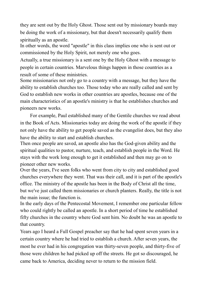they are sent out by the Holy Ghost. Those sent out by missionary boards may be doing the work of a missionary, but that doesn't necessarily qualify them spiritually as an apostle.

In other words, the word "apostle" in this class implies one who is sent out or commissioned by the Holy Spirit, not merely one who goes.

Actually, a true missionary is a sent one by the Holy Ghost with a message to people in certain countries. Marvelous things happen in those countries as a result of some of these ministries.

Some missionaries not only go to a country with a message, but they have the ability to establish churches too. Those today who are really called and sent by God to establish new works in other countries are apostles, because one of the main characteristics of an apostle's ministry is that he establishes churches and pioneers new works.

For example, Paul established many of the Gentile churches we read about in the Book of Acts. Missionaries today are doing the work of the apostle if they not only have the ability to get people saved as the evangelist does, but they also have the ability to start and establish churches.

Then once people are saved, an apostle also has the God-given ability and the spiritual qualities to pastor, nurture, teach, and establish people in the Word. He stays with the work long enough to get it established and then may go on to pioneer other new works.

Over the years, I've seen folks who went from city to city and established good churches everywhere they went. That was their call, and it is part of the apostle's office. The ministry of the apostle has been in the Body of Christ all the time, but we've just called them missionaries or church planters. Really, the title is not the main issue; the function is.

In the early days of the Pentecostal Movement, I remember one particular fellow who could rightly be called an apostle. In a short period of time he established fifty churches in the country where God sent him. No doubt he was an apostle to that country.

Years ago I heard a Full Gospel preacher say that he had spent seven years in a certain country where he had tried to establish a church. After seven years, the most he ever had in his congregation was thirty-seven people, and thirty-five of those were children he had picked up off the streets. He got so discouraged, he came back to America, deciding never to return to the mission field.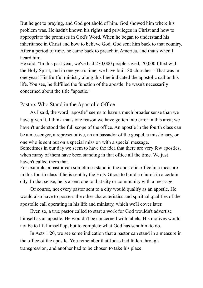But he got to praying, and God got ahold of him. God showed him where his problem was. He hadn't known his rights and privileges in Christ and how to appropriate the promises in God's Word. When he began to understand his inheritance in Christ and how to believe God, God sent him back to that country. After a period of time, he came back to preach in America, and that's when I heard him.

He said, "In this past year, we've had 270,000 people saved, 70,000 filled with the Holy Spirit, and in one year's time, we have built 80 churches." That was in one year! His fruitful ministry along this line indicated the apostolic call on his life. You see, he fulfilled the function of the apostle; he wasn't necessarily concerned about the title "apostle."

#### Pastors Who Stand in the Apostolic Office

As I said, the word "apostle" seems to have a much broader sense than we have given it. I think that's one reason we have gotten into error in this area; we haven't understood the full scope of the office. An apostle in the fourth class can be a messenger, a representative, an ambassador of the gospel, a missionary, or one who is sent out on a special mission with a special message.

Sometimes in our day we seem to have the idea that there are very few apostles, when many of them have been standing in that office all the time. We just haven't called them that.

For example, a pastor can sometimes stand in the apostolic office in a measure in this fourth class if he is sent by the Holy Ghost to build a church in a certain city. In that sense, he is a sent one to that city or community with a message.

Of course, not every pastor sent to a city would qualify as an apostle. He would also have to possess the other characteristics and spiritual qualities of the apostolic call operating in his life and ministry, which we'll cover later.

Even so, a true pastor called to start a work for God wouldn't advertise himself as an apostle. He wouldn't be concerned with labels. His motives would not be to lift himself up, but to complete what God has sent him to do.

In Acts 1:20, we see some indication that a pastor can stand in a measure in the office of the apostle. You remember that Judas had fallen through transgression, and another had to be chosen to take his place.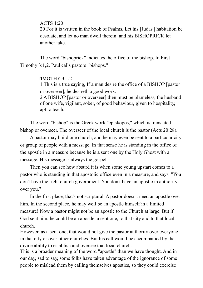ACTS 1:20

20 For it is written in the book of Psalms, Let his [Judas'] habitation be desolate, and let no man dwell therein: and his BISHOPRICK let another take.

The word "bishoprick" indicates the office of the bishop. In First Timothy 3:1,2, Paul calls pastors "bishops."

#### 1 TIMOTHY 3:1,2

1 This is a true saying, If a man desire the office of a BISHOP [pastor or overseer], he desireth a good work.

2 A BISHOP [pastor or overseer] then must be blameless, the husband of one wife, vigilant, sober, of good behaviour, given to hospitality, apt to teach.

The word "bishop" is the Greek work "episkopos," which is translated bishop or overseer. The overseer of the local church is the pastor (Acts 20:28).

A pastor may build one church, and he may even be sent to a particular city or group of people with a message. In that sense he is standing in the office of the apostle in a measure because he is a sent one by the Holy Ghost with a message. His message is always the gospel.

Then you can see how absurd it is when some young upstart comes to a pastor who is standing in that apostolic office even in a measure, and says, "You don't have the right church government. You don't have an apostle in authority over you."

In the first place, that's not scriptural. A pastor doesn't need an apostle over him. In the second place, he may well be an apostle himself in a limited measure! Now a pastor might not be an apostle to the Church at large. But if God sent him, he could be an apostle, a sent one, to that city and to that local church.

However, as a sent one, that would not give the pastor authority over everyone in that city or over other churches. But his call would be accompanied by the divine ability to establish and oversee that local church.

This is a broader meaning of the word "apostle" than we have thought. And in our day, sad to say, some folks have taken advantage of the ignorance of some people to mislead them by calling themselves apostles, so they could exercise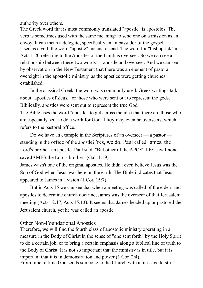authority over others.

The Greek word that is most commonly translated "apostle" is apostolos. The verb is sometimes used with the same meaning: to send one on a mission as an envoy. It can mean a delegate; specifically an ambassador of the gospel. Used as a verb the word "apostle" means to send. The word for "bishoprick" in Acts 1:20 referring to the Apostles of the Lamb is overseer. So we can see a relationship between these two words — apostle and overseer. And we can see by observation in the New Testament that there was an element of pastoral oversight in the apostolic ministry, as the apostles were getting churches established.

In the classical Greek, the word was commonly used. Greek writings talk about "apostles of Zeus," or those who were sent out to represent the gods. Biblically, apostles were sent out to represent the true God.

The Bible uses the word "apostle" to get across the idea that there are those who are especially sent to do a work for God. They may even be overseers, which refers to the pastoral office.

Do we have an example in the Scriptures of an overseer — a pastor standing in the office of the apostle? Yes, we do. Paul called James, the Lord's brother, an apostle. Paul said, "But other of the APOSTLES saw I none, save JAMES the Lord's brother" (Gal. 1:19).

James wasn't one of the original apostles. He didn't even believe Jesus was the Son of God when Jesus was here on the earth. The Bible indicates that Jesus appeared to James in a vision (1 Cor. 15:7).

But in Acts 15 we can see that when a meeting was called of the elders and apostles to determine church doctrine, James was the overseer of that Jerusalem meeting (Acts 12:17; Acts 15:13). It seems that James headed up or pastored the Jerusalem church, yet he was called an apostle.

#### Other Non-Foundational Apostles

Therefore, we will find the fourth class of apostolic ministry operating in a measure in the Body of Christ in the sense of "one sent forth" by the Holy Spirit to do a certain job, or to bring a certain emphasis along a biblical line of truth to the Body of Christ. It is not so important that the ministry is in title, but it is important that it is in demonstration and power (1 Cor. 2:4). From time to time God sends someone to the Church with a message to stir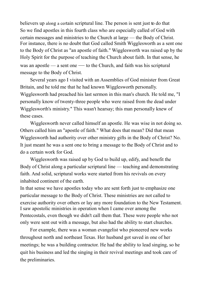believers up along a certain scriptural line. The person is sent just to do that So we find apostles in this fourth class who are especially called of God with certain messages and ministries to the Church at large — the Body of Christ. For instance, there is no doubt that God called Smith Wigglesworth as a sent one to the Body of Christ as "an apostle of faith." Wigglesworth was raised up by the Holy Spirit for the purpose of teaching the Church about faith. In that sense, he was an apostle — a sent one — to the Church, and faith was his scriptural message to the Body of Christ.

Several years ago I visited with an Assemblies of God minister from Great Britain, and he told me that he had known Wigglesworth personally. Wigglesworth had preached his last sermon in this man's church. He told me, "I personally know of twenty-three people who were raised from the dead under Wigglesworth's ministry." This wasn't hearsay; this man personally knew of these cases.

Wigglesworth never called himself an apostle. He was wise in not doing so. Others called him an "apostle of faith." What does that mean? Did that mean Wigglesworth had authority over other ministry gifts in the Body of Christ? No. It just meant he was a sent one to bring a message to the Body of Christ and to do a certain work for God.

Wigglesworth was raised up by God to build up, edify, and benefit the Body of Christ along a particular scriptural line — teaching and demonstrating faith. And solid, scriptural works were started from his revivals on every inhabited continent of the earth.

In that sense we have apostles today who are sent forth just to emphasize one particular message to the Body of Christ. These ministries are not called to exercise authority over others or lay any more foundation to the New Testament. I saw apostolic ministries in operation when I came over among the Pentecostals, even though we didn't call them that. These were people who not only were sent out with a message, but also had the ability to start churches.

For example, there was a woman evangelist who pioneered new works throughout north and northeast Texas. Her husband got saved in one of her meetings; he was a building contractor. He had the ability to lead singing, so he quit his business and led the singing in their revival meetings and took care of the preliminaries.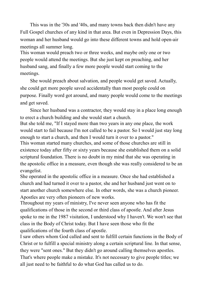This was in the '30s and '40s, and many towns back then didn't have any Full Gospel churches of any kind in that area. But even in Depression Days, this woman and her husband would go into these different towns and hold open-air meetings all summer long.

This woman would preach two or three weeks, and maybe only one or two people would attend the meetings. But she just kept on preaching, and her husband sang, and finally a few more people would start coming to the meetings.

She would preach about salvation, and people would get saved. Actually, she could get more people saved accidentally than most people could on purpose. Finally word got around, and many people would come to the meetings and get saved.

Since her husband was a contractor, they would stay in a place long enough to erect a church building and she would start a church.

But she told me, "If I stayed more than two years in any one place, the work would start to fail because I'm not called to be a pastor. So I would just stay long enough to start a church, and then I would turn it over to a pastor." This woman started many churches, and some of those churches are still in existence today after fifty or sixty years because she established them on a solid scriptural foundation. There is no doubt in my mind that she was operating in

the apostolic office in a measure, even though she was really considered to be an evangelist.

She operated in the apostolic office in a measure. Once she had established a church and had turned it over to a pastor, she and her husband just went on to start another church somewhere else. In other words, she was a church pioneer. Apostles are very often pioneers of new works.

Throughout my years of ministry, I've never seen anyone who has fit the qualifications of those in the second or third class of apostle. And after Jesus spoke to me in the 1987 visitation, I understood why I haven't. We won't see that class in the Body of Christ today. But I have seen those who fit the qualifications of the fourth class of apostle.

I saw others whom God called and sent to fulfill certain functions in the Body of Christ or to fulfill a special ministry along a certain scriptural line. In that sense, they were "sent ones." But they didn't go around calling themselves apostles. That's where people make a mistake. It's not necessary to give people titles; we all just need to be faithful to do what God has called us to do.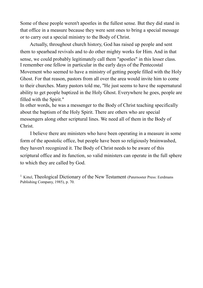Some of these people weren't apostles in the fullest sense. But they did stand in that office in a measure because they were sent ones to bring a special message or to carry out a special ministry to the Body of Christ.

Actually, throughout church history, God has raised up people and sent them to spearhead revivals and to do other mighty works for Him. And in that sense, we could probably legitimately call them "apostles" in this lesser class. I remember one fellow in particular in the early days of the Pentecostal Movement who seemed to have a ministry of getting people filled with the Holy Ghost. For that reason, pastors from all over the area would invite him to come to their churches. Many pastors told me, "He just seems to have the supernatural ability to get people baptized in the Holy Ghost. Everywhere he goes, people are filled with the Spirit."

In other words, he was a messenger to the Body of Christ teaching specifically about the baptism of the Holy Spirit. There are others who are special messengers along other scriptural lines. We need all of them in the Body of Christ.

I believe there are ministers who have been operating in a measure in some form of the apostolic office, but people have been so religiously brainwashed, they haven't recognized it. The Body of Christ needs to be aware of this scriptural office and its function, so valid ministers can operate in the full sphere to which they are called by God.

<sup>1</sup> Kittel, Theological Dictionary of the New Testament (Paternoster Press: Eerdmans Publishing Company, 1985), p. 70.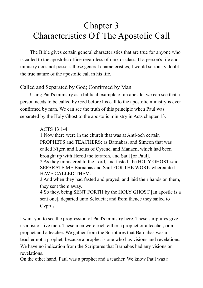# <span id="page-33-0"></span>Chapter 3 Characteristics O f The Apostolic Call

The Bible gives certain general characteristics that are true for anyone who is called to the apostolic office regardless of rank or class. If a person's life and ministry does not possess these general characteristics, I would seriously doubt the true nature of the apostolic call in his life.

#### Called and Separated by God; Confirmed by Man

Using Paul's ministry as a biblical example of an apostle, we can see that a person needs to be called by God before his call to the apostolic ministry is ever confirmed by man. We can see the truth of this principle when Paul was separated by the Holy Ghost to the apostolic ministry in Acts chapter 13.

#### ACTS 13:1-4

1 Now there were in the church that was at Anti-och certain PROPHETS and TEACHERS; as Barnabas, and Simeon that was called Niger, and Lucius of Cyrene, and Manaen, which had been brought up with Herod the tetrarch, and Saul [or Paul]. 2 As they ministered to the Lord, and fasted, the HOLY GHOST said, SEPARATE ME Barnabas and Saul FOR THE WORK whereunto I HAVE CALLED THEM. 3 And when they had fasted and prayed, and laid their hands on them, they sent them away.

4 So they, being SENT FORTH by the HOLY GHOST [an apostle is a sent one], departed unto Seleucia; and from thence they sailed to Cyprus.

I want you to see the progression of Paul's ministry here. These scriptures give us a list of five men. These men were each either a prophet or a teacher, or a prophet and a teacher. We gather from the Scriptures that Barnabas was a teacher not a prophet, because a prophet is one who has visions and revelations. We have no indication from the Scriptures that Barnabas had any visions or revelations.

On the other hand, Paul was a prophet and a teacher. We know Paul was a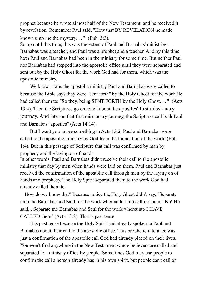prophet because he wrote almost half of the New Testament, and he received it by revelation. Remember Paul said, "How that BY REVELATION he made known unto me the mystery. . . " (Eph. 3:3).

So up until this time, this was the extent of Paul and Barnabas' ministries — Barnabas was a teacher, and Paul was a prophet and a teacher. And by this time, both Paul and Barnabas had been in the ministry for some time. But neither Paul nor Barnabas had stepped into the apostolic office until they were separated and sent out by the Holy Ghost for the work God had for them, which was the apostolic ministry.

We know it was the apostolic ministry Paul and Barnabas were called to because the Bible says they were "sent forth" by the Holy Ghost for the work He had called them to: "So they, being SENT FORTH by the Holy Ghost..." (Acts 13:4). Then the Scriptures go on to tell about the apostles' first missionary journey. And later on that first missionary journey, the Scriptures call both Paul and Barnabas "apostles" (Acts 14:14).

But I want you to see something in Acts 13:2. Paul and Barnabas were called to the apostolic ministry by God from the foundation of the world (Eph. 1:4). But in this passage of Scripture that call was confirmed by man by prophecy and the laying on of hands.

In other words, Paul and Barnabas didn't receive their call to the apostolic ministry that day by men when hands were laid on them. Paul and Barnabas just received the confirmation of the apostolic call through men by the laying on of hands and prophecy. The Holy Spirit separated them to the work God had already called them to.

How do we know that? Because notice the Holy Ghost didn't say, "Separate unto me Barnabas and Saul for the work whereunto I am calling them." No! He said,.. Separate me Barnabas and Saul for the work whereunto I HAVE CALLED them" (Acts 13:2). That is past tense.

It is past tense because the Holy Spirit had already spoken to Paul and Barnabas about their call to the apostolic office. This prophetic utterance was just a confirmation of the apostolic call God had already placed on their lives. You won't find anywhere in the New Testament where believers are called and separated to a ministry office by people. Sometimes God may use people to confirm the call a person already has in his own spirit, but people can't call or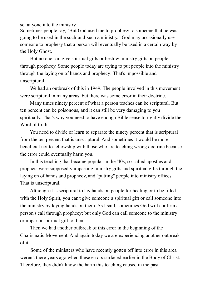set anyone into the ministry.

Sometimes people say, "But God used me to prophesy to someone that he was going to be used in the such-and-such a ministry." God may occasionally use someone to prophesy that a person will eventually be used in a certain way by the Holy Ghost.

But no one can give spiritual gifts or bestow ministry gifts on people through prophecy. Some people today are trying to put people into the ministry through the laying on of hands and prophecy! That's impossible and unscriptural.

We had an outbreak of this in 1949. The people involved in this movement were scriptural in many areas, but there was some error in their doctrine.

Many times ninety percent of what a person teaches can be scriptural. But ten percent can be poisonous, and it can still be very damaging to you spiritually. That's why you need to have enough Bible sense to rightly divide the Word of truth.

You need to divide or learn to separate the ninety percent that is scriptural from the ten percent that is unscriptural. And sometimes it would be more beneficial not to fellowship with those who are teaching wrong doctrine because the error could eventually harm you.

In this teaching that became popular in the '40s, so-called apostles and prophets were supposedly imparting ministry gifts and spiritual gifts through the laying on of hands and prophecy, and "putting" people into ministry offices. That is unscriptural.

Although it is scriptural to lay hands on people for healing or to be filled with the Holy Spirit, you can't give someone a spiritual gift or call someone into the ministry by laying hands on them. As I said, sometimes God will confirm a person's call through prophecy; but only God can call someone to the ministry or impart a spiritual gift to them.

Then we had another outbreak of this error in the beginning of the Charismatic Movement. And again today we are experiencing another outbreak of it.

Some of the ministers who have recently gotten off into error in this area weren't there years ago when these errors surfaced earlier in the Body of Christ. Therefore, they didn't know the harm this teaching caused in the past.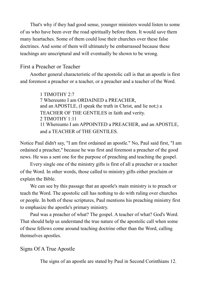That's why if they had good sense, younger ministers would listen to some of us who have been over the road spiritually before them. It would save them many heartaches. Some of them could lose their churches over these false doctrines. And some of them will ultimately be embarrassed because these teachings are unscriptural and will eventually be shown to be wrong.

## First a Preacher or Teacher

Another general characteristic of the apostolic call is that an apostle is first and foremost a preacher or a teacher, or a preacher and a teacher of the Word.

> 1 TIMOTHY 2:7 7 Whereunto I am ORDAINED a PREACHER, and an APOSTLE, (I speak the truth in Christ, and lie not;) a TEACHER OF THE GENTILES in faith and verity. 2 TIMOTHY 1:11 11 Whereunto I am APPOINTED a PREACHER, and an APOSTLE, and a TEACHER of THE GENTILES.

Notice Paul didn't say, "I am first ordained an apostle." No, Paul said first, "I am ordained a preacher," because he was first and foremost a preacher of the good news. He was a sent one for the purpose of preaching and teaching the gospel.

Every single one of the ministry gifts is first of all a preacher or a teacher of the Word. In other words, those called to ministry gifts either proclaim or explain the Bible.

We can see by this passage that an apostle's main ministry is to preach or teach the Word. The apostolic call has nothing to do with ruling over churches or people. In both of these scriptures, Paul mentions his preaching ministry first to emphasize the apostle's primary ministry.

Paul was a preacher of what? The gospel. A teacher of what? God's Word. That should help us understand the true nature of the apostolic call when some of these fellows come around teaching doctrine other than the Word, calling themselves apostles.

## Signs Of A True Apostle

The signs of an apostle are stated by Paul in Second Corinthians 12.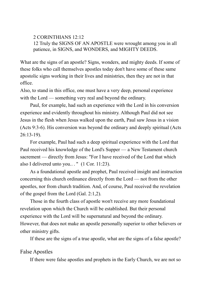#### 2 CORINTHIANS 12:12

12 Truly the SIGNS OF AN APOSTLE were wrought among you in all patience, in SIGNS, and WONDERS, and MIGHTY DEEDS.

What are the signs of an apostle? Signs, wonders, and mighty deeds. If some of these folks who call themselves apostles today don't have some of these same apostolic signs working in their lives and ministries, then they are not in that office.

Also, to stand in this office, one must have a very deep, personal experience with the Lord — something very real and beyond the ordinary.

Paul, for example, had such an experience with the Lord in his conversion experience and evidently throughout his ministry. Although Paul did not see Jesus in the flesh when Jesus walked upon the earth, Paul saw Jesus in a vision (Acts 9:3-6). His conversion was beyond the ordinary and deeply spiritual (Acts 26:13-19).

For example, Paul had such a deep spiritual experience with the Lord that Paul received his knowledge of the Lord's Supper — a New Testament church sacrement — directly from Jesus: "For I have received of the Lord that which also I delivered unto you.. . " (1 Cor. 11:23).

As a foundational apostle and prophet, Paul received insight and instruction concerning this church ordinance directly from the Lord — not from the other apostles, nor from church tradition. And, of course, Paul received the revelation of the gospel from the Lord (Gal. 2:1,2).

Those in the fourth class of apostle won't receive any more foundational revelation upon which the Church will be established. But their personal experience with the Lord will be supernatural and beyond the ordinary. However, that does not make an apostle personally superior to other believers or other ministry gifts.

If these are the signs of a true apostle, what are the signs of a false apostle?

#### False Apostles

If there were false apostles and prophets in the Early Church, we are not so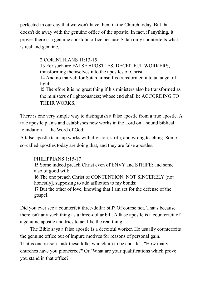perfected in our day that we won't have them in the Church today. But that doesn't do away with the genuine office of the apostle. In fact, if anything, it proves there is a genuine apostolic office because Satan only counterfeits what is real and genuine.

#### 2 CORINTHIANS 11:13-15

13 For such are FALSE APOSTLES, DECEITFUL WORKERS, transforming themselves into the apostles of Christ. 14 And no marvel; for Satan himself is transformed into an angel of light. 15 Therefore it is no great thing if his ministers also be transformed as the ministers of righteousness; whose end shall be ACCORDING TO THEIR WORKS.

There is one very simple way to distinguish a false apostle from a true apostle. A true apostle plants and establishes new works in the Lord on a sound biblical foundation — the Word of God.

A false apostle tears up works with division, strife, and wrong teaching. Some so-called apostles today are doing that, and they are false apostles.

### PHILIPPIANS 1:15-17

15 Some indeed preach Christ even of ENVY and STRIFE; and some also of good will: 16 The one preach Christ of CONTENTION, NOT SINCERELY [not honestly], supposing to add affliction to my bonds: 17 But the other of love, knowing that I am set for the defense of the

gospel.

Did you ever see a counterfeit three-dollar bill? Of course not. That's because there isn't any such thing as a three-dollar bill. A false apostle is a counterfeit of a genuine apostle and tries to act like the real thing.

The Bible says a false apostle is a deceitful worker. He usually counterfeits the genuine office out of impure motives for reasons of personal gain. That is one reason I ask these folks who claim to be apostles, "How many churches have you pioneered?" Or "What are your qualifications which prove you stand in that office?"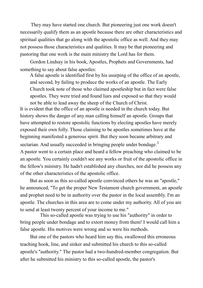They may have started one church. But pioneering just one work doesn't necessarily qualify them as an apostle because there are other characteristics and spiritual qualities that go along with the apostolic office as well. And they may not possess those characteristics and qualities. It may be that pioneering and pastoring that one work is the main ministry the Lord has for them.

Gordon Lindsay in his book, Apostles, Prophets and Governments, had something to say about false apostles:

A false apostle is identified first by his usurping of the office of an apostle, and second, by failing to produce the works of an apostle. The Early Church took note of those who claimed apostleship but in fact were false apostles. They were tried and found liars and exposed so that they would not be able to lead away the sheep of the Church of Christ.

It is evident that the office of an apostle is needed in the church today. But history shows the danger of any man calling himself an apostle. Groups that have attempted to restore apostolic functions by electing apostles have merely exposed their own folly. Those claiming to be apostles sometimes have at the beginning manifested a generous spirit. But they soon became arbitrary and sectarian. And usually succeeded in bringing people under bondage.<sup>1</sup> A pastor went to a certain place and heard a fellow preaching who claimed to be an apostle. You certainly couldn't see any works or fruit of the apostolic office in the fellow's ministry. He hadn't established any churches, nor did he possess any of the other characteristics of the apostolic office.

But as soon as this so-called apostle convinced others he was an "apostle," he announced, "To get the proper New Testament church government, an apostle and prophet need to be in authority over the pastor in the local assembly. I'm an apostle. The churches in this area are to come under my authority. All of you are to send at least twenty percent of your income to me."

This so-called apostle was trying to use his "authority" in order to bring people under bondage and to extort money from them! I would call him a false apostle. His motives were wrong and so were his methods.

But one of the pastors who heard him say this, swallowed this erroneous teaching hook, line, and sinker and submitted his church to this so-called apostle's "authority." The pastor had a two-hundred-member congregation. But after he submitted his ministry to this so-called apostle, the pastor's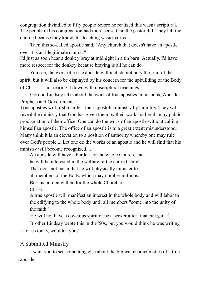congregation dwindled to fifty people before he realized this wasn't scriptural. The people in his congregation had more sense than the pastor did. They left the church because they knew this teaching wasn't correct.

Then this so-called apostle said, "Any church that doesn't have an apostle over it is an illegitimate church."

I'd just as soon hear a donkey bray at midnight in a tin barn! Actually, I'd have more respect for the donkey because braying is all he can do.

You see, the work of a true apostle will include not only the fruit of the spirit, but it will also be displayed by his concern for the upbuilding of the Body of Christ — not tearing it down with unscriptural teachings.

Gordon Lindsay talks about the work of true apostles in his book, Apostles, Prophets and Governments:

True apostles will first manifest their apostolic ministry by humility. They will reveal the ministry that God has given them by their works rather than by public proclamation of their office. One can do the work of an apostle without calling himself an apostle. The office of an apostle is to a great extent misunderstood. Many think it is an elevation to a position of authority whereby one may rule over God's people.... Let one do the works of an apostle and he will find that his ministry will become recognized....

An apostle will have a burden for the whole Church, and he will be interested in the welfare of the entire Church.

That does not mean that he will physically minister to

all members of the Body, which may number millions.

But his burden will be for the whole Church of Christ.

A true apostle will manifest an interest in the whole body and will labor to the edifying to the whole body until all members "come into the unity of the faith."

He will not have a covetous spirit or be a seeker after financial gain.<sup>2</sup>

Brother Lindsay wrote this in the '50s, but you would think he was writing it for us today, wouldn't you?

## A Submitted Ministry

I want you to see something else about the biblical characteristics of a true apostle.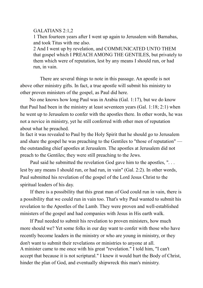#### GALATIANS 2:1,2

1 Then fourteen years after I went up again to Jerusalem with Barnabas, and took Titus with me also.

2 And I went up by revelation, and COMMUNICATED UNTO THEM that gospel which I PREACH AMONG THE GENTILES, but privately to them which were of reputation, lest by any means I should run, or had run, in vain.

There are several things to note in this passage. An apostle is not above other ministry gifts. In fact, a true apostle will submit his ministry to other proven ministers of the gospel, as Paul did here.

No one knows how long Paul was in Arabia (Gal. 1:17), but we do know that Paul had been in the ministry at least seventeen years (Gal. 1:18; 2:1) when he went up to Jerusalem to confer with the apostles there. In other words, he was not a novice in ministry, yet he still conferred with other men of reputation about what he preached.

In fact it was revealed to Paul by the Holy Spirit that he should go to Jerusalem and share the gospel he was preaching to the Gentiles to "those of reputation" the outstanding chief apostles at Jerusalem. The apostles at Jerusalem did not preach to the Gentiles; they were still preaching to the Jews.

Paul said he submitted the revelation God gave him to the apostles, "... lest by any means I should run, or had run, in vain" (Gal. 2:2). In other words, Paul submitted his revelation of the gospel of the Lord Jesus Christ to the spiritual leaders of his day.

If there is a possibility that this great man of God could run in vain, there is a possibility that we could run in vain too. That's why Paul wanted to submit his revelation to the Apostles of the Lamb. They were proven and well-established ministers of the gospel and had companies with Jesus in His earth walk.

If Paul needed to submit his revelation to proven ministers, how much more should we? Yet some folks in our day want to confer with those who have recently become leaders in the ministry or who are young in ministry, or they don't want to submit their revelations or ministries to anyone at all. A minister came to me once with his great "revelation." I told him, "I can't accept that because it is not scriptural." I knew it would hurt the Body of Christ, hinder the plan of God, and eventually shipwreck this man's ministry.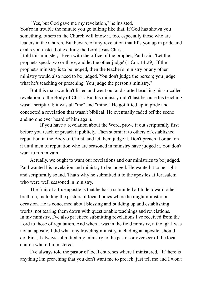"Yes, but God gave me my revelation," he insisted. You're in trouble the minute you go talking like that. If God has shown you something, others in the Church will know it, too, especially those who are leaders in the Church. But beware of any revelation that lifts you up in pride and exalts you instead of exalting the Lord Jesus Christ.

I told this minister, "Even with the office of the prophet, Paul said, 'Let the prophets speak two or three, and let the other judge' (1 Cor. 14:29). If the prophet's ministry is to be judged, then the teacher's ministry or any other ministry would also need to be judged. You don't judge the person; you judge what he's teaching or preaching. You judge the person's ministry."

But this man wouldn't listen and went out and started teaching his so-called revelation to the Body of Christ. But his ministry didn't last because his teaching wasn't scriptural; it was all "me" and "mine." He got lifted up in pride and concocted a revelation that wasn't biblical. He eventually faded off the scene and no one ever heard of him again.

If you have a revelation about the Word, prove it out scripturally first before you teach or preach it publicly. Then submit it to others of established reputation in the Body of Christ, and let them judge it. Don't preach it or act on it until men of reputation who are seasoned in ministry have judged it. You don't want to run in vain.

Actually, we ought to want our revelations and our ministries to be judged. Paul wanted his revelation and ministry to be judged. He wanted it to be right and scripturally sound. That's why he submitted it to the apostles at Jerusalem who were well seasoned in ministry.

The fruit of a true apostle is that he has a submitted attitude toward other brethren, including the pastors of local bodies where he might minister on occasion. He is concerned about blessing and building up and establishing works, not tearing them down with questionable teachings and revelations. In my ministry, I've also practiced submitting revelations I've received from the Lord to those of reputation. And when I was in the field ministry, although I was not an apostle, I did what any traveling ministry, including an apostle, should do. First, I always submitted my ministry to the pastor or overseer of the local church where I ministered.

I've always told the pastor of local churches where I ministered, "If there is anything I'm preaching that you don't want me to preach, just tell me and I won't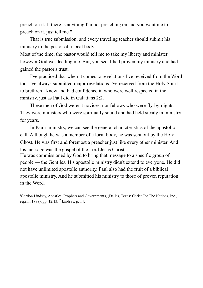preach on it. If there is anything I'm not preaching on and you want me to preach on it, just tell me."

That is true submission, and every traveling teacher should submit his ministry to the pastor of a local body.

Most of the time, the pastor would tell me to take my liberty and minister however God was leading me. But, you see, I had proven my ministry and had gained the pastor's trust.

I've practiced that when it comes to revelations I've received from the Word too. I've always submitted major revelations I've received from the Holy Spirit to brethren I knew and had confidence in who were well respected in the ministry, just as Paul did in Galatians 2:2.

These men of God weren't novices, nor fellows who were fly-by-nights. They were ministers who were spiritually sound and had held steady in ministry for years.

In Paul's ministry, we can see the general characteristics of the apostolic call. Although he was a member of a local body, he was sent out by the Holy Ghost. He was first and foremost a preacher just like every other minister. And his message was the gospel of the Lord Jesus Christ.

He was commissioned by God to bring that message to a specific group of people — the Gentiles. His apostolic ministry didn't extend to everyone. He did not have unlimited apostolic authority. Paul also had the fruit of a biblical apostolic ministry. And he submitted his ministry to those of proven reputation in the Word.

'Gordon Lindsay, Apostles, Prophets and Governments, (Dallas, Texas: Christ For The Nations, Inc., reprint 1988), pp. 12,13.<sup>2</sup> Lindsay, p. 14.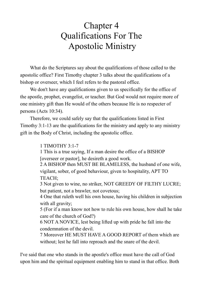## Chapter 4 Qualifications For The Apostolic Ministry

What do the Scriptures say about the qualifications of those called to the apostolic office? First Timothy chapter 3 talks about the qualifications of a bishop or overseer, which I feel refers to the pastoral office.

We don't have any qualifications given to us specifically for the office of the apostle, prophet, evangelist, or teacher. But God would not require more of one ministry gift than He would of the others because He is no respecter of persons (Acts 10:34).

Therefore, we could safely say that the qualifications listed in First Timothy 3:1-13 are the qualifications for the ministry and apply to any ministry gift in the Body of Christ, including the apostolic office.

1 TIMOTHY 3:1-7

1 This is a true saying, If a man desire the office of a BISHOP

[overseer or pastor], he desireth a good work.

2 A BISHOP then MUST BE BLAMELESS, the husband of one wife, vigilant, sober, of good behaviour, given to hospitality, APT TO TEACH;

3 Not given to wine, no striker, NOT GREEDY OF FILTHY LUCRE; but patient, not a brawler, not covetous;

4 One that ruleth well his own house, having his children in subjection with all gravity;

5 (For if a man know not how to rule his own house, how shall he take care of the church of God?)

6 NOT A NOVICE, lest being lifted up with pride he fall into the condemnation of the devil.

7 Moreover HE MUST HAVE A GOOD REPORT of them which are without; lest he fall into reproach and the snare of the devil.

I've said that one who stands in the apostle's office must have the call of God upon him and the spiritual equipment enabling him to stand in that office. Both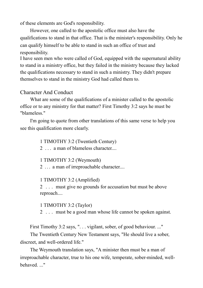of these elements are God's responsibility.

However, one called to the apostolic office must also have the qualifications to stand in that office. That is the minister's responsibility. Only he can qualify himself to be able to stand in such an office of trust and responsibility.

I have seen men who were called of God, equipped with the supernatural ability to stand in a ministry office, but they failed in the ministry because they lacked the qualifications necessary to stand in such a ministry. They didn't prepare themselves to stand in the ministry God had called them to.

## Character And Conduct

What are some of the qualifications of a minister called to the apostolic office or to any ministry for that matter? First Timothy 3:2 says he must be "blameless."

I'm going to quote from other translations of this same verse to help you see this qualification more clearly.

> 1 TIMOTHY 3:2 (Twentieth Century) 2 . . . a man of blameless character....

1 TIMOTHY 3:2 (Weymouth)

2 ... a man of irreproachable character....

1 TIMOTHY 3:2 (Amplified)

2 . . . must give no grounds for accusation but must be above reproach....

1 TIMOTHY 3:2 (Taylor)

2 . . . must be a good man whose life cannot be spoken against.

First Timothy 3:2 says, ". . . vigilant, sober, of good behaviour. ..."

The Twentieth Century New Testament says, "He should live a sober, discreet, and well-ordered life."

The Weymouth translation says, "A minister then must be a man of irreproachable character, true to his one wife, temperate, sober-minded, wellbehaved. "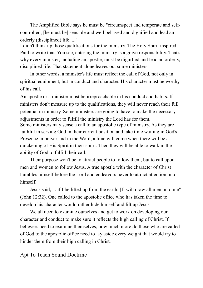The Amplified Bible says he must be "circumspect and temperate and selfcontrolled; [he must be] sensible and well behaved and dignified and lead an orderly (disciplined) life. ..."

I didn't think up those qualifications for the ministry. The Holy Spirit inspired Paul to write that. You see, entering the ministry is a grave responsibility. That's why every minister, including an apostle, must be dignified and lead an orderly, disciplined life. That statement alone leaves out some ministers!

In other words, a minister's life must reflect the call of God, not only in spiritual equipment, but in conduct and character. His character must be worthy of his call.

An apostle or a minister must be irreproachable in his conduct and habits. If ministers don't measure up to the qualifications, they will never reach their full potential in ministry. Some ministers are going to have to make the necessary adjustments in order to fulfill the ministry the Lord has for them. Some ministers may sense a call to an apostolic type of ministry. As they are faithful in serving God in their current position and take time waiting in God's Presence in prayer and in the Word, a time will come when there will be a quickening of His Spirit in their spirit. Then they will be able to walk in the ability of God to fulfill their call.

Their purpose won't be to attract people to follow them, but to call upon men and women to follow Jesus. A true apostle with the character of Christ humbles himself before the Lord and endeavors never to attract attention unto himself.

Jesus said, . . if I be lifted up from the earth, [I] will draw all men unto me" (John 12:32). One called to the apostolic office who has taken the time to develop his character would rather hide himself and lift up Jesus.

We all need to examine ourselves and get to work on developing our character and conduct to make sure it reflects the high calling of Christ. If believers need to examine themselves, how much more do those who are called of God to the apostolic office need to lay aside every weight that would try to hinder them from their high calling in Christ.

Apt To Teach Sound Doctrine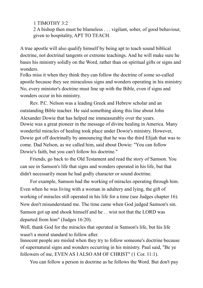1 TIMOTHY 3:2

2 A bishop then must be blameless . . . vigilant, sober, of good behaviour, given to hospitality, APT TO TEACH.

A true apostle will also qualify himself by being apt to teach sound biblical doctrine, not doctrinal tangents or extreme teachings. And he will make sure he bases his ministry solidly on the Word, rather than on spiritual gifts or signs and wonders.

Folks miss it when they think they can follow the doctrine of some so-called apostle because they see miraculous signs and wonders operating in his ministry. No, every minister's doctrine must line up with the Bible, even if signs and wonders occur in his ministry.

Rev. P.C. Nelson was a leading Greek and Hebrew scholar and an outstanding Bible teacher. He said something along this line about John Alexander Dowie that has helped me immeasurably over the years. Dowie was a great pioneer in the message of divine healing in America. Many wonderful miracles of healing took place under Dowie's ministry. However, Dowie got off doctrinally by announcing that he was the third Elijah that was to come. Dad Nelson, as we called him, said about Dowie: "You can follow Dowie's faith, but you can't follow his doctrine."

Friends, go back to the Old Testament and read the story of Samson. You can see in Samson's life that signs and wonders operated in his life, but that didn't necessarily mean he had godly character or sound doctrine.

For example, Samson had the working of miracles operating through him. Even when he was living with a woman in adultery and lying, the gift of working of miracles still operated in his life for a time (see Judges chapter 16). Now don't misunderstand me. The time came when God judged Samson's sin. Samson got up and shook himself and he . . wist not that the LORD was departed from him" (Judges 16:20).

Well, thank God for the miracles that operated in Samson's life, but his life wasn't a moral standard to follow after.

Innocent people are misled when they try to follow someone's doctrine because of supernatural signs and wonders occurring in his ministry. Paul said, "Be ye followers of me, EVEN AS I ALSO AM OF CHRIST" (1 Cor. 11:1).

You can follow a person in doctrine as he follows the Word. But don't pay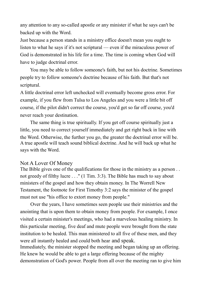any attention to any so-called apostle or any minister if what he says can't be backed up with the Word.

Just because a person stands in a ministry office doesn't mean you ought to listen to what he says if it's not scriptural — even if the miraculous power of God is demonstrated in his life for a time. The time is coming when God will have to judge doctrinal error.

You may be able to follow someone's faith, but not his doctrine. Sometimes people try to follow someone's doctrine because of his faith. But that's not scriptural.

A little doctrinal error left unchecked will eventually become gross error. For example, if you flew from Tulsa to Los Angeles and you were a little bit off course, if the pilot didn't correct the course, you'd get so far off course, you'd never reach your destination.

The same thing is true spiritually. If you get off course spiritually just a little, you need to correct yourself immediately and get right back in line with the Word. Otherwise, the further you go, the greater the doctrinal error will be. A true apostle will teach sound biblical doctrine. And he will back up what he says with the Word.

## Not A Lover Of Money

The Bible gives one of the qualifications for those in the ministry as a person . . not greedy of filthy lucre . . ." (1 Tim. 3:3). The Bible has much to say about ministers of the gospel and how they obtain money. In The Worrell New Testament, the footnote for First Timothy 3:2 says the minister of the gospel must not use "his office to extort money from people."

Over the years, I have sometimes seen people use their ministries and the anointing that is upon them to obtain money from people. For example, I once visited a certain minister's meetings, who had a marvelous healing ministry. In this particular meeting, five deaf and mute people were brought from the state institution to be healed. This man ministered to all five of these men, and they were all instantly healed and could both hear and speak.

Immediately, the minister stopped the meeting and began taking up an offering. He knew he would be able to get a large offering because of the mighty demonstration of God's power. People from all over the meeting ran to give him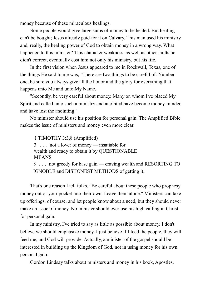money because of these miraculous healings.

Some people would give large sums of money to be healed. But healing can't be bought; Jesus already paid for it on Calvary. This man used his ministry and, really, the healing power of God to obtain money in a wrong way. What happened to this minister? This character weakness, as well as other faults he didn't correct, eventually cost him not only his ministry, but his life.

In the first vision when Jesus appeared to me in Rockwall, Texas, one of the things He said to me was, "There are two things to be careful of. Number one, be sure you always give all the honor and the glory for everything that happens unto Me and unto My Name.

"Secondly, be very careful about money. Many on whom I've placed My Spirit and called unto such a ministry and anointed have become money-minded and have lost the anointing."

No minister should use his position for personal gain. The Amplified Bible makes the issue of ministers and money even more clear.

1 TIMOTHY 3:3,8 (Amplified) 3 . . . not a lover of money — insatiable for wealth and ready to obtain it by QUESTIONABLE **MEANS** 8 . . . not greedy for base gain — craving wealth and RESORTING TO IGNOBLE and DISHONEST METHODS of getting it.

That's one reason I tell folks, "Be careful about these people who prophesy money out of your pocket into their own. Leave them alone." Ministers can take up offerings, of course, and let people know about a need, but they should never make an issue of money. No minister should ever use his high calling in Christ for personal gain.

In my ministry, I've tried to say as little as possible about money. I don't believe we should emphasize money. I just believe if I feed the people, they will feed me, and God will provide. Actually, a minister of the gospel should be interested in building up the Kingdom of God, not in using money for his own personal gain.

Gordon Lindsay talks about ministers and money in his book, Apostles,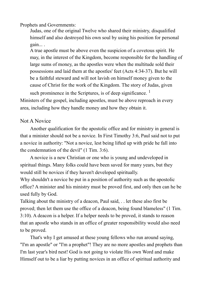Prophets and Governments:

Judas, one of the original Twelve who shared their ministry, disqualified himself and also destroyed his own soul by using his position for personal gain... .

A true apostle must be above even the suspicion of a covetous spirit. He may, in the interest of the Kingdom, become responsible for the handling of large sums of money, as the apostles were when the multitude sold their possessions and laid them at the apostles' feet (Acts 4:34-37). But he will be a faithful steward and will not lavish on himself money given to the cause of Christ for the work of the Kingdom. The story of Judas, given such prominence in the Scriptures, is of deep significance.  $\frac{1}{1}$ 

Ministers of the gospel, including apostles, must be above reproach in every area, including how they handle money and how they obtain it.

#### Not A Novice

Another qualification for the apostolic office and for ministry in general is that a minister should not be a novice. In First Timothy 3:6, Paul said not to put a novice in authority: "Not a novice, lest being lifted up with pride he fall into the condemnation of the devil" (1 Tim. 3:6).

A novice is a new Christian or one who is young and undeveloped in spiritual things. Many folks could have been saved for many years, but they would still be novices if they haven't developed spiritually.

Why shouldn't a novice be put in a position of authority such as the apostolic office? A minister and his ministry must be proved first, and only then can he be used fully by God.

Talking about the ministry of a deacon, Paul said, . . let these also first be proved; then let them use the office of a deacon, being found blameless" (1 Tim. 3:10). A deacon is a helper. If a helper needs to be proved, it stands to reason that an apostle who stands in an office of greater responsibility would also need to be proved.

That's why I get amused at these young fellows who run around saying, "I'm an apostle" or "I'm a prophet"! They are no more apostles and prophets than I'm last year's bird nest! God is not going to violate His own Word and make Himself out to be a liar by putting novices in an office of spiritual authority and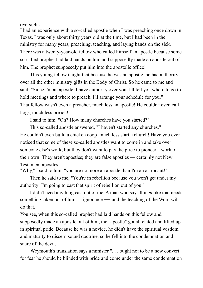oversight.

I had an experience with a so-called apostle when I was preaching once down in Texas. I was only about thirty years old at the time, but I had been in the ministry for many years, preaching, teaching, and laying hands on the sick. There was a twenty-year-old fellow who called himself an apostle because some so-called prophet had laid hands on him and supposedly made an apostle out of him. The prophet supposedly put him into the apostolic office!

This young fellow taught that because he was an apostle, he had authority over all the other ministry gifts in the Body of Christ. So he came to me and said, "Since I'm an apostle, I have authority over you. I'll tell you where to go to hold meetings and where to preach. I'll arrange your schedule for you." That fellow wasn't even a preacher, much less an apostle! He couldn't even call hogs, much less preach!

I said to him, "Oh? How many churches have you started?"

This so-called apostle answered, "I haven't started any churches." He couldn't even build a chicken coop, much less start a church! Have you ever noticed that some of these so-called apostles want to come in and take over someone else's work, but they don't want to pay the price to pioneer a work of their own! They aren't apostles; they are false apostles — certainly not New Testament apostles!

"Why," I said to him, "you are no more an apostle than I'm an astronaut!"

Then he said to me, "You're in rebellion because you won't get under my authority! I'm going to cast that spirit of rebellion out of you."

I didn't need anything cast out of me. A man who says things like that needs something taken out of him — ignorance — and the teaching of the Word will do that.

You see, when this so-called prophet had laid hands on this fellow and supposedly made an apostle out of him, the "apostle" got all elated and lifted up in spiritual pride. Because he was a novice, he didn't have the spiritual wisdom and maturity to discern sound doctrine, so he fell into the condemnation and snare of the devil.

Weymouth's translation says a minister ". . . ought not to be a new convert for fear he should be blinded with pride and come under the same condemnation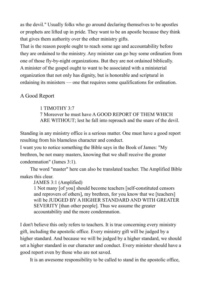as the devil." Usually folks who go around declaring themselves to be apostles or prophets are lifted up in pride. They want to be an apostle because they think that gives them authority over the other ministry gifts.

That is the reason people ought to reach some age and accountability before they are ordained to the ministry. Any minister can go buy some ordination from one of those fly-by-night organizations. But they are not ordained biblically. A minister of the gospel ought to want to be associated with a ministerial organization that not only has dignity, but is honorable and scriptural in ordaining its ministers — one that requires some qualifications for ordination.

## A Good Report

1 TIMOTHY 3:7 7 Moreover he must have A GOOD REPORT OF THEM WHICH ARE WITHOUT; lest he fall into reproach and the snare of the devil.

Standing in any ministry office is a serious matter. One must have a good report resulting from his blameless character and conduct.

I want you to notice something the Bible says in the Book of James: "My brethren, be not many masters, knowing that we shall receive the greater condemnation" (James 3:1).

The word "master" here can also be translated teacher. The Amplified Bible makes this clear.

#### JAMES 3:1 (Amplified)

1 Not many [of you] should become teachers [self-constituted censors and reprovers of others], my brethren, for you know that we [teachers] will be JUDGED BY A HIGHER STANDARD AND WITH GREATER SEVERITY [than other people]. Thus we assume the greater accountability and the more condemnation.

I don't believe this only refers to teachers. It is true concerning every ministry gift, including the apostolic office. Every ministry gift will be judged by a higher standard. And because we will be judged by a higher standard, we should set a higher standard in our character and conduct. Every minister should have a good report even by those who are not saved.

It is an awesome responsibility to be called to stand in the apostolic office,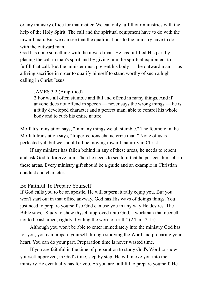or any ministry office for that matter. We can only fulfill our ministries with the help of the Holy Spirit. The call and the spiritual equipment have to do with the inward man. But we can see that the qualifications to the ministry have to do with the outward man.

God has done something with the inward man. He has fulfilled His part by placing the call in man's spirit and by giving him the spiritual equipment to fulfill that call. But the minister must present his body — the outward man — as a living sacrifice in order to qualify himself to stand worthy of such a high calling in Christ Jesus.

#### JAMES 3:2 (Amplified)

2 For we all often stumble and fall and offend in many things. And if anyone does not offend in speech — never says the wrong things — he is a fully developed character and a perfect man, able to control his whole body and to curb his entire nature.

Moffatt's translation says, "In many things we all stumble." The footnote in the Moffatt translation says, "Imperfections characterize man." None of us is perfected yet, but we should all be moving toward maturity in Christ.

If any minister has fallen behind in any of these areas, he needs to repent and ask God to forgive him. Then he needs to see to it that he perfects himself in these areas. Every ministry gift should be a guide and an example in Christian conduct and character.

## Be Faithful To Prepare Yourself

If God calls you to be an apostle, He will supernaturally equip you. But you won't start out in that office anyway. God has His ways of doings things. You just need to prepare yourself so God can use you in any way He desires. The Bible says, "Study to shew thyself approved unto God, a workman that needeth not to be ashamed, rightly dividing the word of truth" (2 Tim. 2:15).

Although you won't be able to enter immediately into the ministry God has for you, you can prepare yourself through studying the Word and preparing your heart. You can do your part. Preparation time is never wasted time.

If you are faithful in the time of preparation to study God's Word to show yourself approved, in God's time, step by step, He will move you into the ministry He eventually has for you. As you are faithful to prepare yourself, He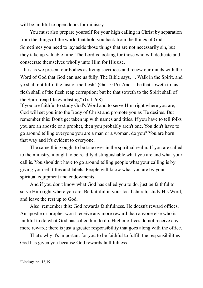will be faithful to open doors for ministry.

You must also prepare yourself for your high calling in Christ by separation from the things of the world that hold you back from the things of God. Sometimes you need to lay aside those things that are not necessarily sin, but they take up valuable time. The Lord is looking for those who will dedicate and consecrate themselves wholly unto Him for His use.

It is as we present our bodies as living sacrifices and renew our minds with the Word of God that God can use us fully. The Bible says, . . Walk in the Spirit, and ye shall not fulfil the lust of the flesh" (Gal. 5:16). And . . he that soweth to his flesh shall of the flesh reap corruption; but he that soweth to the Spirit shall of the Spirit reap life everlasting" (Gal. 6:8).

If you are faithful to study God's Word and to serve Him right where you are, God will set you into the Body of Christ and promote you as He desires. But remember this: Don't get taken up with names and titles. If you have to tell folks you are an apostle or a prophet, then you probably aren't one. You don't have to go around telling everyone you are a man or a woman, do you? You are born that way and it's evident to everyone.

The same thing ought to be true over in the spiritual realm. If you are called to the ministry, it ought to be readily distinguishable what you are and what your call is. You shouldn't have to go around telling people what your calling is by giving yourself titles and labels. People will know what you are by your spiritual equipment and endowments.

And if you don't know what God has called you to do, just be faithful to serve Him right where you are. Be faithful in your local church, study His Word, and leave the rest up to God.

Also, remember this: God rewards faithfulness. He doesn't reward offices. An apostle or prophet won't receive any more reward than anyone else who is faithful to do what God has called him to do. Higher offices do not receive any more reward; there is just a greater responsibility that goes along with the office.

That's why it's important for you to be faithful to fulfill the responsibilities God has given you because God rewards faithfulness]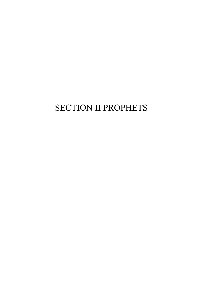# SECTION II PROPHETS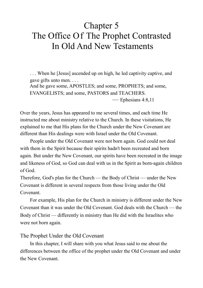## Chapter 5 The Office Of The Prophet Contrasted In Old And New Testaments

. . . When he [Jesus] ascended up on high, he led captivity captive, and gave gifts unto men. . . .

And he gave some, APOSTLES; and some, PROPHETS; and some, EVANGELISTS; and some, PASTORS and TEACHERS.

— Ephesians 4:8,11

Over the years, Jesus has appeared to me several times, and each time He instructed me about ministry relative to the Church. In these visitations, He explained to me that His plans for the Church under the New Covenant are different than His dealings were with Israel under the Old Covenant.

People under the Old Covenant were not born again. God could not deal with them in the Spirit because their spirits hadn't been recreated and born again. But under the New Covenant, our spirits have been recreated in the image and likeness of God, so God can deal with us in the Spirit as born-again children of God.

Therefore, God's plan for the Church — the Body of Christ — under the New Covenant is different in several respects from those living under the Old Covenant.

For example, His plan for the Church in ministry is different under the New Covenant than it was under the Old Covenant. God deals with the Church — the Body of Christ — differently in ministry than He did with the Israelites who were not born again.

#### The Prophet Under the Old Covenant

In this chapter, I will share with you what Jesus said to me about the differences between the office of the prophet under the Old Covenant and under the New Covenant.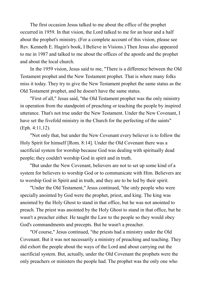The first occasion Jesus talked to me about the office of the prophet occurred in 1959. In that vision, the Lord talked to me for an hour and a half about the prophet's ministry. (For a complete account of this vision, please see Rev. Kenneth E. Hagin's book, I Believe in Visions.) Then Jesus also appeared to me in 1987 and talked to me about the offices of the apostle and the prophet and about the local church.

In the 1959 vision, Jesus said to me, "There is a difference between the Old Testament prophet and the New Testament prophet. That is where many folks miss it today. They try to give the New Testament prophet the same status as the Old Testament prophet, and he doesn't have the same status.

"First of all," Jesus said, "the Old Testament prophet was the only ministry in operation from the standpoint of preaching or teaching the people by inspired utterance. That's not true under the New Testament. Under the New Covenant, I have set the fivefold ministry in the Church for the perfecting of the saints" (Eph. 4:11,12).

"Not only that, but under the New Covenant every believer is to follow the Holy Spirit for himself [Rom. 8:14]. Under the Old Covenant there was a sacrificial system for worship because God was dealing with spiritually dead people; they couldn't worship God in spirit and in truth.

"But under the New Covenant, believers are not to set up some kind of a system for believers to worship God or to communicate with Him. Believers are to worship God in Spirit and in truth, and they are to be led by their spirit.

"Under the Old Testament," Jesus continued, "the only people who were specially anointed by God were the prophet, priest, and king. The king was anointed by the Holy Ghost to stand in that office, but he was not anointed to preach. The priest was anointed by the Holy Ghost to stand in that office, but he wasn't a preacher either. He taught the Law to the people so they would obey God's commandments and precepts. But he wasn't a preacher.

"Of course," Jesus continued, "the priests had a ministry under the Old Covenant. But it was not necessarily a ministry of preaching and teaching. They did exhort the people about the ways of the Lord and about carrying out the sacrificial system. But, actually, under the Old Covenant the prophets were the only preachers or ministers the people had. The prophet was the only one who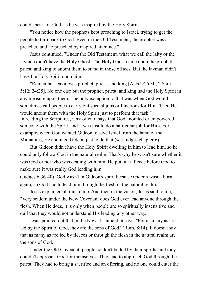could speak for God, as he was inspired by the Holy Spirit.

"You notice how the prophets kept preaching to Israel, trying to get the people to turn back to God. Even in the Old Testament, the prophet was a preacher, and he preached by inspired utterance."

Jesus continued, "Under the Old Testament, what we call the laity or the laymen didn't have the Holy Ghost. The Holy Ghost came upon the prophet, priest, and king to anoint them to stand in those offices. But the layman didn't have the Holy Spirit upon him.

"Remember David was prophet, priest, and king [Acts 2:25,30; 2 Sam. 5:12; 24:25]. No one else but the prophet, priest, and king had the Holy Spirit in any measure upon them. The only exception to that was when God would sometimes call people to carry out special jobs or functions for Him. Then He would anoint them with the Holy Spirit just to perform that task." In reading the Scriptures, very often it says that God anointed or empowered someone with the Spirit, and it was just to do a particular job for Him. For example, when God wanted Gideon to save Israel from the hand of the Midianites, He anointed Gideon just to do that (see Judges chapter 6).

But Gideon didn't have the Holy Spirit dwelling in him to lead him, so he could only follow God in the natural realm. That's why he wasn't sure whether it was God or not who was dealing with him. He put out a fleece before God to make sure it was really God leading him

(Judges 6:36-40). God wasn't in Gideon's spirit because Gideon wasn't born again, so God had to lead him through the flesh in the natural realm.

Jesus explained all this to me. And then in the vision, Jesus said to me, "Very seldom under the New Covenant does God ever lead anyone through the flesh. When He does, it is only when people are so spiritually insensitive and dull that they would not understand His leading any other way."

Jesus pointed out that in the New Testament, it says, "For as many as are led by the Spirit of God, they are the sons of God" (Rom. 8:14). It doesn't say that as many as are led by fleeces or through the flesh in the natural realm are the sons of God.

Under the Old Covenant, people couldn't be led by their spirits, and they couldn't approach God for themselves. They had to approach God through the priest. They had to bring a sacrifice and an offering, and no one could enter the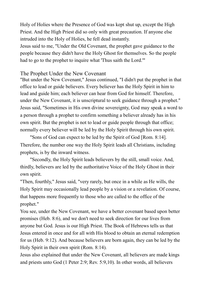Holy of Holies where the Presence of God was kept shut up, except the High Priest. And the High Priest did so only with great precaution. If anyone else intruded into the Holy of Holies, he fell dead instantly.

Jesus said to me, "Under the Old Covenant, the prophet gave guidance to the people because they didn't have the Holy Ghost for themselves. So the people had to go to the prophet to inquire what 'Thus saith the Lord.'"

#### The Prophet Under the New Covenant

"But under the New Covenant," Jesus continued, "I didn't put the prophet in that office to lead or guide believers. Every believer has the Holy Spirit in him to lead and guide him; each believer can hear from God for himself. Therefore, under the New Covenant, it is unscriptural to seek guidance through a prophet." Jesus said, "Sometimes in His own divine sovereignty, God may speak a word to a person through a prophet to confirm something a believer already has in his own spirit. But the prophet is not to lead or guide people through that office; normally every believer will be led by the Holy Spirit through his own spirit.

"Sons of God can expect to be led by the Spirit of God [Rom. 8:14]. Therefore, the number one way the Holy Spirit leads all Christians, including prophets, is by the inward witness.

"Secondly, the Holy Spirit leads believers by the still, small voice. And, thirdly, believers are led by the authoritative Voice of the Holy Ghost in their own spirit.

"Then, fourthly," Jesus said, "very rarely, but once in a while as He wills, the Holy Spirit may occasionally lead people by a vision or a revelation. Of course, that happens more frequently to those who are called to the office of the prophet."

You see, under the New Covenant, we have a better covenant based upon better promises (Heb. 8:6), and we don't need to seek direction for our lives from anyone but God. Jesus is our High Priest. The Book of Hebrews tells us that Jesus entered in once and for all with His blood to obtain an eternal redemption for us (Heb. 9:12). And because believers are born again, they can be led by the Holy Spirit in their own spirit (Rom. 8:14).

Jesus also explained that under the New Covenant, all believers are made kings and priests unto God (1 Peter 2:9; Rev. 5:9,10). In other words, all believers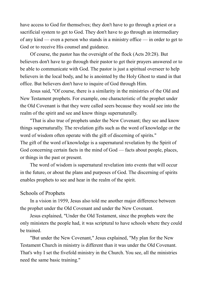have access to God for themselves; they don't have to go through a priest or a sacrificial system to get to God. They don't have to go through an intermediary of any kind — even a person who stands in a ministry office — in order to get to God or to receive His counsel and guidance.

Of course, the pastor has the oversight of the flock (Acts 20:28). But believers don't have to go through their pastor to get their prayers answered or to be able to communicate with God. The pastor is just a spiritual overseer to help believers in the local body, and he is anointed by the Holy Ghost to stand in that office. But believers don't have to inquire of God through Him.

Jesus said, "Of course, there is a similarity in the ministries of the Old and New Testament prophets. For example, one characteristic of the prophet under the Old Covenant is that they were called seers because they would see into the realm of the spirit and see and know things supernaturally.

"That is also true of prophets under the New Covenant; they see and know things supernaturally. The revelation gifts such as the word of knowledge or the word of wisdom often operate with the gift of discerning of spirits." The gift of the word of knowledge is a supernatural revelation by the Spirit of God concerning certain facts in the mind of God — facts about people, places, or things in the past or present.

The word of wisdom is supernatural revelation into events that will occur in the future, or about the plans and purposes of God. The discerning of spirits enables prophets to see and hear in the realm of the spirit.

#### Schools of Prophets

In a vision in 1959, Jesus also told me another major difference between the prophet under the Old Covenant and under the New Covenant.

Jesus explained, "Under the Old Testament, since the prophets were the only ministers the people had, it was scriptural to have schools where they could be trained.

"But under the New Covenant," Jesus explained, "My plan for the New Testament Church in ministry is different than it was under the Old Covenant. That's why I set the fivefold ministry in the Church. You see, all the ministries need the same basic training."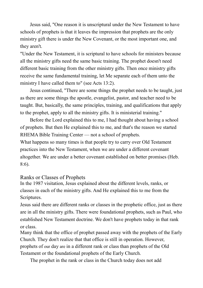Jesus said, "One reason it is unscriptural under the New Testament to have schools of prophets is that it leaves the impression that prophets are the only ministry gift there is under the New Covenant, or the most important one, and they aren't.

"Under the New Testament, it is scriptural to have schools for ministers because all the ministry gifts need the same basic training. The prophet doesn't need different basic training from the other ministry gifts. Then once ministry gifts receive the same fundamental training, let Me separate each of them unto the ministry I have called them to" (see Acts 13:2).

Jesus continued, "There are some things the prophet needs to be taught, just as there are some things the apostle, evangelist, pastor, and teacher need to be taught. But, basically, the same principles, training, and qualifications that apply to the prophet, apply to all the ministry gifts. It is ministerial training."

Before the Lord explained this to me, I had thought about having a school of prophets. But then He explained this to me, and that's the reason we started RHEMA Bible Training Center — not a school of prophets. What happens so many times is that people try to carry over Old Testament practices into the New Testament, when we are under a different covenant altogether. We are under a better covenant established on better promises (Heb. 8:6).

## Ranks or Classes of Prophets

In the 1987 visitation, Jesus explained about the different levels, ranks, or classes in each of the ministry gifts. And He explained this to me from the Scriptures.

Jesus said there are different ranks or classes in the prophetic office, just as there are in all the ministry gifts. There were foundational prophets, such as Paul, who established New Testament doctrine. We don't have prophets today in that rank or class.

Many think that the office of prophet passed away with the prophets of the Early Church. They don't realize that that office is still in operation. However, prophets of our day are in a different rank or class than prophets of the Old Testament or the foundational prophets of the Early Church.

The prophet in the rank or class in the Church today does not add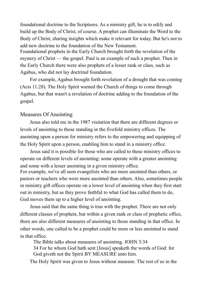foundational doctrine to the Scriptures. As a ministry gift, he is to edify and build up the Body of Christ, of course. A prophet can illuminate the Word to the Body of Christ, sharing insights which make it relevant for today. But he's not to add new doctrine to the foundation of the New Testament.

Foundational prophets in the Early Church brought forth the revelation of the mystery of Christ — the gospel. Paul is an example of such a prophet. Then in the Early Church there were also prophets of a lesser rank or class, such as Agabus, who did not lay doctrinal foundation.

For example, Agabus brought forth revelation of a drought that was coming (Acts 11:28). The Holy Spirit warned the Church of things to come through Agabus, but that wasn't a revelation of doctrine adding to the foundation of the gospel.

## Measures Of Anointing

Jesus also told me in the 1987 visitation that there are different degrees or levels of anointing to those standing in the fivefold ministry offices. The anointing upon a person for ministry refers to the empowering and equipping of the Holy Spirit upon a person, enabling him to stand in a ministry office.

Jesus said it is possible for those who are called to these ministry offices to operate on different levels of anointing; some operate with a greater anointing and some with a lesser anointing in a given ministry office.

For example, we've all seen evangelists who are more anointed than others, or pastors or teachers who were more anointed than others. Also, sometimes people in ministry gift offices operate on a lower level of anointing when they first start out in ministry, but as they prove faithful to what God has called them to do, God moves them up to a higher level of anointing.

Jesus said that the same thing is true with the prophet. There are not only different classes of prophets, but within a given rank or class of prophetic office, there are also different measures of anointing to those standing in that office. In other words, one called to be a prophet could be more or less anointed to stand in that office.

The Bible talks about measures of anointing. JOHN 3:34

34 For he whom God hath sent [Jesus] speaketh the words of God: for God giveth not the Spirit BY MEASURE unto him.

The Holy Spirit was given to Jesus without measure. The rest of us in the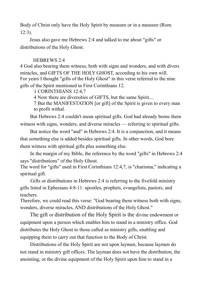Body of Christ only have the Holy Spirit by measure or in a measure (Rom. 12:3).

Jesus also gave me Hebrews 2:4 and talked to me about "gifts" or distributions of the Holy Ghost.

#### HEBREWS 2:4

4 God also bearing them witness, both with signs and wonders, and with divers miracles, and GIFTS OF THE HOLY GHOST, according to his own will. For years I thought "gifts of the Holy Ghost" in this verse referred to the nine gifts of the Spirit mentioned in First Corinthians 12.

1 CORINTHIANS 12:4,7

4 Now there are diversities of GIFTS, but the same Spirit....

7 But the MANIFESTATION [or gift] of the Spirit is given to every man to profit withal.

But Hebrews 2:4 couldn't mean spiritual gifts. God had already borne them witness with signs, wonders, and diverse miracles — referring to spiritual gifts.

But notice the word "and" in Hebrews 2:4. It is a conjunction, and it means that something else is added besides spiritual gifts. In other words, God bore them witness with spiritual gifts plus something else.

In the margin of my Bible, the reference by the word "gifts" in Hebrews 2:4 says "distributions" of the Holy Ghost.

The word for "gifts" used in First Corinthians 12:4,7, is "charisma," indicating a spiritual gift.

Gifts or distributions in Hebrews 2:4 is referring to the fivefold ministry gifts listed in Ephesians 4:8-11: apostles, prophets, evangelists, pastors, and teachers.

Therefore, we could read this verse: "God bearing them witness both with signs, wonders, diverse miracles, AND distributions of the Holy Ghost."

The gift or distribution of the Holy Spirit is the divine endowment or equipment upon a person which enables him to stand in a ministry office. God distributes the Holy Ghost to those called as ministry gifts, enabling and equipping them to carry out that function to the Body of Christ.

Distributions of the Holy Spirit are not upon laymen, because laymen do not stand in ministry gift offices. The layman does not have the distribution, the anointing, or the divine equipment of the Holy Spirit upon him to stand in a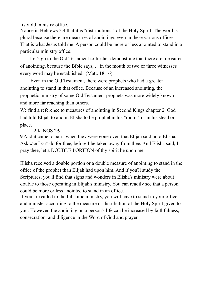fivefold ministry office.

Notice in Hebrews 2:4 that it is "distributions," of the Holy Spirit. The word is plural because there are measures of anointings even in these various offices. That is what Jesus told me. A person could be more or less anointed to stand in a particular ministry office.

Let's go to the Old Testament to further demonstrate that there are measures of anointing, because the Bible says, . . in the mouth of two or three witnesses every word may be established" (Matt. 18:16).

Even in the Old Testament, there were prophets who had a greater anointing to stand in that office. Because of an increased anointing, the prophetic ministry of some Old Testament prophets was more widely known and more far reaching than others.

We find a reference to measures of anointing in Second Kings chapter 2. God had told Elijah to anoint Elisha to be prophet in his "room," or in his stead or place.

2 KINGS 2:9

9 And it came to pass, when they were gone over, that Elijah said unto Elisha, Ask what I shall do for thee, before I be taken away from thee. And Elisha said, I pray thee, let a DOUBLE PORTION of thy spirit be upon me.

Elisha received a double portion or a double measure of anointing to stand in the office of the prophet than Elijah had upon him. And if you'll study the Scriptures, you'll find that signs and wonders in Elisha's ministry were about double to those operating in Elijah's ministry. You can readily see that a person could be more or less anointed to stand in an office.

If you are called to the full-time ministry, you will have to stand in your office and minister according to the measure or distribution of the Holy Spirit given to you. However, the anointing on a person's life can be increased by faithfulness, consecration, and diligence in the Word of God and prayer.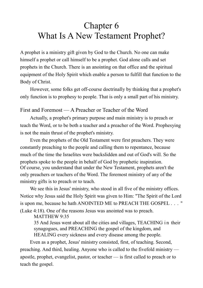## Chapter 6 What Is A New Testament Prophet?

A prophet is a ministry gift given by God to the Church. No one can make himself a prophet or call himself to be a prophet. God alone calls and set prophets in the Church. There is an anointing on that office and the spiritual equipment of the Holy Spirit which enable a person to fulfill that function to the Body of Christ.

However, some folks get off-course doctrinally by thinking that a prophet's only function is to prophesy to people. That is only a small part of his ministry.

## First and Foremost — A Preacher or Teacher of the Word

Actually, a prophet's primary purpose and main ministry is to preach or teach the Word, or to be both a teacher and a preacher of the Word. Prophesying is not the main thrust of the prophet's ministry.

Even the prophets of the Old Testament were first preachers. They were constantly preaching to the people and calling them to repentance, because much of the time the Israelites were backslidden and out of God's will. So the prophets spoke to the people in behalf of God by prophetic inspiration. Of course, you understand that under the New Testament, prophets aren't the only preachers or teachers of the Word. The foremost ministry of any of the ministry gifts is to preach or to teach.

We see this in Jesus' ministry, who stood in all five of the ministry offices. Notice why Jesus said the Holy Spirit was given to Him: "The Spirit of the Lord is upon me, because he hath ANOINTED ME to PREACH THE GOSPEL . . . "

(Luke 4:18). One of the reasons Jesus was anointed was to preach.

MATTHEW 9:35

35 And Jesus went about all the cities and villages, TEACHING i n their synagogues, and PREACHING the gospel of the kingdom, and HEALING every sickness and every disease among the people.

Even as a prophet, Jesus' ministry consisted, first, of teaching. Second, preaching. And third, healing. Anyone who is called to the fivefold ministry apostle, prophet, evangelist, pastor, or teacher — is first called to preach or to teach the gospel.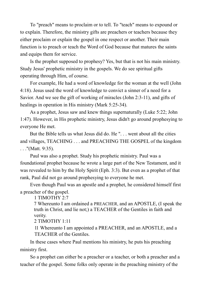To "preach" means to proclaim or to tell. To "teach" means to expound or to explain. Therefore, the ministry gifts are preachers or teachers because they either proclaim or explain the gospel in one respect or another. Their main function is to preach or teach the Word of God because that matures the saints and equips them for service.

Is the prophet supposed to prophesy? Yes, but that is not his main ministry. Study Jesus' prophetic ministry in the gospels. We do see spiritual gifts operating through Him, of course.

For example, He had a word of knowledge for the woman at the well (John 4:18). Jesus used the word of knowledge to convict a sinner of a need for a Savior. And we see the gift of working of miracles (John 2:3-11), and gifts of healings in operation in His ministry (Mark 5:25-34).

As a prophet, Jesus saw and knew things supernaturally (Luke 5:22; John 1:47). However, in His prophetic ministry, Jesus didn't go around prophesying to everyone He met.

But the Bible tells us what Jesus did do. He ". . . went about all the cities and villages, TEACHING . . . and PREACHING THE GOSPEL of the kingdom . . ."(Matt. 9:35).

Paul was also a prophet. Study his prophetic ministry. Paul was a foundational prophet because he wrote a large part of the New Testament, and it was revealed to him by the Holy Spirit (Eph. 3:3). But even as a prophet of that rank, Paul did not go around prophesying to everyone he met.

Even though Paul was an apostle and a prophet, he considered himself first a preacher of the gospel.

1 TIMOTHY 2:7

7 Whereunto I am ordained a PREACHER, and an APOSTLE, (I speak the truth in Christ, and lie not;) a TEACHER of the Gentiles in faith and verity.

2 TIMOTHY 1:11

11 Whereunto I am appointed a PREACHER, and an APOSTLE, and a TEACHER of the Gentiles.

In these cases where Paul mentions his ministry, he puts his preaching ministry first.

So a prophet can either be a preacher or a teacher, or both a preacher and a teacher of the gospel. Some folks only operate in the preaching ministry of the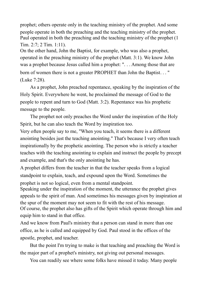prophet; others operate only in the teaching ministry of the prophet. And some people operate in both the preaching and the teaching ministry of the prophet. Paul operated in both the preaching and the teaching ministry of the prophet (1 Tim. 2:7; 2 Tim. 1:11).

On the other hand, John the Baptist, for example, who was also a prophet, operated in the preaching ministry of the prophet (Matt. 3:1). We know John was a prophet because Jesus called him a prophet: ". . . Among those that are born of women there is not a greater PROPHET than John the Baptist. . . " (Luke 7:28).

As a prophet, John preached repentance, speaking by the inspiration of the Holy Spirit. Everywhere he went, he proclaimed the message of God to the people to repent and turn to God (Matt. 3:2). Repentance was his prophetic message to the people.

The prophet not only preaches the Word under the inspiration of the Holy Spirit, but he can also teach the Word by inspiration too.

Very often people say to me, "When you teach, it seems there is a different anointing besides just the teaching anointing." That's because I very often teach inspirationally by the prophetic anointing. The person who is strictly a teacher teaches with the teaching anointing to explain and instruct the people by precept and example, and that's the only anointing he has.

A prophet differs from the teacher in that the teacher speaks from a logical standpoint to explain, teach, and expound upon the Word. Sometimes the prophet is not so logical, even from a mental standpoint.

Speaking under the inspiration of the moment, the utterance the prophet gives appeals to the spirit of man. And sometimes his messages given by inspiration at the spur of the moment may not seem to fit with the rest of his message. Of course, the prophet also has gifts of the Spirit which operate through him and equip him to stand in that office.

And we know from Paul's ministry that a person can stand in more than one office, as he is called and equipped by God. Paul stood in the offices of the apostle, prophet, and teacher.

But the point I'm trying to make is that teaching and preaching the Word is the major part of a prophet's ministry, not giving out personal messages.

You can readily see where some folks have missed it today. Many people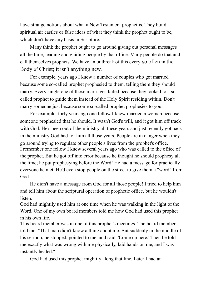have strange notions about what a New Testament prophet is. They build spiritual air castles or false ideas of what they think the prophet ought to be, which don't have any basis in Scripture.

Many think the prophet ought to go around giving out personal messages all the time, leading and guiding people by that office. Many people do that and call themselves prophets. We have an outbreak of this every so often in the Body of Christ; it isn't anything new.

For example, years ago I knew a number of couples who got married because some so-called prophet prophesied to them, telling them they should marry. Every single one of those marriages failed because they looked to a socalled prophet to guide them instead of the Holy Spirit residing within. Don't marry someone just because some so-called prophet prophesies to you.

For example, forty years ago one fellow I knew married a woman because someone prophesied that he should. It wasn't God's will, and it got him off track with God. He's been out of the ministry all these years and just recently got back in the ministry God had for him all those years. People are in danger when they go around trying to regulate other people's lives from the prophet's office. I remember one fellow I knew several years ago who was called to the office of the prophet. But he got off into error because he thought he should prophesy all the time; he put prophesying before the Word! He had a message for practically everyone he met. He'd even stop people on the street to give them a "word" from God.

He didn't have a message from God for all those people! I tried to help him and tell him about the scriptural operation of prophetic office, but he wouldn't listen.

God had mightily used him at one time when he was walking in the light of the Word. One of my own board members told me how God had used this prophet in his own life.

This board member was in one of this prophet's meetings. The board member told me, "That man didn't know a thing about me. But suddenly in the middle of his sermon, he stopped, pointed to me, and said, 'Come up here.' Then he told me exactly what was wrong with me physically, laid hands on me, and I was instantly healed."

God had used this prophet mightily along that line. Later I had an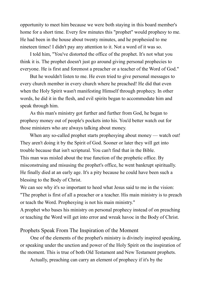opportunity to meet him because we were both staying in this board member's home for a short time. Every few minutes this "prophet" would prophesy to me. He had been in the house about twenty minutes, and he prophesied to me nineteen times! I didn't pay any attention to it. Not a word of it was so.

I told him, "You've distorted the office of the prophet. It's not what you think it is. The prophet doesn't just go around giving personal prophecies to everyone. He is first and foremost a preacher or a teacher of the Word of God."

But he wouldn't listen to me. He even tried to give personal messages to every church member in every church where he preached! He did that even when the Holy Spirit wasn't manifesting Himself through prophecy. In other words, he did it in the flesh, and evil spirits began to accommodate him and speak through him.

As this man's ministry got further and further from God, he began to prophesy money out of people's pockets into his. You'd better watch out for those ministers who are always talking about money.

When any so-called prophet starts prophesying about money — watch out! They aren't doing it by the Spirit of God. Sooner or later they will get into trouble because that isn't scriptural. You can't find that in the Bible. This man was misled about the true function of the prophetic office. By misconstruing and misusing the prophet's office, he went bankrupt spiritually. He finally died at an early age. It's a pity because he could have been such a blessing to the Body of Christ.

We can see why it's so important to heed what Jesus said to me in the vision: "The prophet is first of all a preacher or a teacher. His main ministry is to preach or teach the Word. Prophesying is not his main ministry."

A prophet who bases his ministry on personal prophecy instead of on preaching or teaching the Word will get into error and wreak havoc in the Body of Christ.

#### Prophets Speak From The Inspiration of the Moment

One of the elements of the prophet's ministry is divinely inspired speaking, or speaking under the unction and power of the Holy Spirit on the inspiration of the moment. This is true of both Old Testament and New Testament prophets.

Actually, preaching can carry an element of prophecy if it's by the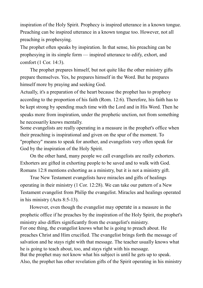inspiration of the Holy Spirit. Prophecy is inspired utterance in a known tongue. Preaching can be inspired utterance in a known tongue too. However, not all preaching is prophesying.

The prophet often speaks by inspiration. In that sense, his preaching can be prophesying in its simple form — inspired utterance to edify, exhort, and comfort (1 Cor. 14:3).

The prophet prepares himself, but not quite like the other ministry gifts prepare themselves. Yes, he prepares himself in the Word. But he prepares himself more by praying and seeking God.

Actually, it's a preparation of the heart because the prophet has to prophesy according to the proportion of his faith (Rom. 12:6). Therefore, his faith has to be kept strong by spending much time with the Lord and in His Word. Then he speaks more from inspiration, under the prophetic unction, not from something he necessarily knows mentally.

Some evangelists are really operating in a measure in the prophet's office when their preaching is inspirational and given on the spur of the moment. To "prophesy" means to speak for another, and evangelists very often speak for God by the inspiration of the Holy Spirit.

On the other hand, many people we call evangelists are really exhorters. Exhorters are gifted in exhorting people to be saved and to walk with God. Romans 12:8 mentions exhorting as a ministry, but it is not a ministry gift.

True New Testament evangelists have miracles and gifts of healings operating in their ministry (1 Cor. 12:28). We can take our pattern of a New Testament evangelist from Philip the evangelist. Miracles and healings operated in his ministry (Acts 8:5-13).

However, even though the evangelist may operate in a measure in the prophetic office if he preaches by the inspiration of the Holy Spirit, the prophet's ministry also differs significantly from the evangelist's ministry. For one thing, the evangelist knows what he is going to preach about. He preaches Christ and Him crucified. The evangelist brings forth the message of salvation and he stays right with that message. The teacher usually knows what he is going to teach about, too, and stays right with his message. But the prophet may not know what his subject is until he gets up to speak. Also, the prophet has other revelation gifts of the Spirit operating in his ministry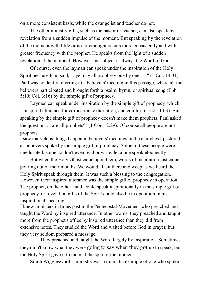on a more consistent basis, while the evangelist and teacher do not.

The other ministry gifts, such as the pastor or teacher, can also speak by revelation from a sudden impulse of the moment. But speaking by the revelation of the moment with little or no forethought occurs more consistently and with greater frequency with the prophet. He speaks from the light of a sudden revelation at the moment. However, his subject is always the Word of God.

Of course, even the layman can speak under the inspiration of the Holy Spirit because Paul said, . . ye may all prophesy one by one . . ." (1 Cor. 14:31). Paul was evidently referring to a believers' meeting in this passage, where all the believers participated and brought forth a psalm, hymn, or spiritual song (Eph. 5:19; Col. 3:16) by the simple gift of prophecy.

Laymen can speak under inspiration by the simple gift of prophecy, which is inspired utterance for edification, exhortation, and comfort (1 Cor. 14:3). But speaking by the simple gift of prophecy doesn't make them prophets. Paul asked the question, . . are all prophets?" (1 Cor. 12:29). Of course all people are not prophets.

I saw marvelous things happen in believers' meetings in the churches I pastored, as believers spoke by the simple gift of prophecy. Some of these people were uneducated; some couldn't even read or write, let alone speak eloquently.

But when the Holy Ghost came upon them, words of inspiration just came pouring out of their mouths. We would all sit there and weep as we heard the Holy Spirit speak through them. It was such a blessing to the congregation. However, their inspired utterance was the simple gift of prophecy in operation. The prophet, on the other hand, could speak inspirationally in the simple gift of prophecy, or revelation gifts of the Spirit could also be in operation in his inspirational speaking.

I knew ministers in times past in the Pentecostal Movement who preached and taught the Word by inspired utterance. In other words, they preached and taught more from the prophet's office by inspired utterance than they did from extensive notes. They studied the Word and waited before God in prayer, but they very seldom prepared a message.

They preached and taught the Word largely by inspiration. Sometimes they didn't know what they were going to say when they got up to speak, but the Holy Spirit gave it to them at the spur of the moment.

Smith Wigglesworth's ministry was a dramatic example of one who spoke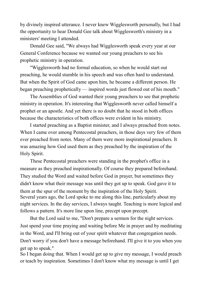by divinely inspired utterance. I never knew Wigglesworth personally, but I had the opportunity to hear Donald Gee talk about Wigglesworth's ministry in a ministers' meeting I attended.

Donald Gee said, "We always had Wigglesworth speak every year at our General Conference because we wanted our young preachers to see his prophetic ministry in operation.

"Wigglesworth had no formal education, so when he would start out preaching, he would stumble in his speech and was often hard to understand. But when the Spirit of God came upon him, he became a different person. He began preaching prophetically — inspired words just flowed out of his mouth."

The Assemblies of God wanted their young preachers to see that prophetic ministry in operation. It's interesting that Wigglesworth never called himself a prophet or an apostle. And yet there is no doubt that he stood in both offices because the characteristics of both offices were evident in his ministry.

I started preaching as a Baptist minister, and I always preached from notes. When I came over among Pentecostal preachers, in those days very few of them ever preached from notes. Many of them were more inspirational preachers. It was amazing how God used them as they preached by the inspiration of the Holy Spirit.

These Pentecostal preachers were standing in the prophet's office in a measure as they preached inspirationally. Of course they prepared beforehand. They studied the Word and waited before God in prayer, but sometimes they didn't know what their message was until they got up to speak. God gave it to them at the spur of the moment by the inspiration of the Holy Spirit. Several years ago, the Lord spoke to me along this line, particularly about my night services. In the day services, I always taught. Teaching is more logical and follows a pattern. It's more line upon line, precept upon precept.

But the Lord said to me, "Don't prepare a sermon for the night services. Just spend your time praying and waiting before Me in prayer and by meditating in the Word, and I'll bring out of your spirit whatever that congregation needs. Don't worry if you don't have a message beforehand. I'll give it to you when you get up to speak."

So I began doing that. When I would get up to give my message, I would preach or teach by inspiration. Sometimes I don't know what my message is until I get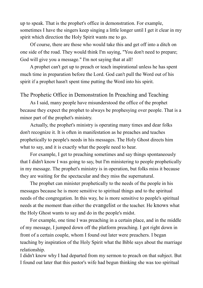up to speak. That is the prophet's office in demonstration. For example, sometimes I have the singers keep singing a little longer until I get it clear in my spirit which direction the Holy Spirit wants me to go.

Of course, there are those who would take this and get off into a ditch on one side of the road. They would think I'm saying, "You don't need to prepare; God will give you a message." I'm not saying that at all!

A prophet can't get up to preach or teach inspirational unless he has spent much time in preparation before the Lord. God can't pull the Word out of his spirit if a prophet hasn't spent time putting the Word into his spirit.

### The Prophetic Office in Demonstration In Preaching and Teaching

As I said, many people have misunderstood the office of the prophet because they expect the prophet to always be prophesying over people. That is a minor part of the prophet's ministry.

Actually, the prophet's ministry is operating many times and dear folks don't recognize it. It is often in manifestation as he preaches and teaches prophetically to people's needs in his messages. The Holy Ghost directs him what to say, and it is exactly what the people need to hear.

For example, I get to preaching sometimes and say things spontaneously that I didn't know I was going to say, but I'm ministering to people prophetically in my message. The prophet's ministry is in operation, but folks miss it because they are waiting for the spectacular and they miss the supernatural.

The prophet can minister prophetically to the needs of the people in his messages because he is more sensitive to spiritual things and to the spiritual needs of the congregation. In this way, he is more sensitive to people's spiritual needs at the moment than either the evangelist or the teacher. He knows what the Holy Ghost wants to say and do in the people's midst.

For example, one time I was preaching in a certain place, and in the middle of my message, I jumped down off the platform preaching. I got right down in front of a certain couple, whom I found out later were preachers. I began teaching by inspiration of the Holy Spirit what the Bible says about the marriage relationship.

I didn't know why I had departed from my sermon to preach on that subject. But I found out later that this pastor's wife had begun thinking she was too spiritual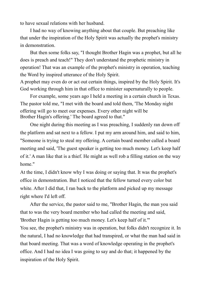to have sexual relations with her husband.

I had no way of knowing anything about that couple. But preaching like that under the inspiration of the Holy Spirit was actually the prophet's ministry in demonstration.

But then some folks say, "I thought Brother Hagin was a prophet, but all he does is preach and teach!" They don't understand the prophetic ministry in operation! That was an example of the prophet's ministry in operation, teaching the Word by inspired utterance of the Holy Spirit.

A prophet may even do or act out certain things, inspired by the Holy Spirit. It's God working through him in that office to minister supernaturally to people.

For example, some years ago I held a meeting in a certain church in Texas. The pastor told me, "I met with the board and told them, 'The Monday night offering will go to meet our expenses. Every other night will be Brother Hagin's offering.' The board agreed to that."

One night during this meeting as I was preaching, I suddenly ran down off the platform and sat next to a fellow. I put my arm around him, and said to him, "Someone is trying to steal my offering. A certain board member called a board meeting and said, 'The guest speaker is getting too much money. Let's keep half of it.' A man like that is a thief. He might as well rob a filling station on the way home."

At the time, I didn't know why I was doing or saying that. It was the prophet's office in demonstration. But I noticed that the fellow turned every color but white. After I did that, I ran back to the platform and picked up my message right where I'd left off.

After the service, the pastor said to me, "Brother Hagin, the man you said that to was the very board member who had called the meeting and said, 'Brother Hagin is getting too much money. Let's keep half of it.'" You see, the prophet's ministry was in operation, but folks didn't recognize it. In the natural, I had no knowledge that had transpired, or what the man had said in that board meeting. That was a word of knowledge operating in the prophet's office. And I had no idea I was going to say and do that; it happened by the inspiration of the Holy Spirit.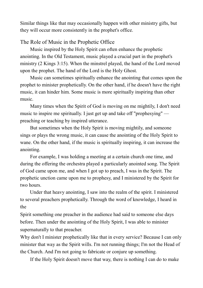Similar things like that may occasionally happen with other ministry gifts, but they will occur more consistently in the prophet's office.

# The Role of Music in the Prophetic Office

Music inspired by the Holy Spirit can often enhance the prophetic anointing. In the Old Testament, music played a crucial part in the prophet's ministry (2 Kings 3:15). When the minstrel played, the hand of the Lord moved upon the prophet. The hand of the Lord is the Holy Ghost.

Music can sometimes spiritually enhance the anointing that comes upon the prophet to minister prophetically. On the other hand, if he doesn't have the right music, it can hinder him. Some music is more spiritually inspiring than other music.

Many times when the Spirit of God is moving on me mightily, I don't need music to inspire me spiritually. I just get up and take off "prophesying" preaching or teaching by inspired utterance.

But sometimes when the Holy Spirit is moving mightily, and someone sings or plays the wrong music, it can cause the anointing of the Holy Spirit to wane. On the other hand, if the music is spiritually inspiring, it can increase the anointing.

For example, I was holding a meeting at a certain church one time, and during the offering the orchestra played a particularly anointed song. The Spirit of God came upon me, and when I got up to preach, I was in the Spirit. The prophetic unction came upon me to prophesy, and I ministered by the Spirit for two hours.

Under that heavy anointing, I saw into the realm of the spirit. I ministered to several preachers prophetically. Through the word of knowledge, I heard in the

Spirit something one preacher in the audience had said to someone else days before. Then under the anointing of the Holy Spirit, I was able to minister supernaturally to that preacher.

Why don't I minister prophetically like that in every service? Because I can only minister that way as the Spirit wills. I'm not running things; I'm not the Head of the Church. And I'm not going to fabricate or conjure up something.

If the Holy Spirit doesn't move that way, there is nothing I can do to make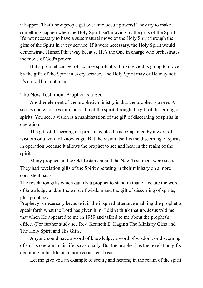it happen. That's how people get over into occult powers! They try to make something happen when the Holy Spirit isn't moving by the gifts of the Spirit. It's not necessary to have a supernatural move of the Holy Spirit through the gifts of the Spirit in every service. If it were necessary, the Holy Spirit would demonstrate Himself that way because He's the One in charge who orchestrates the move of God's power.

But a prophet can get off-course spiritually thinking God is going to move by the gifts of the Spirit in every service. The Holy Spirit may or He may not; it's up to Him, not man.

# The New Testament Prophet Is a Seer

Another element of the prophetic ministry is that the prophet is a seer. A seer is one who sees into the realm of the spirit through the gift of discerning of spirits. You see, a vision is a manifestation of the gift of discerning of spirits in operation.

The gift of discerning of spirits may also be accompanied by a word of wisdom or a word of knowledge. But the vision itself is the discerning of spirits in operation because it allows the prophet to see and hear in the realm of the spirit.

Many prophets in the Old Testament and the New Testament were seers. They had revelation gifts of the Spirit operating in their ministry on a more consistent basis.

The revelation gifts which qualify a prophet to stand in that office are the word of knowledge and/or the word of wisdom and the gift of discerning of spirits, plus prophecy.

Prophecy is necessary because it is the inspired utterance enabling the prophet to speak forth what the Lord has given him. I didn't think that up. Jesus told me that when He appeared to me in 1959 and talked to me about the prophet's office. (For further study see Rev. Kenneth E. Hagin's The Ministry Gifts and The Holy Spirit and His Gifts.)

Anyone could have a word of knowledge, a word of wisdom, or discerning of spirits operate in his life occasionally. But the prophet has the revelation gifts operating in his life on a more consistent basis.

Let me give you an example of seeing and hearing in the realm of the spirit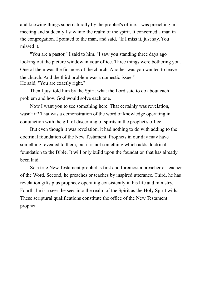and knowing things supernaturally by the prophet's office. I was preaching in a meeting and suddenly I saw into the realm of the spirit. It concerned a man in the congregation. I pointed to the man, and said, "If I miss it, just say, You missed it.'

"You are a pastor," I said to him. "I saw you standing three days ago looking out the picture window in your office. Three things were bothering you. One of them was the finances of the church. Another was you wanted to leave the church. And the third problem was a domestic issue." He said, "You are exactly right."

Then I just told him by the Spirit what the Lord said to do about each problem and how God would solve each one.

Now I want you to see something here. That certainly was revelation, wasn't it? That was a demonstration of the word of knowledge operating in conjunction with the gift of discerning of spirits in the prophet's office.

But even though it was revelation, it had nothing to do with adding to the doctrinal foundation of the New Testament. Prophets in our day may have something revealed to them, but it is not something which adds doctrinal foundation to the Bible. It will only build upon the foundation that has already been laid.

So a true New Testament prophet is first and foremost a preacher or teacher of the Word. Second, he preaches or teaches by inspired utterance. Third, he has revelation gifts plus prophecy operating consistently in his life and ministry. Fourth, he is a seer; he sees into the realm of the Spirit as the Holy Spirit wills. These scriptural qualifications constitute the office of the New Testament prophet.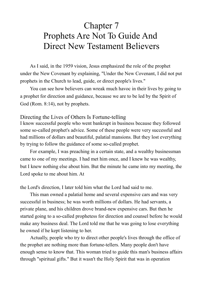# Chapter 7 Prophets Are Not To Guide And Direct New Testament Believers

As I said, in the 1959 vision, Jesus emphasized the role of the prophet under the New Covenant by explaining, "Under the New Covenant, I did not put prophets in the Church to lead, guide, or direct people's lives."

You can see how believers can wreak much havoc in their lives by going to a prophet for direction and guidance, because we are to be led by the Spirit of God (Rom. 8:14), not by prophets.

#### Directing the Lives of Others Is Fortune-telling

I know successful people who went bankrupt in business because they followed some so-called prophet's advice. Some of these people were very successful and had millions of dollars and beautiful, palatial mansions. But they lost everything by trying to follow the guidance of some so-called prophet.

For example, I was preaching in a certain state, and a wealthy businessman came to one of my meetings. I had met him once, and I knew he was wealthy, but I knew nothing else about him. But the minute he came into my meeting, the Lord spoke to me about him. At

the Lord's direction, I later told him what the Lord had said to me.

This man owned a palatial home and several expensive cars and was very successful in business; he was worth millions of dollars. He had servants, a private plane, and his children drove brand-new expensive cars. But then he started going to a so-called prophetess for direction and counsel before he would make any business deal. The Lord told me that he was going to lose everything he owned if he kept listening to her.

Actually, people who try to direct other people's lives through the office of the prophet are nothing more than fortune-tellers. Many people don't have enough sense to know that. This woman tried to guide this man's business affairs through "spiritual gifts." But it wasn't the Holy Spirit that was in operation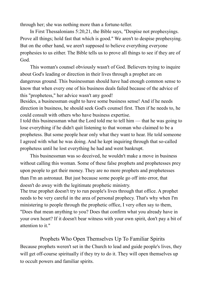through her; she was nothing more than a fortune-teller.

In First Thessalonians 5:20,21, the Bible says, "Despise not prophesyings. Prove all things; hold fast that which is good." We aren't to despise prophesying. But on the other hand, we aren't supposed to believe everything everyone prophesies to us either. The Bible tells us to prove all things to see if they are of God.

This woman's counsel obviously wasn't of God. Believers trying to inquire about God's leading or direction in their lives through a prophet are on dangerous ground. This businessman should have had enough common sense to know that when every one of his business deals failed because of the advice of this "prophetess," her advice wasn't any good!

Besides, a businessman ought to have some business sense! And if he needs direction in business, he should seek God's counsel first. Then if he needs to, he could consult with others who have business expertise.

I told this businessman what the Lord told me to tell him — that he was going to lose everything if he didn't quit listening to that woman who claimed to be a prophetess. But some people hear only what they want to hear. He told someone I agreed with what he was doing. And he kept inquiring through that so-called prophetess until he lost everything he had and went bankrupt.

This businessman was so deceived, he wouldn't make a move in business without calling this woman. Some of these false prophets and prophetesses prey upon people to get their money. They are no more prophets and prophetesses than I'm an astronaut. But just because some people go off into error, that doesn't do away with the legitimate prophetic ministry.

The true prophet doesn't try to run people's lives through that office. A prophet needs to be very careful in the area of personal prophecy. That's why when I'm ministering to people through the prophetic office, I very often say to them, "Does that mean anything to you? Does that confirm what you already have in your own heart? If it doesn't bear witness with your own spirit, don't pay a bit of attention to it."

Prophets Who Open Themselves Up To Familiar Spirits Because prophets weren't set in the Church to lead and guide people's lives, they will get off-course spiritually if they try to do it. They will open themselves up to occult powers and familiar spirits.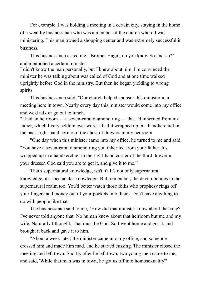For example, I was holding a meeting in a certain city, staying in the home of a wealthy businessman who was a member of the church where I was ministering. This man owned a shopping center and was extremely successful in business.

This businessman asked me, "Brother Hagin, do you know So-and-so?" and mentioned a certain minister.

I didn't know the man personally, but I knew about him. I'm convinced the minister he was talking about was called of God and at one time walked uprightly before God in the ministry. But then he began yielding to wrong spirits.

This businessman said, "Our church helped sponsor this minister in a meeting here in town. Nearly every day this minister would come into my office and we'd talk or go out to lunch.

"I had an heirloom — a seven-carat diamond ring — that I'd inherited from my father, which I very seldom ever wore. I had it wrapped up in a handkerchief in the back right-hand corner of the chest of drawers in my bedroom.

"One day when this minister came into my office, he turned to me and said, "You have a seven-carat diamond ring you inherited from your father. It's wrapped up in a handkerchief in the right-hand corner of the third drawer in your dresser. God said you are to get it, and give it to me.'"

That's supernatural knowledge, isn't it? It's not only supernatural knowledge, it's spectacular knowledge. But, remember, the devil operates in the supernatural realm too. You'd better watch those folks who prophesy rings off your fingers and money out of your pockets into theirs. Don't have anything to do with people like that.

The businessman said to me, "How did that minister know about that ring? I've never told anyone that. No human knew about that heirloom but me and my wife. Naturally I thought, That must be God. So I went home and got it, and brought it back and gave it to him.

"About a week later, the minister came into my office, and someone crossed him and made him mad, and he started cussing. The minister closed the meeting and left town. Shortly after he left town, two young men came to me, and said, 'While that man was in town, he got us off into homosexuality'"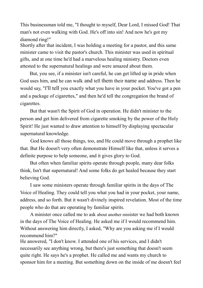This businessman told me, "I thought to myself, Dear Lord, I missed God! That man's not even walking with God. He's off into sin! And now he's got my diamond ring!"

Shortly after that incident, I was holding a meeting for a pastor, and this same minister came to visit the pastor's church. This minister was used in spiritual gifts, and at one time he'd had a marvelous healing ministry. Doctors even attested to the supernatural healings and were amazed about them.

But, you see, if a minister isn't careful, he can get lifted up in pride when God uses him, and he can walk and tell them their name and address. Then he would say, "I'll tell you exactly what you have in your pocket. You've got a pen and a package of cigarettes," and then he'd tell the congregation the brand of cigarettes.

But that wasn't the Spirit of God in operation. He didn't minister to the person and get him delivered from cigarette smoking by the power of the Holy Spirit! He just wanted to draw attention to himself by displaying spectacular supernatural knowledge.

God knows all those things, too, and He could move through a prophet like that. But He doesn't very often demonstrate Himself like that, unless it serves a definite purpose to help someone, and it gives glory to God.

But often when familiar spirits operate through people, many dear folks think, Isn't that supernatural! And some folks do get healed because they start believing God.

I saw some ministers operate through familiar spirits in the days of The Voice of Healing. They could tell you what you had in your pocket, your name, address, and so forth. But it wasn't divinely inspired revelation. Most of the time people who do that are operating by familiar spirits.

A minister once called me to ask about another minister we had both known in the days of The Voice of Healing. He asked me if I would recommend him. Without answering him directly, I asked, "Why are you asking me if I would recommend him?"

He answered, "I don't know. I attended one of his services, and I didn't necessarily see anything wrong, but there's just something that doesn't seem quite right. He says he's a prophet. He called me and wants my church to sponsor him for a meeting. But something down on the inside of me doesn't feel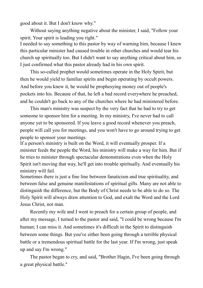good about it. But I don't know why."

Without saying anything negative about the minister, I said, "Follow your spirit. Your spirit is leading you right."

I needed to say something to this pastor by way of warning him, because I knew this particular minister had caused trouble in other churches and would tear his church up spiritually too. But I didn't want to say anything critical about him, so I just confirmed what this pastor already had in his own spirit.

This so-called prophet would sometimes operate in the Holy Spirit, but then he would yield to familiar spirits and begin operating by occult powers. And before you knew it, he would be prophesying money out of people's pockets into his. Because of that, he left a bad record everywhere he preached, and he couldn't go back to any of the churches where he had ministered before.

This man's ministry was suspect by the very fact that he had to try to get someone to sponsor him for a meeting. In my ministry, I've never had to call anyone yet to be sponsored. If you leave a good record whenever you preach, people will call you for meetings, and you won't have to go around trying to get people to sponsor your meetings.

If a person's ministry is built on the Word, it will eventually prosper. If a minister feeds the people the Word, his ministry will make a way for him. But if he tries to minister through spectacular demonstrations even when the Holy Spirit isn't moving that way, he'll get into trouble spiritually. And eventually his ministry will fail.

Sometimes there is just a fine line between fanaticism and true spirituality, and between false and genuine manifestations of spiritual gifts. Many are not able to distinguish the difference, but the Body of Christ needs to be able to do so. The Holy Spirit will always draw attention to God, and exalt the Word and the Lord Jesus Christ, not man.

Recently my wife and I went to preach for a certain group of people, and after my message, I turned to the pastor and said, "I could be wrong because I'm human; I can miss it. And sometimes it's difficult in the Spirit to distinguish between some things. But you've either been going through a terrible physical battle or a tremendous spiritual battle for the last year. If I'm wrong, just speak up and say I'm wrong."

The pastor began to cry, and said, "Brother Hagin, I've been going through a great physical battle."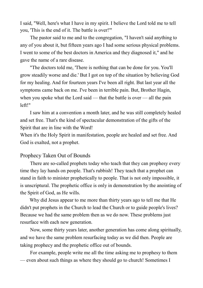I said, "Well, here's what I have in my spirit. I believe the Lord told me to tell you, 'This is the end of it. The battle is over!'"

The pastor said to me and to the congregation, "I haven't said anything to any of you about it, but fifteen years ago I had some serious physical problems. I went to some of the best doctors in America and they diagnosed it," and he gave the name of a rare disease.

"The doctors told me, 'There is nothing that can be done for you. You'll grow steadily worse and die.' But I got on top of the situation by believing God for my healing. And for fourteen years I've been all right. But last year all the symptoms came back on me. I've been in terrible pain. But, Brother Hagin, when you spoke what the Lord said — that the battle is over — all the pain left!"

I saw him at a convention a month later, and he was still completely healed and set free. That's the kind of spectacular demonstration of the gifts of the Spirit that are in line with the Word!

When it's the Holy Spirit in manifestation, people are healed and set free. And God is exalted, not a prophet.

### Prophecy Taken Out of Bounds

There are so-called prophets today who teach that they can prophesy every time they lay hands on people. That's rubbish! They teach that a prophet can stand in faith to minister prophetically to people. That is not only impossible, it is unscriptural. The prophetic office is only in demonstration by the anointing of the Spirit of God, as He wills.

Why did Jesus appear to me more than thirty years ago to tell me that He didn't put prophets in the Church to lead the Church or to guide people's lives? Because we had the same problem then as we do now. These problems just resurface with each new generation.

Now, some thirty years later, another generation has come along spiritually, and we have the same problem resurfacing today as we did then. People are taking prophecy and the prophetic office out of bounds.

For example, people write me all the time asking me to prophesy to them — even about such things as where they should go to church! Sometimes I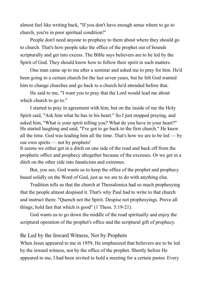almost feel like writing back, "If you don't have enough sense where to go to church, you're in poor spiritual condition!"

People don't need anyone to prophesy to them about where they should go to church. That's how people take the office of the prophet out of bounds scripturally and get into excess. The Bible says believers are to be led by the Spirit of God. They should know how to follow their spirit in such matters.

One man came up to me after a seminar and asked me to pray for him. He'd been going to a certain church for the last seven years, but he felt God wanted him to change churches and go back to a church he'd attended before that.

He said to me, "I want you to pray that the Lord would lead me about which church to go to."

I started to pray in agreement with him, but on the inside of me the Holy Spirit said, "Ask him what he has in his heart." So I just stopped praying, and asked him, "What is your spirit telling you? What do you have in your heart?" He started laughing and said, "I've got to go back to the first church." He knew all the time. God was leading him all the time. That's how we are to be  $led - by$ our own spirits — not by prophets!

It seems we either get in a ditch on one side of the road and back off from the prophetic office and prophecy altogether because of the excesses. Or we get in a ditch on the other side into fanaticism and extremes.

But, you see, God wants us to keep the office of the prophet and prophecy based solidly on the Word of God, just as we are to do with anything else.

Tradition tells us that the church at Thessalonica had so much prophesying that the people almost despised it. That's why Paul had to write to that church and instruct them: "Quench not the Spirit. Despise not prophesyings. Prove all things; hold fast that which is good" (1 Thess. 5:19-21).

God wants us to go down the middle of the road spiritually and enjoy the scriptural operation of the prophet's office and the scriptural gift of prophecy.

#### Be Led by the Inward Witness, Not by Prophets

When Jesus appeared to me in 1959, He emphasized that believers are to be led by the inward witness, not by the office of the prophet. Shortly before He appeared to me, I had been invited to hold a meeting for a certain pastor. Every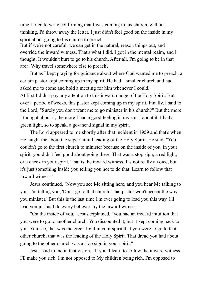time I tried to write confirming that I was coming to his church, without thinking, I'd throw away the letter. I just didn't feel good on the inside in my spirit about going to his church to preach.

But if we're not careful, we can get in the natural, reason things out, and override the inward witness. That's what I did. I got in the mental realm, and I thought, It wouldn't hurt to go to his church. After all, I'm going to be in that area. Why travel somewhere else to preach?

But as I kept praying for guidance about where God wanted me to preach, a certain pastor kept coming up in my spirit. He had a smaller church and had asked me to come and hold a meeting for him whenever I could. At first I didn't pay any attention to this inward nudge of the Holy Spirit. But over a period of weeks, this pastor kept coming up in my spirit. Finally, I said to

the Lord, "Surely you don't want me to go minister in his church?" But the more I thought about it, the more I had a good feeling in my spirit about it. I had a green light, so to speak, a go-ahead signal in my spirit.

The Lord appeared to me shortly after that incident in 1959 and that's when He taught me about the supernatural leading of the Holy Spirit. He said, "You couldn't go to the first church to minister because on the inside of you, in your spirit, you didn't feel good about going there. That was a stop sign, a red light, or a check in your spirit. That is the inward witness. It's not really a voice, but it's just something inside you telling you not to do that. Learn to follow that inward witness."

Jesus continued, "Now you see Me sitting here, and you hear Me talking to you. I'm telling you, 'Don't go to that church. That pastor won't accept the way you minister.' But this is the last time I'm ever going to lead you this way. I'll lead you just as I do every believer, by the inward witness.

"On the inside of you," Jesus explained, "you had an inward intuition that you were to go to another church. You discounted it, but it kept coming back to you. You see, that was the green light in your spirit that you were to go to that other church; that was the leading of the Holy Spirit. That dread you had about going to the other church was a stop sign in your spirit."

Jesus said to me in that vision, "If you'll learn to follow the inward witness, I'll make you rich. I'm not opposed to My children being rich. I'm opposed to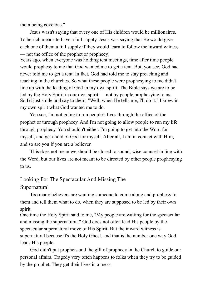them being covetous."

Jesus wasn't saying that every one of His children would be millionaires. To be rich means to have a full supply. Jesus was saying that He would give each one of them a full supply if they would learn to follow the inward witness — not the office of the prophet or prophecy.

Years ago, when everyone was holding tent meetings, time after time people would prophesy to me that God wanted me to get a tent. But, you see, God had never told me to get a tent. In fact, God had told me to stay preaching and teaching in the churches. So what these people were prophesying to me didn't line up with the leading of God in my own spirit. The Bible says we are to be led by the Holy Spirit in our own spirit — not by people prophesying to us. So I'd just smile and say to them, "Well, when He tells me, I'll do it." I knew in my own spirit what God wanted me to do.

You see, I'm not going to run people's lives through the office of the prophet or through prophecy. And I'm not going to allow people to run my life through prophecy. You shouldn't either. I'm going to get into the Word for myself, and get ahold of God for myself. After all, I am in contact with Him, and so are you if you are a believer.

This does not mean we should be closed to sound, wise counsel in line with the Word, but our lives are not meant to be directed by other people prophesying to us.

# Looking For The Spectacular And Missing The Supernatural

Too many believers are wanting someone to come along and prophesy to them and tell them what to do, when they are supposed to be led by their own spirit.

One time the Holy Spirit said to me, "My people are waiting for the spectacular and missing the supernatural." God does not often lead His people by the spectacular supernatural move of His Spirit. But the inward witness is supernatural because it's the Holy Ghost, and that is the number one way God leads His people.

God didn't put prophets and the gift of prophecy in the Church to guide our personal affairs. Tragedy very often happens to folks when they try to be guided by the prophet. They get their lives in a mess.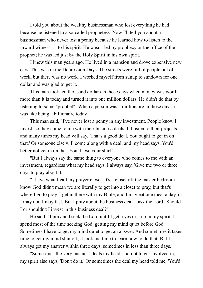I told you about the wealthy businessman who lost everything he had because he listened to a so-called prophetess. Now I'll tell you about a businessman who never lost a penny because he learned how to listen to the inward witness — to his spirit. He wasn't led by prophecy or the office of the prophet; he was led just by the Holy Spirit in his own spirit.

I knew this man years ago. He lived in a mansion and drove expensive new cars. This was in the Depression Days. The streets were full of people out of work, but there was no work. I worked myself from sunup to sundown for one dollar and was glad to get it.

This man took ten thousand dollars in those days when money was worth more than it is today and turned it into one million dollars. He didn't do that by listening to some "prophet"! When a person was a millionaire in those days, it was like being a billionaire today.

This man said, "I've never lost a penny in any investment. People know I invest, so they come to me with their business deals. I'll listen to their projects, and many times my head will say, 'That's a good deal. You ought to get in on that.' Or someone else will come along with a deal, and my head says, You'd better not get in on that. You'll lose your shirt.'

"But I always say the same thing to everyone who comes to me with an investment, regardless what my head says. I always say, 'Give me two or three days to pray about it.'

"I have what I call my prayer closet. It's a closet off the master bedroom. I know God didn't mean we are literally to get into a closet to pray, but that's where I go to pray. I get in there with my Bible, and I may eat one meal a day, or I may not. I may fast. But I pray about the business deal. I ask the Lord, 'Should I or shouldn't I invest in this business deal?'"

He said, "I pray and seek the Lord until I get a yes or a no in my spirit. I spend most of the time seeking God, getting my mind quiet before God. Sometimes I have to get my mind quiet to get an answer. And sometimes it takes time to get my mind shut off; it took me time to learn how to do that. But I always get my answer within three days, sometimes in less than three days.

"Sometimes the very business deals my head said not to get involved in, my spirit also says, 'Don't do it.' Or sometimes the deal my head told me, 'You'd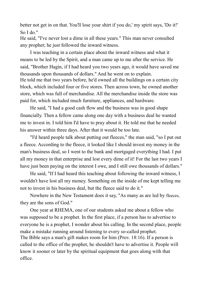better not get in on that. You'll lose your shirt if you do,' my spirit says, 'Do it!' So I do."

He said, "I've never lost a dime in all these years." This man never consulted any prophet; he just followed the inward witness.

I was teaching in a certain place about the inward witness and what it means to be led by the Spirit, and a man came up to me after the service. He said, "Brother Hagin, if I had heard you two years ago, it would have saved me thousands upon thousands of dollars." And he went on to explain. He told me that two years before, he'd owned all the buildings on a certain city block, which included four or five stores. Then across town, he owned another store, which was full of merchandise. All the merchandise inside the store was paid for, which included much furniture, appliances, and hardware.

He said, "I had a good cash flow and the business was in good shape financially. Then a fellow came along one day with a business deal he wanted me to invest in. I told him I'd have to pray about it. He told me that he needed his answer within three days. After that it would be too late.

"I'd heard people talk about putting out fleeces," the man said, "so I put out a fleece. According to the fleece, it looked like I should invest my money in the man's business deal, so I went to the bank and mortgaged everything I had. I put all my money in that enterprise and lost every dime of it! For the last two years I have just been paying on the interest I owe, and I still owe thousands of dollars."

He said, "If I had heard this teaching about following the inward witness, I wouldn't have lost all my money. Something on the inside of me kept telling me not to invest in his business deal, but the fleece said to do it."

Nowhere in the New Testament does it say, "As many as are led by fleeces, they are the sons of God."

One year at RHEMA, one of our students asked me about a fellow who was supposed to be a prophet. In the first place, if a person has to advertise to everyone he is a prophet, I wonder about his calling. In the second place, people make a mistake running around listening to every so-called prophet. The Bible says a man's gift makes room for him (Prov. 18:16). If a person is called to the office of the prophet, he shouldn't have to advertise it. People will know it sooner or later by the spiritual equipment that goes along with that office.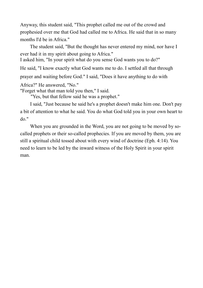Anyway, this student said, "This prophet called me out of the crowd and prophesied over me that God had called me to Africa. He said that in so many months I'd be in Africa."

The student said, "But the thought has never entered my mind, nor have I ever had it in my spirit about going to Africa."

I asked him, "In your spirit what do you sense God wants you to do?"

He said, "I know exactly what God wants me to do. I settled all that through

prayer and waiting before God." I said, "Does it have anything to do with

Africa?" He answered, "No."

"Forget what that man told you then," I said.

"Yes, but that fellow said he was a prophet."

I said, "Just because he said he's a prophet doesn't make him one. Don't pay a bit of attention to what he said. You do what God told you in your own heart to do."

When you are grounded in the Word, you are not going to be moved by socalled prophets or their so-called prophecies. If you are moved by them, you are still a spiritual child tossed about with every wind of doctrine (Eph. 4:14). You need to learn to be led by the inward witness of the Holy Spirit in your spirit man.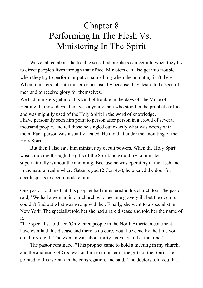# Chapter 8 Performing In The Flesh Vs. Ministering In The Spirit

We've talked about the trouble so-called prophets can get into when they try to direct people's lives through that office. Ministers can also get into trouble when they try to perform or put on something when the anointing isn't there. When ministers fall into this error, it's usually because they desire to be seen of men and to receive glory for themselves.

We had ministers get into this kind of trouble in the days of The Voice of Healing. In those days, there was a young man who stood in the prophetic office and was mightily used of the Holy Spirit in the word of knowledge. I have personally seen him point to person after person in a crowd of several thousand people, and tell those he singled out exactly what was wrong with them. Each person was instantly healed. He did that under the anointing of the Holy Spirit.

But then I also saw him minister by occult powers. When the Holy Spirit wasn't moving through the gifts of the Spirit, he would try to minister supernaturally without the anointing. Because he was operating in the flesh and in the natural realm where Satan is god (2 Cor. 4:4), he opened the door for occult spirits to accommodate him.

One pastor told me that this prophet had ministered in his church too. The pastor said, "We had a woman in our church who became gravely ill, but the doctors couldn't find out what was wrong with her. Finally, she went to a specialist in New York. The specialist told her she had a rare disease and told her the name of it.

"The specialist told her, 'Only three people in the North American continent have ever had this disease and there is no cure. You'll be dead by the time you are thirty-eight.' The woman was about thirty-six years old at the time."

The pastor continued, "This prophet came to hold a meeting in my church, and the anointing of God was on him to minister in the gifts of the Spirit. He pointed to this woman in the congregation, and said, 'The doctors told you that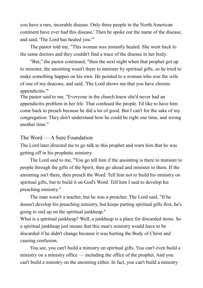you have a rare, incurable disease. Only three people in the North American continent have ever had this disease.' Then he spoke out the name of the disease, and said, 'The Lord has healed you.'"

The pastor told me, "This woman was instantly healed. She went back to the same doctors and they couldn't find a trace of the disease in her body.

"But," the pastor continued, "then the next night when that prophet got up to minister, the anointing wasn't there to minister by spiritual gifts, so he tried to make something happen on his own. He pointed to a woman who was the wife of one of my deacons, and said, 'The Lord shows me that you have chronic appendicitis.'"

The pastor said to me, "Everyone in the church knew she'd never had an appendicitis problem in her life. That confused the people. I'd like to have him come back to preach because he did a lot of good. But I can't for the sake of my congregation. They don't understand how he could be right one time, and wrong another time."

#### The Word — A Sure Foundation

The Lord later directed me to go talk to this prophet and warn him that he was getting off in his prophetic ministry.

The Lord said to me, "You go tell him if the anointing is there to minister to people through the gifts of the Spirit, then go ahead and minister to them. If the anointing isn't there, then preach the Word. Tell him not to build his ministry on spiritual gifts, but to build it on God's Word. Tell him I said to develop his preaching ministry."

The man wasn't a teacher, but he was a preacher. The Lord said, "If he doesn't develop his preaching ministry, but keeps putting spiritual gifts first, he's going to end up on the spiritual junkheap."

What is a spiritual junkheap? Well, a junkheap is a place for discarded items. So a spiritual junkheap just means that this man's ministry would have to be discarded if he didn't change because it was hurting the Body of Christ and causing confusion.

You see, you can't build a ministry on spiritual gifts. You can't even build a ministry on a ministry office — including the office of the prophet. And you can't build a ministry on the anointing either. In fact, you can't build a ministry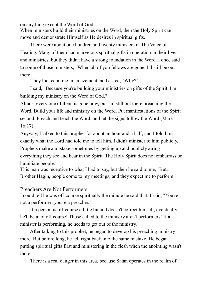on anything except the Word of God.

When ministers build their ministries on the Word, then the Holy Spirit can move and demonstrate Himself as He desires in spiritual gifts.

There were about one hundred and twenty ministers in The Voice of Healing. Many of them had marvelous spiritual gifts in operation in their lives and ministries, but they didn't have a strong foundation in the Word. I once said to some of those ministers, "When all of you fellows are gone, I'll still be out there."

They looked at me in amazement, and asked, "Why?"

I said, "Because you're building your ministries on gifts of the Spirit. I'm building my ministry on the Word of God."

Almost every one of them is gone now, but I'm still out there preaching the Word. Build your life and ministry on the Word. Put manifestations of the Spirit second. Preach and teach the Word, and let the signs follow the Word (Mark 16:17).

Anyway, I talked to this prophet for about an hour and a half, and I told him exactly what the Lord had told me to tell him. I didn't minister to him publicly.

Prophets make a mistake sometimes by getting up and publicly airing everything they see and hear in the Spirit. The Holy Spirit does not embarrass or humiliate people.

This man was receptive to what I had to say, but then he said to me, "But, Brother Hagin, people come to my meetings, and they expect me to perform."

#### Preachers Are Not Performers

I could tell he was off-course spiritually the minute he said that. I said, "You're not a performer; you're a preacher."

If a person is off-course a little bit and doesn't correct himself, eventually he'll be a lot off course! Those called to the ministry aren't performers! If a minister is performing, he needs to get out of the ministry.

After talking to this prophet, he began to develop his preaching ministry more. But before long, he fell right back into the same mistake. He began putting spiritual gifts first and ministering in the flesh when the anointing wasn't there.

There is a real danger in this area, because Satan operates in the realm of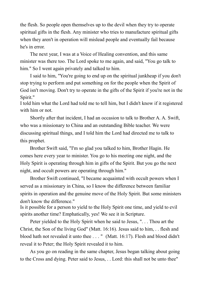the flesh. So people open themselves up to the devil when they try to operate spiritual gifts in the flesh. Any minister who tries to manufacture spiritual gifts when they aren't in operation will mislead people and eventually fail because he's in error.

The next year, I was at a Voice of Healing convention, and this same minister was there too. The Lord spoke to me again, and said, "You go talk to him." So I went again privately and talked to him.

I said to him, "You're going to end up on the spiritual junkheap if you don't stop trying to perform and put something on for the people when the Spirit of God isn't moving. Don't try to operate in the gifts of the Spirit if you're not in the Spirit."

I told him what the Lord had told me to tell him, but I didn't know if it registered with him or not.

Shortly after that incident, I had an occasion to talk to Brother A. A. Swift, who was a missionary to China and an outstanding Bible teacher. We were discussing spiritual things, and I told him the Lord had directed me to talk to this prophet.

Brother Swift said, "I'm so glad you talked to him, Brother Hagin. He comes here every year to minister. You go to his meeting one night, and the Holy Spirit is operating through him in gifts of the Spirit. But you go the next night, and occult powers are operating through him."

Brother Swift continued, "I became acquainted with occult powers when I served as a missionary in China, so I know the difference between familiar spirits in operation and the genuine move of the Holy Spirit. But some ministers don't know the difference."

Is it possible for a person to yield to the Holy Spirit one time, and yield to evil spirits another time? Emphatically, yes! We see it in Scripture.

Peter yielded to the Holy Spirit when he said to Jesus, ". . . Thou art the Christ, the Son of the living God" (Matt. 16:16). Jesus said to him, . . flesh and blood hath not revealed it unto thee . . . " (Matt. 16:17). Flesh and blood didn't reveal it to Peter; the Holy Spirit revealed it to him.

As you go on reading in the same chapter, Jesus began talking about going to the Cross and dying. Peter said to Jesus, . . Lord: this shall not be unto thee"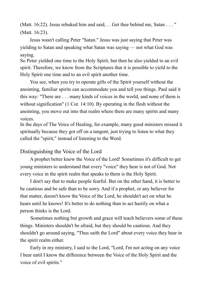(Matt. 16:22). Jesus rebuked him and said, . . Get thee behind me, Satan . . . " (Matt. 16:23).

Jesus wasn't calling Peter "Satan." Jesus was just saying that Peter was yielding to Satan and speaking what Satan was saying — not what God was saying.

So Peter yielded one time to the Holy Spirit, but then he also yielded to an evil spirit. Therefore, we know from the Scriptures that it is possible to yield to the Holy Spirit one time and to an evil spirit another time.

You see, when you try to operate gifts of the Spirit yourself without the anointing, familiar spirits can accommodate you and tell you things. Paul said it this way: "There are . . . many kinds of voices in the world, and none of them is without signification" (1 Cor. 14:10). By operating in the flesh without the anointing, you move out into that realm where there are many spirits and many voices.

In the days of The Voice of Healing, for example, many good ministers missed it spiritually because they got off on a tangent, just trying to listen to what they called the "spirit," instead of listening to the Word.

### Distinguishing the Voice of the Lord

A prophet better know the Voice of the Lord! Sometimes it's difficult to get young ministers to understand that every "voice" they hear is not of God. Not every voice in the spirit realm that speaks to them is the Holy Spirit.

I don't say that to make people fearful. But on the other hand, it is better to be cautious and be safe than to be sorry. And if a prophet, or any believer for that matter, doesn't know the Voice of the Lord, he shouldn't act on what he hears until he knows! It's better to do nothing than to act hastily on what a person thinks is the Lord.

Sometimes nothing but growth and grace will teach believers some of these things. Ministers shouldn't be afraid, but they should be cautious. And they shouldn't go around saying, "Thus saith the Lord" about every voice they hear in the spirit realm either.

Early in my ministry, I said to the Lord, "Lord, I'm not acting on any voice I hear until I know the difference between the Voice of the Holy Spirit and the voice of evil spirits."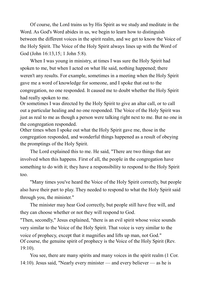Of course, the Lord trains us by His Spirit as we study and meditate in the Word. As God's Word abides in us, we begin to learn how to distinguish between the different voices in the spirit realm, and we get to know the Voice of the Holy Spirit. The Voice of the Holy Spirit always lines up with the Word of God (John 16:13,15; 1 John 5:8).

When I was young in ministry, at times I was sure the Holy Spirit had spoken to me, but when I acted on what He said, nothing happened; there weren't any results. For example, sometimes in a meeting when the Holy Spirit gave me a word of knowledge for someone, and I spoke that out to the congregation, no one responded. It caused me to doubt whether the Holy Spirit had really spoken to me.

Or sometimes I was directed by the Holy Spirit to give an altar call, or to call out a particular healing and no one responded. The Voice of the Holy Spirit was just as real to me as though a person were talking right next to me. But no one in the congregation responded.

Other times when I spoke out what the Holy Spirit gave me, those in the congregation responded, and wonderful things happened as a result of obeying the promptings of the Holy Spirit.

The Lord explained this to me. He said, "There are two things that are involved when this happens. First of all, the people in the congregation have something to do with it; they have a responsibility to respond to the Holy Spirit too.

"Many times you've heard the Voice of the Holy Spirit correctly, but people also have their part to play. They needed to respond to what the Holy Spirit said through you, the minister."

The minister may hear God correctly, but people still have free will, and they can choose whether or not they will respond to God.

"Then, secondly," Jesus explained, "there is an evil spirit whose voice sounds very similar to the Voice of the Holy Spirit. That voice is very similar to the voice of prophecy, except that it magnifies and lifts up man, not God." Of course, the genuine spirit of prophecy is the Voice of the Holy Spirit (Rev. 19:10).

You see, there are many spirits and many voices in the spirit realm (1 Cor. 14:10). Jesus said, "Nearly every minister — and every believer — as he is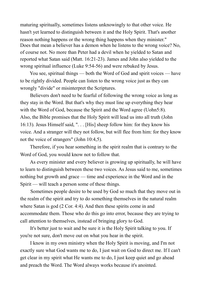maturing spiritually, sometimes listens unknowingly to that other voice. He hasn't yet learned to distinguish between it and the Holy Spirit. That's another reason nothing happens or the wrong thing happens when they minister." Does that mean a believer has a demon when he listens to the wrong voice? No, of course not. No more than Peter had a devil when he yielded to Satan and reported what Satan said (Matt. 16:21-23). James and John also yielded to the wrong spiritual influence (Luke 9:54-56) and were rebuked by Jesus.

You see, spiritual things — both the Word of God and spirit voices — have to be rightly divided. People can listen to the wrong voice just as they can wrongly "divide" or misinterpret the Scriptures.

Believers don't need to be fearful of following the wrong voice as long as they stay in the Word. But that's why they must line up everything they hear with the Word of God, because the Spirit and the Word agree (Uohn5:8). Also, the Bible promises that the Holy Spirit will lead us into all truth (John 16:13). Jesus Himself said, ". . . [His] sheep follow him: for they know his voice. And a stranger will they not follow, but will flee from him: for they know not the voice of strangers" (John 10:4,5).

Therefore, if you hear something in the spirit realm that is contrary to the Word of God, you would know not to follow that.

As every minister and every believer is growing up spiritually, he will have to learn to distinguish between these two voices. As Jesus said to me, sometimes nothing but growth and grace — time and experience in the Word and in the Spirit — will teach a person some of these things.

Sometimes people desire to be used by God so much that they move out in the realm of the spirit and try to do something themselves in the natural realm where Satan is god (2 Cor. 4:4). And then these spirits come in and accommodate them. Those who do this go into error, because they are trying to call attention to themselves, instead of bringing glory to God.

It's better just to wait and be sure it is the Holy Spirit talking to you. If you're not sure, don't move out on what you hear in the spirit.

I know in my own ministry when the Holy Spirit is moving, and I'm not exactly sure what God wants me to do, I just wait on God to direct me. If I can't get clear in my spirit what He wants me to do, I just keep quiet and go ahead and preach the Word. The Word always works because it's anointed.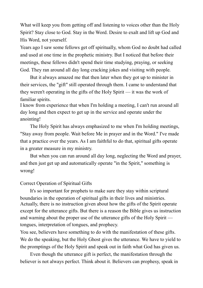What will keep you from getting off and listening to voices other than the Holy Spirit? Stay close to God. Stay in the Word. Desire to exalt and lift up God and His Word, not yourself.

Years ago I saw some fellows get off spiritually, whom God no doubt had called and used at one time in the prophetic ministry. But I noticed that before their meetings, these fellows didn't spend their time studying, praying, or seeking God. They ran around all day long cracking jokes and visiting with people.

But it always amazed me that then later when they got up to minister in their services, the "gift" still operated through them. I came to understand that they weren't operating in the gifts of the Holy Spirit — it was the work of familiar spirits.

I know from experience that when I'm holding a meeting, I can't run around all day long and then expect to get up in the service and operate under the anointing!

The Holy Spirit has always emphasized to me when I'm holding meetings, "Stay away from people. Wait before Me in prayer and in the Word." I've made that a practice over the years. As I am faithful to do that, spiritual gifts operate in a greater measure in my ministry.

But when you can run around all day long, neglecting the Word and prayer, and then just get up and automatically operate "in the Spirit," something is wrong!

#### Correct Operation of Spiritual Gifts

It's so important for prophets to make sure they stay within scriptural boundaries in the operation of spiritual gifts in their lives and ministries. Actually, there is no instruction given about how the gifts of the Spirit operate except for the utterance gifts. But there is a reason the Bible gives us instruction and warning about the proper use of the utterance gifts of the Holy Spirit tongues, interpretation of tongues, and prophecy.

You see, believers have something to do with the manifestation of these gifts. We do the speaking, but the Holy Ghost gives the utterance. We have to yield to the promptings of the Holy Spirit and speak out in faith what God has given us.

Even though the utterance gift is perfect, the manifestation through the believer is not always perfect. Think about it. Believers can prophesy, speak in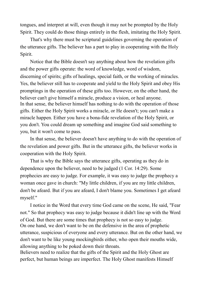tongues, and interpret at will, even though it may not be prompted by the Holy Spirit. They could do those things entirely in the flesh, imitating the Holy Spirit.

That's why there must be scriptural guidelines governing the operation of the utterance gifts. The believer has a part to play in cooperating with the Holy Spirit.

Notice that the Bible doesn't say anything about how the revelation gifts and the power gifts operate: the word of knowledge, word of wisdom, discerning of spirits; gifts of healings, special faith, or the working of miracles. Yes, the believer still has to cooperate and yield to the Holy Spirit and obey His promptings in the operation of these gifts too. However, on the other hand, the believer can't give himself a miracle, produce a vision, or heal anyone. In that sense, the believer himself has nothing to do with the operation of those gifts. Either the Holy Spirit works a miracle, or He doesn't; you can't make a miracle happen. Either you have a bona-fide revelation of the Holy Spirit, or you don't. You could dream up something and imagine God said something to you, but it won't come to pass.

In that sense, the believer doesn't have anything to do with the operation of the revelation and power gifts. But in the utterance gifts, the believer works in cooperation with the Holy Spirit.

That is why the Bible says the utterance gifts, operating as they do in dependence upon the believer, need to be judged (1 Cor. 14:29). Some prophecies are easy to judge. For example, it was easy to judge the prophecy a woman once gave in church: "My little children, if you are my little children, don't be afeard. But if you are afeard, I don't blame you. Sometimes I get afeard myself."

I notice in the Word that every time God came on the scene, He said, "Fear not." So that prophecy was easy to judge because it didn't line up with the Word of God. But there are some times that prophecy is not so easy to judge. On one hand, we don't want to be on the defensive in the area of prophetic utterance, suspicious of everyone and every utterance. But on the other hand, we don't want to be like young mockingbirds either, who open their mouths wide, allowing anything to be poked down their throats.

Believers need to realize that the gifts of the Spirit and the Holy Ghost are perfect, but human beings are imperfect. The Holy Ghost manifests Himself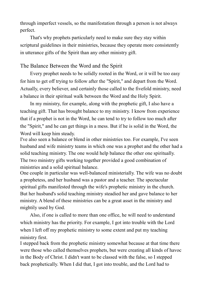through imperfect vessels, so the manifestation through a person is not always perfect.

That's why prophets particularly need to make sure they stay within scriptural guidelines in their ministries, because they operate more consistently in utterance gifts of the Spirit than any other ministry gift.

# The Balance Between the Word and the Spirit

Every prophet needs to be solidly rooted in the Word, or it will be too easy for him to get off trying to follow after the "Spirit," and depart from the Word. Actually, every believer, and certainly those called to the fivefold ministry, need a balance in their spiritual walk between the Word and the Holy Spirit.

In my ministry, for example, along with the prophetic gift, I also have a teaching gift. That has brought balance to my ministry. I know from experience that if a prophet is not in the Word, he can tend to try to follow too much after the "Spirit," and he can get things in a mess. But if he is solid in the Word, the Word will keep him steady.

I've also seen a balance or blend in other ministries too. For example, I've seen husband and wife ministry teams in which one was a prophet and the other had a solid teaching ministry. The one would help balance the other one spiritually. The two ministry gifts working together provided a good combination of ministries and a solid spiritual balance.

One couple in particular was well-balanced ministerially. The wife was no doubt a prophetess, and her husband was a pastor and a teacher. The spectacular spiritual gifts manifested through the wife's prophetic ministry in the church. But her husband's solid teaching ministry steadied her and gave balance to her ministry. A blend of these ministries can be a great asset in the ministry and mightily used by God.

Also, if one is called to more than one office, he will need to understand which ministry has the priority. For example, I got into trouble with the Lord when I left off my prophetic ministry to some extent and put my teaching ministry first.

I stepped back from the prophetic ministry somewhat because at that time there were those who called themselves prophets, but were creating all kinds of havoc in the Body of Christ. I didn't want to be classed with the false, so I stepped back prophetically. When I did that, I got into trouble, and the Lord had to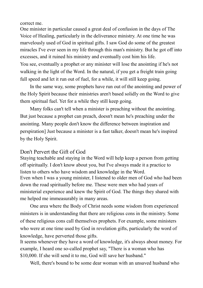correct me.

One minister in particular caused a great deal of confusion in the days of The Voice of Healing, particularly in the deliverance ministry. At one time he was marvelously used of God in spiritual gifts. I saw God do some of the greatest miracles I've ever seen in my life through this man's ministry. But he got off into excesses, and it ruined his ministry and eventually cost him his life. You see, eventually a prophet or any minister will lose the anointing if he's not walking in the light of the Word. In the natural, if you get a freight train going full speed and let it run out of fuel, for a while, it will still keep going.

In the same way, some prophets have run out of the anointing and power of the Holy Spirit because their ministries aren't based solidly on the Word to give them spiritual fuel. Yet for a while they still keep going.

Many folks can't tell when a minister is preaching without the anointing. But just because a prophet can preach, doesn't mean he's preaching under the anointing. Many people don't know the difference between inspiration and perspiration] Just because a minister is a fast talker, doesn't mean he's inspired by the Holy Spirit.

# Don't Pervert the Gift of God

Staying teachable and staying in the Word will help keep a person from getting off spiritually. I don't know about you, but I've always made it a practice to listen to others who have wisdom and knowledge in the Word. Even when I was a young minister, I listened to older men of God who had been down the road spiritually before me. These were men who had years of ministerial experience and knew the Spirit of God. The things they shared with me helped me immeasurably in many areas.

One area where the Body of Christ needs some wisdom from experienced ministers is in understanding that there are religious cons in the ministry. Some of these religious cons call themselves prophets. For example, some ministers who were at one time used by God in revelation gifts, particularly the word of knowledge, have perverted those gifts.

It seems whenever they have a word of knowledge, it's always about money. For example, I heard one so-called prophet say, "There is a woman who has \$10,000. If she will send it to me, God will save her husband."

Well, there's bound to be some dear woman with an unsaved husband who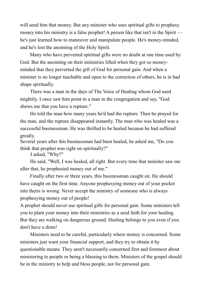will send him that money. But any minister who uses spiritual gifts to prophesy money into his ministry is a false prophet! A person like that isn't in the Spirit he's just learned how to maneuver and manipulate people. He's money-minded, and he's lost the anointing of the Holy Spirit.

Many who have perverted spiritual gifts were no doubt at one time used by God. But the anointing on their ministries lifted when they got so moneyminded that they perverted the gift of God for personal gain. And when a minister is no longer teachable and open to the correction of others, he is in bad shape spiritually.

There was a man in the days of The Voice of Healing whom God used mightily. I once saw him point to a man in the congregation and say, "God shows me that you have a rupture."

He told the man how many years he'd had the rupture. Then he prayed for the man, and the rupture disappeared instantly. The man who was healed was a successful businessman. He was thrilled to be healed because he had suffered greatly.

Several years after this businessman had been healed, he asked me, "Do you think that prophet was right on spiritually?"

I asked, "Why?"

He said, "Well, I was healed, all right. But every time that minister saw me after that, he prophesied money out of me."

Finally after two or three years, this businessman caught on. He should have caught on the first time. Anyone prophesying money out of your pocket into theirs is wrong. Never accept the ministry of someone who is always prophesying money out of people!

A prophet should never use spiritual gifts for personal gain. Some ministers tell you to plant your money into their ministries as a seed faith for your healing. But they are walking on dangerous ground. Healing belongs to you even if you don't have a dime!

Ministers need to be careful, particularly where money is concerned. Some ministers just want your financial support, and they try to obtain it by questionable means. They aren't necessarily concerned first and foremost about ministering to people or being a blessing to them. Ministers of the gospel should be in the ministry to help and bless people, not for personal gain.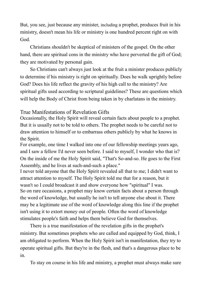But, you see, just because any minister, including a prophet, produces fruit in his ministry, doesn't mean his life or ministry is one hundred percent right on with God.

Christians shouldn't be skeptical of ministers of the gospel. On the other hand, there are spiritual cons in the ministry who have perverted the gift of God; they are motivated by personal gain.

So Christians can't always just look at the fruit a minister produces publicly to determine if his ministry is right on spiritually. Does he walk uprightly before God? Does his life reflect the gravity of his high call to the ministry? Are spiritual gifts used according to scriptural guidelines? These are questions which will help the Body of Christ from being taken in by charlatans in the ministry.

# True Manifestations of Revelation Gifts

Occasionally, the Holy Spirit will reveal certain facts about people to a prophet. But it is usually not to be told to others. The prophet needs to be careful not to draw attention to himself or to embarrass others publicly by what he knows in the Spirit.

For example, one time I walked into one of our fellowship meetings years ago, and I saw a fellow I'd never seen before. I said to myself, I wonder who that is? On the inside of me the Holy Spirit said, "That's So-and-so. He goes to the First Assembly, and he lives at such-and-such a place."

I never told anyone that the Holy Spirit revealed all that to me; I didn't want to attract attention to myself. The Holy Spirit told me that for a reason, but it wasn't so I could broadcast it and show everyone how "spiritual" I was. So on rare occasions, a prophet may know certain facts about a person through the word of knowledge, but usually he isn't to tell anyone else about it. There may be a legitimate use of the word of knowledge along this line if the prophet isn't using it to extort money out of people. Often the word of knowledge stimulates people's faith and helps them believe God for themselves.

There is a true manifestation of the revelation gifts in the prophet's ministry. But sometimes prophets who are called and equipped by God, think, I am obligated to perform. When the Holy Spirit isn't in manifestation, they try to operate spiritual gifts. But they're in the flesh, and that's a dangerous place to be in.

To stay on course in his life and ministry, a prophet must always make sure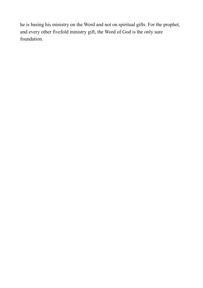he is basing his ministry on the Word and not on spiritual gifts. For the prophet, and every other fivefold ministry gift, the Word of God is the only sure foundation.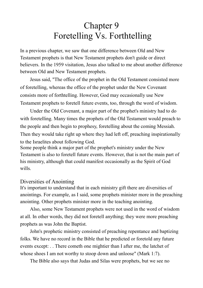# Chapter 9 Foretelling Vs. Forthtelling

In a previous chapter, we saw that one difference between Old and New Testament prophets is that New Testament prophets don't guide or direct believers. In the 1959 visitation, Jesus also talked to me about another difference between Old and New Testament prophets.

Jesus said, "The office of the prophet in the Old Testament consisted more of foretelling, whereas the office of the prophet under the New Covenant consists more of forthtelling. However, God may occasionally use New Testament prophets to foretell future events, too, through the word of wisdom.

Under the Old Covenant, a major part of the prophet's ministry had to do with foretelling. Many times the prophets of the Old Testament would preach to the people and then begin to prophesy, foretelling about the coming Messiah. Then they would take right up where they had left off, preaching inspirationally to the Israelites about following God.

Some people think a major part of the prophet's ministry under the New Testament is also to foretell future events. However, that is not the main part of his ministry, although that could manifest occasionally as the Spirit of God wills.

# Diversities of Anointing

It's important to understand that in each ministry gift there are diversities of anointings. For example, as I said, some prophets minister more in the preaching anointing. Other prophets minister more in the teaching anointing.

Also, some New Testament prophets were not used in the word of wisdom at all. In other words, they did not foretell anything; they were more preaching prophets as was John the Baptist.

John's prophetic ministry consisted of preaching repentance and baptizing folks. We have no record in the Bible that he predicted or foretold any future events except: . . There cometh one mightier than I after me, the latchet of whose shoes I am not worthy to stoop down and unloose" (Mark 1:7).

The Bible also says that Judas and Silas were prophets, but we see no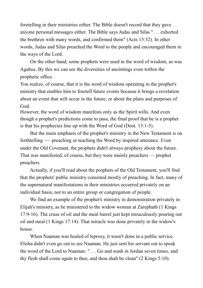foretelling in their ministries either. The Bible doesn't record that they gave anyone personal messages either. The Bible says Judas and Silas ". . . exhorted the brethren with many words, and confirmed them" (Acts 15:32). In other words, Judas and Silas preached the Word to the people and encouraged them in the ways of the Lord.

On the other hand, some prophets were used in the word of wisdom, as was Agabus. By this we can see the diversities of anointings even within the prophetic office.

You realize, of course, that it is the word of wisdom operating in the prophet's ministry that enables him to foretell future events because it brings a revelation about an event that will occur in the future, or about the plans and purposes of God.

However, the word of wisdom manifests only as the Spirit wills. And even though a prophet's predictions come to pass, the final proof that he is a prophet is that his prophecies line up with the Word of God (Deut. 13:1-5).

But the main emphasis of the prophet's ministry in the New Testament is on forthtelling — preaching or teaching the Word by inspired utterance. Even under the Old Covenant, the prophets didn't always prophesy about the future. That was manifested, of course, but they were mainly preachers — prophet preachers.

Actually, if you'll read about the prophets of the Old Testament, you'll find that the prophets' public ministry consisted mostly of preaching. In fact, many of the supernatural manifestations in their ministries occurred privately on an individual basis, not to an entire group or congregation of people.

We find an example of the prophet's ministry in demonstration privately in Elijah's ministry, as he ministered to the widow woman at Zarephath (1 Kings 17:9-16). The cruse of oil and the meal barrel just kept miraculously pouring out oil and meal (1 Kings 17:14). That miracle was done privately in the widow's house.

When Naaman was healed of leprosy, it wasn't done in a public service. Elisha didn't even go out to see Naaman. He just sent his servant out to speak the word of the Lord to Naaman: ". . . Go and wash in Jordan seven times, and thy flesh shall come again to thee, and thou shalt be clean" (2 Kings 5:10).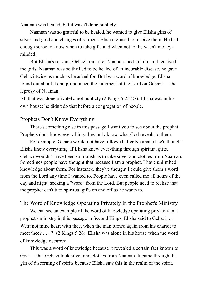Naaman was healed, but it wasn't done publicly.

Naaman was so grateful to be healed, he wanted to give Elisha gifts of silver and gold and changes of raiment. Elisha refused to receive them. He had enough sense to know when to take gifts and when not to; he wasn't moneyminded.

But Elisha's servant, Gehazi, ran after Naaman, lied to him, and received the gifts. Naaman was so thrilled to be healed of an incurable disease, he gave Gehazi twice as much as he asked for. But by a word of knowledge, Elisha found out about it and pronounced the judgment of the Lord on Gehazi — the leprosy of Naaman.

All that was done privately, not publicly (2 Kings 5:25-27). Elisha was in his own house; he didn't do that before a congregation of people.

# Prophets Don't Know Everything

There's something else in this passage I want you to see about the prophet. Prophets don't know everything; they only know what God reveals to them.

For example, Gehazi would not have followed after Naaman if he'd thought Elisha knew everything. If Elisha knew everything through spiritual gifts, Gehazi wouldn't have been so foolish as to take silver and clothes from Naaman. Sometimes people have thought that because I am a prophet, I have unlimited knowledge about them. For instance, they've thought I could give them a word from the Lord any time I wanted to. People have even called me all hours of the day and night, seeking a "word" from the Lord. But people need to realize that the prophet can't turn spiritual gifts on and off as he wants to.

The Word of Knowledge Operating Privately In the Prophet's Ministry

We can see an example of the word of knowledge operating privately in a prophet's ministry in this passage in Second Kings. Elisha said to Gehazi, . . Went not mine heart with thee, when the man turned again from his chariot to meet thee? . . . " (2 Kings 5:26). Elisha was alone in his house when the word of knowledge occurred.

This was a word of knowledge because it revealed a certain fact known to God — that Gehazi took silver and clothes from Naaman. It came through the gift of discerning of spirits because Elisha saw this in the realm of the spirit.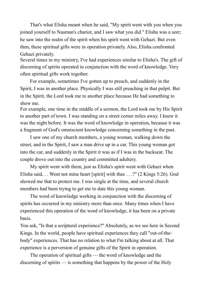That's what Elisha meant when he said, "My spirit went with you when you joined yourself to Naaman's chariot, and I saw what you did." Elisha was a seer; he saw into the realm of the spirit when his spirit went with Gehazi. But even then, these spiritual gifts were in operation privately. Also, Elisha confronted Gehazi privately.

Several times in my ministry, I've had experiences similar to Elisha's. The gift of discerning of spirits operated in conjunction with the word of knowledge. Very often spiritual gifts work together.

For example, sometimes I've gotten up to preach, and suddenly in the Spirit, I was in another place. Physically I was still preaching in that pulpit. But in the Spirit, the Lord took me to another place because He had something to show me.

For example, one time in the middle of a sermon, the Lord took me by His Spirit to another part of town. I was standing on a street corner miles away. I knew it was the night before. It was the word of knowledge in operation, because it was a fragment of God's omniscient knowledge concerning something in the past.

I saw one of my church members, a young woman, walking down the street, and in the Spirit, I saw a man drive up in a car. This young woman got into the car, and suddenly in the Spirit it was as if I was in the backseat. The couple drove out into the country and committed adultery.

My spirit went with them, just as Elisha's spirit went with Gehazi when Elisha said, . . Went not mine heart [spirit] with thee . . .?" (2 Kings 5:26). God showed me that to protect me. I was single at the time, and several church members had been trying to get me to date this young woman.

The word of knowledge working in conjunction with the discerning of spirits has occurred in my ministry more than once. Many times when I have experienced this operation of the word of knowledge, it has been on a private basis.

You ask, "Is that a scriptural experience?" Absolutely, as we see here in Second Kings. In the world, people have spiritual experiences they call "out-of-thebody" experiences. That has no relation to what I'm talking about at all. That experience is a perversion of genuine gifts of the Spirit in operation.

The operation of spiritual gifts — the word of knowledge and the discerning of spirits — is something that happens by the power of the Holy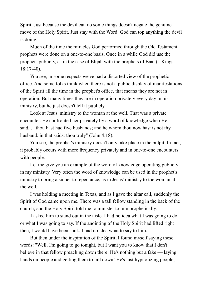Spirit. Just because the devil can do some things doesn't negate the genuine move of the Holy Spirit. Just stay with the Word. God can top anything the devil is doing.

Much of the time the miracles God performed through the Old Testament prophets were done on a one-to-one basis. Once in a while God did use the prophets publicly, as in the case of Elijah with the prophets of Baal (1 Kings 18:17-40).

You see, in some respects we've had a distorted view of the prophetic office. And some folks think when there is not a public display of manifestations of the Spirit all the time in the prophet's office, that means they are not in operation. But many times they are in operation privately every day in his ministry, but he just doesn't tell it publicly.

Look at Jesus' ministry to the woman at the well. That was a private encounter. He confronted her privately by a word of knowledge when He said, . . thou hast had five husbands; and he whom thou now hast is not thy husband: in that saidst thou truly" (John 4:18).

You see, the prophet's ministry doesn't only take place in the pulpit. In fact, it probably occurs with more frequency privately and in one-to-one encounters with people.

Let me give you an example of the word of knowledge operating publicly in my ministry. Very often the word of knowledge can be used in the prophet's ministry to bring a sinner to repentance, as in Jesus' ministry to the woman at the well.

I was holding a meeting in Texas, and as I gave the altar call, suddenly the Spirit of God came upon me. There was a tall fellow standing in the back of the church, and the Holy Spirit told me to minister to him prophetically.

I asked him to stand out in the aisle. I had no idea what I was going to do or what I was going to say. If the anointing of the Holy Spirit had lifted right then, I would have been sunk. I had no idea what to say to him.

But then under the inspiration of the Spirit, I found myself saying these words: "Well, I'm going to go tonight, but I want you to know that I don't believe in that fellow preaching down there. He's nothing but a fake — laying hands on people and getting them to fall down! He's just hypnotizing people;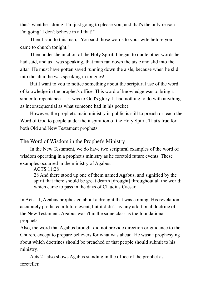that's what he's doing! I'm just going to please you, and that's the only reason I'm going! I don't believe in all that!"

Then I said to this man, "You said those words to your wife before you came to church tonight."

Then under the unction of the Holy Spirit, I began to quote other words he had said, and as I was speaking, that man ran down the aisle and slid into the altar! He must have gotten saved running down the aisle, because when he slid into the altar, he was speaking in tongues!

But I want to you to notice something about the scriptural use of the word of knowledge in the prophet's office. This word of knowledge was to bring a sinner to repentance — it was to God's glory. It had nothing to do with anything as inconsequential as what someone had in his pocket!

However, the prophet's main ministry in public is still to preach or teach the Word of God to people under the inspiration of the Holy Spirit. That's true for both Old and New Testament prophets.

### The Word of Wisdom in the Prophet's Ministry

In the New Testament, we do have two scriptural examples of the word of wisdom operating in a prophet's ministry as he foretold future events. These examples occurred in the ministry of Agabus.

ACTS 11:28

28 And there stood up one of them named Agabus, and signified by the spirit that there should be great dearth [drought] throughout all the world: which came to pass in the days of Claudius Caesar.

In Acts 11, Agabus prophesied about a drought that was coming. His revelation accurately predicted a future event, but it didn't lay any additional doctrine of the New Testament. Agabus wasn't in the same class as the foundational prophets.

Also, the word that Agabus brought did not provide direction or guidance to the Church, except to prepare believers for what was ahead. He wasn't prophesying about which doctrines should be preached or that people should submit to his ministry.

Acts 21 also shows Agabus standing in the office of the prophet as foreteller.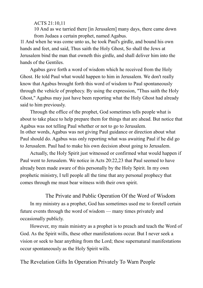#### ACTS 21:10,11

10 And as we tarried there [in Jerusalem] many days, there came down from Judaea a certain prophet, named Agabus.

11 And when he was come unto us, he took Paul's girdle, and bound his own hands and feet, and said, Thus saith the Holy Ghost, So shall the Jews at Jerusalem bind the man that owneth this girdle, and shall deliver him into the hands of the Gentiles.

Agabus gave forth a word of wisdom which he received from the Holy Ghost. He told Paul what would happen to him in Jerusalem. We don't really know that Agabus brought forth this word of wisdom to Paul spontaneously through the vehicle of prophecy. By using the expression, "Thus saith the Holy Ghost," Agabus may just have been reporting what the Holy Ghost had already said to him previously.

Through the office of the prophet, God sometimes tells people what is about to take place to help prepare them for things that are ahead. But notice that Agabus was not telling Paul whether or not to go to Jerusalem.

In other words, Agabus was not giving Paul guidance or direction about what Paul should do. Agabus was only reporting what was awaiting Paul if he did go to Jerusalem. Paul had to make his own decision about going to Jerusalem.

Actually, the Holy Spirit just witnessed or confirmed what would happen if Paul went to Jerusalem. We notice in Acts 20:22,23 that Paul seemed to have already been made aware of this personally by the Holy Spirit. In my own prophetic ministry, I tell people all the time that any personal prophecy that comes through me must bear witness with their own spirit.

#### The Private and Public Operation Of the Word of Wisdom

In my ministry as a prophet, God has sometimes used me to foretell certain future events through the word of wisdom — many times privately and occasionally publicly.

However, my main ministry as a prophet is to preach and teach the Word of God. As the Spirit wills, these other manifestations occur. But I never seek a vision or seek to hear anything from the Lord; these supernatural manifestations occur spontaneously as the Holy Spirit wills.

## The Revelation Gifts In Operation Privately To Warn People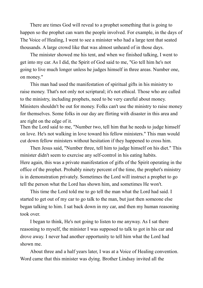There are times God will reveal to a prophet something that is going to happen so the prophet can warn the people involved. For example, in the days of The Voice of Healing, I went to see a minister who had a large tent that seated thousands. A large crowd like that was almost unheard of in those days.

The minister showed me his tent, and when we finished talking, I went to get into my car. As I did, the Spirit of God said to me, "Go tell him he's not going to live much longer unless he judges himself in three areas. Number one, on money."

This man had used the manifestation of spiritual gifts in his ministry to raise money. That's not only not scriptural; it's not ethical. Those who are called to the ministry, including prophets, need to be very careful about money. Ministers shouldn't be out for money. Folks can't use the ministry to raise money for themselves. Some folks in our day are flirting with disaster in this area and are right on the edge of it.

Then the Lord said to me, "Number two, tell him that he needs to judge himself on love. He's not walking in love toward his fellow ministers." This man would cut down fellow ministers without hesitation if they happened to cross him.

Then Jesus said, "Number three, tell him to judge himself on his diet." This minister didn't seem to exercise any self-control in his eating habits. Here again, this was a private manifestation of gifts of the Spirit operating in the office of the prophet. Probably ninety percent of the time, the prophet's ministry is in demonstration privately. Sometimes the Lord will instruct a prophet to go tell the person what the Lord has shown him, and sometimes He won't.

This time the Lord told me to go tell the man what the Lord had said. I started to get out of my car to go talk to the man, but just then someone else began talking to him. I sat back down in my car, and then my human reasoning took over.

I began to think, He's not going to listen to me anyway. As I sat there reasoning to myself, the minister I was supposed to talk to got in his car and drove away. I never had another opportunity to tell him what the Lord had shown me.

About three and a half years later, I was at a Voice of Healing convention. Word came that this minister was dying. Brother Lindsay invited all the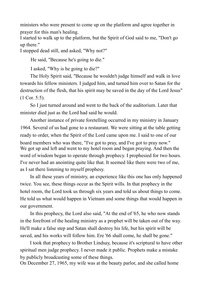ministers who were present to come up on the platform and agree together in prayer for this man's healing.

I started to walk up to the platform, but the Spirit of God said to me, "Don't go up there."

I stopped dead still, and asked, "Why not?"

He said, "Because he's going to die."

I asked, "Why is he going to die?"

The Holy Spirit said, "Because he wouldn't judge himself and walk in love towards his fellow ministers. I judged him, and turned him over to Satan for the destruction of the flesh, that his spirit may be saved in the day of the Lord Jesus" (1 Cor. 5:5).

So I just turned around and went to the back of the auditorium. Later that minister died just as the Lord had said he would.

Another instance of private foretelling occurred in my ministry in January 1964. Several of us had gone to a restaurant. We were sitting at the table getting ready to order, when the Spirit of the Lord came upon me. I said to one of our board members who was there, "I've got to pray, and I've got to pray now." We got up and left and went to my hotel room and began praying. And then the word of wisdom began to operate through prophecy. I prophesied for two hours. I've never had an anointing quite like that. It seemed like there were two of me, as I sat there listening to myself prophesy.

In all these years of ministry, an experience like this one has only happened twice. You see, these things occur as the Spirit wills. In that prophecy in the hotel room, the Lord took us through six years and told us about things to come. He told us what would happen in Vietnam and some things that would happen in our government.

In this prophecy, the Lord also said, "At the end of '65, he who now stands in the forefront of the healing ministry as a prophet will be taken out of the way. He'll make a false step and Satan shall destroy his life, but his spirit will be saved, and his works will follow him. Ere '66 shall come, he shall be gone."

I took that prophecy to Brother Lindsay, because it's scriptural to have other spiritual men judge prophecy. I never made it public. Prophets make a mistake by publicly broadcasting some of these things.

On December 27, 1965, my wife was at the beauty parlor, and she called home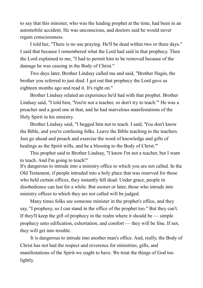to say that this minister, who was the leading prophet at the time, had been in an automobile accident. He was unconscious, and doctors said he would never regain consciousness.

I told her, "There is no use praying. He'll be dead within two or three days." I said that because I remembered what the Lord had said in that prophecy. Then the Lord explained to me, "I had to permit him to be removed because of the damage he was causing in the Body of Christ."

Two days later, Brother Lindsay called me and said, "Brother Hagin, the brother you referred to just died. I got out that prophecy the Lord gave us eighteen months ago and read it. It's right on."

Brother Lindsay related an experience he'd had with that prophet. Brother Lindsay said, "I told him, 'You're not a teacher, so don't try to teach.'" He was a preacher and a good one at that, and he had marvelous manifestations of the Holy Spirit in his ministry.

Brother Lindsay said, "I begged him not to teach. I said, 'You don't know the Bible, and you're confusing folks. Leave the Bible teaching to the teachers. Just go ahead and preach and exercise the word of knowledge and gifts of healings as the Spirit wills, and be a blessing to the Body of Christ.'"

This prophet said to Brother Lindsay, "I know I'm not a teacher, but I want to teach. And I'm going to teach!"

It's dangerous to intrude into a ministry office to which you are not called. In the Old Testament, if people intruded into a holy place that was reserved for those who held certain offices, they instantly fell dead. Under grace, people in disobedience can last for a while. But sooner or later, those who intrude into ministry offices to which they are not called will be judged.

Many times folks see someone minister in the prophet's office, and they say, "I prophesy, so I can stand in the office of the prophet too." But they can't. If they'll keep the gift of prophecy in the realm where it should be — simple prophecy unto edification, exhortation, and comfort — they will be fine. If not, they will get into trouble.

It is dangerous to intrude into another man's office. And, really, the Body of Christ has not had the respect and reverence for ministries, gifts, and manifestations of the Spirit we ought to have. We treat the things of God too lightly.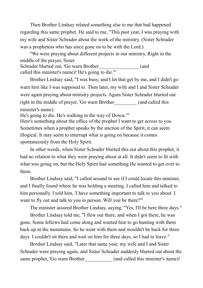Then Brother Lindsay related something else to me that had happened regarding this same prophet. He said to me, "This past year, I was praying with my wife and Sister Schrader about the work of the ministry. (Sister Schrader was a prophetess who has since gone on to be with the Lord.)

"We were praying about different projects in our ministry. Right in the middle of the prayer, Sister Schrader blurted out, 'Go warn Brother (and called this minister's name)! He's going to die.'"

Brother Lindsay said, "I was busy, and I let that get by me, and I didn't go warn him like I was supposed to. Then later, my wife and I and Sister Schrader were again praying about ministry projects. Again Sister Schrader blurted out right in the middle of prayer, 'Go warn Brother (and called this minister's name).

He's going to die. He's walking in the way of Dowie.'"

Here's something about the office of the prophet I want to get across to you. Sometimes when a prophet speaks by the unction of the Spirit, it can seem illogical. It may seem to interrupt what is going on because it comes spontaneously from the Holy Spirit.

In other words, when Sister Schrader blurted this out about this prophet, it had no relation to what they were praying about at all. It didn't seem to fit with what was going on, but the Holy Spirit had something He wanted to get over to them.

Brother Lindsay said, "I called around to see if I could locate this minister, and I finally found where he was holding a meeting. I called him and talked to him personally. I told him, 'I have something important to talk to you about. I want to fly out and talk to you in person. Will you be there?'"

The minister assured Brother Lindsay, saying, "Yes, I'll be here three days."

Brother Lindsay told me, "I flew out there, and when I got there, he was gone. Some fellows had come along and wanted him to go hunting with them back up in the mountains. So he went with them and wouldn't be back for three days. I couldn't sit there and wait on him for three days, so I had to leave."

Brother Lindsay said, "Later that same year, my wife and I and Sister Schrader were praying again, and Sister Schrader suddenly blurted out about the same prophet, 'Go warn Brother (and called this minister's name)!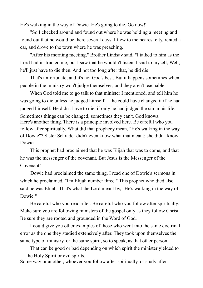He's walking in the way of Dowie. He's going to die. Go now!'

"So I checked around and found out where he was holding a meeting and found out that he would be there several days. I flew to the nearest city, rented a car, and drove to the town where he was preaching.

"After his morning meeting," Brother Lindsay said, "I talked to him as the Lord had instructed me, but I saw that he wouldn't listen. I said to myself, Well, he'll just have to die then. And not too long after that, he did die."

That's unfortunate, and it's not God's best. But it happens sometimes when people in the ministry won't judge themselves, and they aren't teachable.

When God told me to go talk to that minister I mentioned, and tell him he was going to die unless he judged himself — he could have changed it if he had judged himself. He didn't have to die, if only he had judged the sin in his life. Sometimes things can be changed; sometimes they can't. God knows. Here's another thing. There is a principle involved here. Be careful who you follow after spiritually. What did that prophecy mean, "He's walking in the way of Dowie"? Sister Schrader didn't even know what that meant; she didn't know Dowie.

This prophet had proclaimed that he was Elijah that was to come, and that he was the messenger of the covenant. But Jesus is the Messenger of the Covenant!

Dowie had proclaimed the same thing. I read one of Dowie's sermons in which he proclaimed, "I'm Elijah number three." This prophet who died also said he was Elijah. That's what the Lord meant by, "He's walking in the way of Dowie."

Be careful who you read after. Be careful who you follow after spiritually. Make sure you are following ministers of the gospel only as they follow Christ. Be sure they are rooted and grounded in the Word of God.

I could give you other examples of those who went into the same doctrinal error as the one they studied extensively after. They took upon themselves the same type of ministry, or the same spirit, so to speak, as that other person.

That can be good or bad depending on which spirit the minister yielded to — the Holy Spirit or evil spirits.

Some way or another, whoever you follow after spiritually, or study after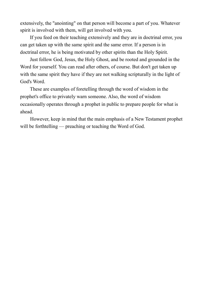extensively, the "anointing" on that person will become a part of you. Whatever spirit is involved with them, will get involved with you.

If you feed on their teaching extensively and they are in doctrinal error, you can get taken up with the same spirit and the same error. If a person is in doctrinal error, he is being motivated by other spirits than the Holy Spirit.

Just follow God, Jesus, the Holy Ghost, and be rooted and grounded in the Word for yourself. You can read after others, of course. But don't get taken up with the same spirit they have if they are not walking scripturally in the light of God's Word.

These are examples of foretelling through the word of wisdom in the prophet's office to privately warn someone. Also, the word of wisdom occasionally operates through a prophet in public to prepare people for what is ahead.

However, keep in mind that the main emphasis of a New Testament prophet will be forthtelling — preaching or teaching the Word of God.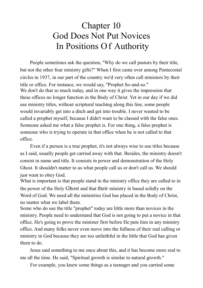## Chapter 10 God Does Not Put Novices In Positions Of Authority

People sometimes ask the question, "Why do we call pastors by their title, but not the other four ministry gifts?" When I first came over among Pentecostal circles in 1937, in our part of the country we'd very often call ministers by their title or office. For instance, we would say, "Prophet So-and-so." We don't do that so much today, and in one way it gives the impression that these offices no longer function in the Body of Christ. Yet in our day if we did use ministry titles, without scriptural teaching along this line, some people would invariably get into a ditch and get into trouble. I never wanted to be called a prophet myself, because I didn't want to be classed with the false ones. Someone asked me what a false prophet is. For one thing, a false prophet is someone who is trying to operate in that office when he is not called to that office.

Even if a person is a true prophet, it's not always wise to use titles because as I said, usually people get carried away with that. Besides, the ministry doesn't consist in name and title. It consists in power and demonstration of the Holy Ghost. It shouldn't matter to us what people call us or don't call us. We should just want to obey God.

What is important is that people stand in the ministry office they are called to in the power of the Holy Ghost and that their ministry is based solidly on the Word of God. We need all the ministries God has placed in the Body of Christ, no matter what we label them.

Some who do use the title "prophet" today are little more than novices in the ministry. People need to understand that God is not going to put a novice in that office. He's going to prove the minister first before He puts him in any ministry office. And many folks never even move into the fullness of their real calling or ministry in God because they are too unfaithful in the little that God has given them to do.

Jesus said something to me once about this, and it has become more real to me all the time. He said, "Spiritual growth is similar to natural growth."

For example, you knew some things as a teenager and you carried some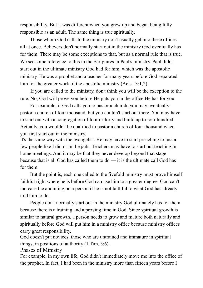responsibility. But it was different when you grew up and began being fully responsible as an adult. The same thing is true spiritually.

Those whom God calls to the ministry don't usually get into these offices all at once. Believers don't normally start out in the ministry God eventually has for them. There may be some exceptions to that, but as a normal rule that is true. We see some reference to this in the Scriptures in Paul's ministry. Paul didn't start out in the ultimate ministry God had for him, which was the apostolic ministry. He was a prophet and a teacher for many years before God separated him for the greater work of the apostolic ministry (Acts 13:1,2).

If you are called to the ministry, don't think you will be the exception to the rule. No, God will prove you before He puts you in the office He has for you.

For example, if God calls you to pastor a church, you may eventually pastor a church of four thousand, but you couldn't start out there. You may have to start out with a congregation of four or forty and build up to four hundred. Actually, you wouldn't be qualified to pastor a church of four thousand when you first start out in the ministry.

It's the same way with the evangelist. He may have to start preaching to just a few people like I did or in the jails. Teachers may have to start out teaching in home meetings. And it may be that they never develop beyond that stage because that is all God has called them to do — it is the ultimate call God has for them.

But the point is, each one called to the fivefold ministry must prove himself faithful right where he is before God can use him to a greater degree. God can't increase the anointing on a person if he is not faithful to what God has already told him to do.

People don't normally start out in the ministry God ultimately has for them because there is a training and a proving time in God. Since spiritual growth is similar to natural growth, a person needs to grow and mature both naturally and spiritually before God will put him in a ministry office because ministry offices carry great responsibility.

God doesn't put novices, those who are untrained and immature in spiritual things, in positions of authority (1 Tim. 3:6).

Phases of Ministry

For example, in my own life, God didn't immediately move me into the office of the prophet. In fact, I had been in the ministry more than fifteen years before I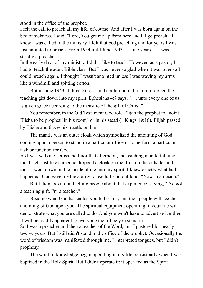stood in the office of the prophet.

I felt the call to preach all my life, of course. And after I was born again on the bed of sickness, I said, "Lord, You get me up from here and I'll go preach." I knew I was called to the ministry. I left that bed preaching and for years I was just anointed to preach. From 1934 until June 1943 — nine years — I was strictly a preacher.

In the early days of my ministry, I didn't like to teach. However, as a pastor, I had to teach the adult Bible class. But I was never so glad when it was over so I could preach again. I thought I wasn't anointed unless I was waving my arms like a windmill and spitting cotton.

But in June 1943 at three o'clock in the afternoon, the Lord dropped the teaching gift down into my spirit. Ephesians 4:7 says, ". . . unto every one of us is given grace according to the measure of the gift of Christ."

You remember, in the Old Testament God told Elijah the prophet to anoint Elisha to be prophet "in his room" or in his stead (1 Kings 19:16). Elijah passed by Elisha and threw his mantle on him.

The mantle was an outer cloak which symbolized the anointing of God coming upon a person to stand in a particular office or to perform a particular task or function for God.

As I was walking across the floor that afternoon, the teaching mantle fell upon me. It felt just like someone dropped a cloak on me, first on the outside, and then it went down on the inside of me into my spirit. I knew exactly what had happened. God gave me the ability to teach. I said out loud, "Now I can teach."

But I didn't go around telling people about that experience, saying, "I've got a teaching gift. I'm a teacher."

Become what God has called you to be first, and then people will see the anointing of God upon you. The spiritual equipment operating in your life will demonstrate what you are called to do. And you won't have to advertise it either. It will be readily apparent to everyone the office you stand in.

So I was a preacher and then a teacher of the Word, and I pastored for nearly twelve years. But I still didn't stand in the office of the prophet. Occasionally the word of wisdom was manifested through me. I interpreted tongues, but I didn't prophesy.

The word of knowledge began operating in my life consistently when I was baptized in the Holy Spirit. But I didn't operate it; it operated as the Spirit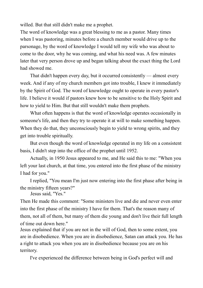willed. But that still didn't make me a prophet.

The word of knowledge was a great blessing to me as a pastor. Many times when I was pastoring, minutes before a church member would drive up to the parsonage, by the word of knowledge I would tell my wife who was about to come to the door, why he was coming, and what his need was. A few minutes later that very person drove up and began talking about the exact thing the Lord had showed me.

That didn't happen every day, but it occurred consistently — almost every week. And if any of my church members got into trouble, I knew it immediately by the Spirit of God. The word of knowledge ought to operate in every pastor's life. I believe it would if pastors knew how to be sensitive to the Holy Spirit and how to yield to Him. But that still wouldn't make them prophets.

What often happens is that the word of knowledge operates occasionally in someone's life, and then they try to operate it at will to make something happen. When they do that, they unconsciously begin to yield to wrong spirits, and they get into trouble spiritually.

But even though the word of knowledge operated in my life on a consistent basis, I didn't step into the office of the prophet until 1952.

Actually, in 1950 Jesus appeared to me, and He said this to me: "When you left your last church, at that time, you entered into the first phase of the ministry I had for you."

I replied, "You mean I'm just now entering into the first phase after being in the ministry fifteen years?"

Jesus said, "Yes."

Then He made this comment: "Some ministers live and die and never even enter into the first phase of the ministry I have for them. That's the reason many of them, not all of them, but many of them die young and don't live their full length of time out down here."

Jesus explained that if you are not in the will of God, then to some extent, you are in disobedience. When you are in disobedience, Satan can attack you. He has a right to attack you when you are in disobedience because you are on his territory.

I've experienced the difference between being in God's perfect will and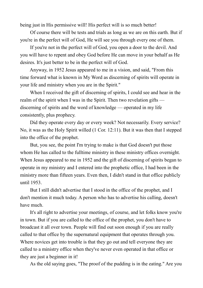being just in His permissive will! His perfect will is so much better!

Of course there will be tests and trials as long as we are on this earth. But if you're in the perfect will of God, He will see you through every one of them.

If you're not in the perfect will of God, you open a door to the devil. And you will have to repent and obey God before He can move in your behalf as He desires. It's just better to be in the perfect will of God.

Anyway, in 1952 Jesus appeared to me in a vision, and said, "From this time forward what is known in My Word as discerning of spirits will operate in your life and ministry when you are in the Spirit."

When I received the gift of discerning of spirits, I could see and hear in the realm of the spirit when I was in the Spirit. Then two revelation gifts discerning of spirits and the word of knowledge — operated in my life consistently, plus prophecy.

Did they operate every day or every week? Not necessarily. Every service? No, it was as the Holy Spirit willed (1 Cor. 12:11). But it was then that I stepped into the office of the prophet.

But, you see, the point I'm trying to make is that God doesn't put those whom He has called to the fulltime ministry in these ministry offices overnight. When Jesus appeared to me in 1952 and the gift of discerning of spirits began to operate in my ministry and I entered into the prophetic office, I had been in the ministry more than fifteen years. Even then, I didn't stand in that office publicly until 1953.

But I still didn't advertise that I stood in the office of the prophet, and I don't mention it much today. A person who has to advertise his calling, doesn't have much.

It's all right to advertise your meetings, of course, and let folks know you're in town. But if you are called to the office of the prophet, you don't have to broadcast it all over town. People will find out soon enough if you are really called to that office by the supernatural equipment that operates through you. Where novices get into trouble is that they go out and tell everyone they are called to a ministry office when they've never even operated in that office or they are just a beginner in it!

As the old saying goes, "The proof of the pudding is in the eating." Are you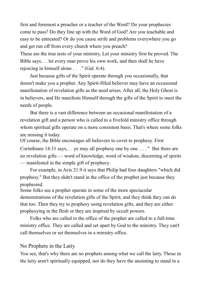first and foremost a preacher or a teacher of the Word? Do your prophecies come to pass? Do they line up with the Word of God? Are you teachable and easy to be entreated? Or do you cause strife and problems everywhere you go and get run off from every church where you preach?

These are the true tests of your ministry. Let your ministry first be proved. The Bible says, . . let every man prove his own work, and then shall he have rejoicing in himself alone . . ." (Gal. 6:4).

Just because gifts of the Spirit operate through you occasionally, that doesn't make you a prophet. Any Spirit-filled believer may have an occasional manifestation of revelation gifts as the need arises. After all, the Holy Ghost is in believers, and He manifests Himself through the gifts of the Spirit to meet the needs of people.

But there is a vast difference between an occasional manifestation of a revelation gift and a person who is called to a fivefold ministry office through whom spiritual gifts operate on a more consistent basis. That's where some folks are missing it today.

Of course, the Bible encourages all believers to covet to prophesy. First Corinthians 14:31 says, . . ye may all prophesy one by one. . . . " But there are no revelation gifts — word of knowledge, word of wisdom, discerning of spirits

— manifested in the simple gift of prophecy.

For example, in Acts 21:9 it says that Philip had four daughters "which did prophesy." But they didn't stand in the office of the prophet just because they prophesied.

Some folks see a prophet operate in some of the more spectacular demonstrations of the revelation gifts of the Spirit, and they think they can do that too. Then they try to prophesy using revelation gifts, and they are either prophesying in the flesh or they are inspired by occult powers.

Folks who are called to the office of the prophet are called to a full-time ministry office. They are called and set apart by God to the ministry. They can't call themselves or set themselves in a ministry office.

## No Prophets in the Laity

You see, that's why there are no prophets among what we call the laity. Those in the laity aren't spiritually equipped, nor do they have the anointing to stand in a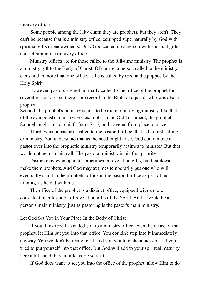ministry office.

Some people among the laity claim they are prophets, but they aren't. They can't be because that is a ministry office, equipped supernaturally by God with spiritual gifts or endowments. Only God can equip a person with spiritual gifts and set him into a ministry office.

Ministry offices are for those called to the full-time ministry. The prophet is a ministry gift to the Body of Christ. Of course, a person called to the ministry can stand in more than one office, as he is called by God and equipped by the Holy Spirit.

However, pastors are not normally called to the office of the prophet for several reasons. First, there is no record in the Bible of a pastor who was also a prophet.

Second, the prophet's ministry seems to be more of a roving ministry, like that of the evangelist's ministry. For example, in the Old Testament, the prophet Samuel taught in a circuit (1 Sam. 7:16) and traveled from place to place.

Third, when a pastor is called to the pastoral office, that is his first calling or ministry. You understand that as the need might arise, God could move a pastor over into the prophetic ministry temporarily at times to minister. But that would not be his main call. The pastoral ministry is his first priority.

Pastors may even operate sometimes in revelation gifts, but that doesn't make them prophets. And God may at times temporarily put one who will eventually stand in the prophetic office in the pastoral office as part of his training, as he did with me.

The office of the prophet is a distinct office, equipped with a more consistent manifestation of revelation gifts of the Spirit. And it would be a person's main ministry, just as pastoring is the pastor's main ministry.

#### Let God Set You in Your Place In the Body of Christ

If you think God has called you to a ministry office, even the office of the prophet, let Him put you into that office. You couldn't step into it immediately anyway. You wouldn't be ready for it, and you would make a mess of it if you tried to put yourself into that office. But God will add to your spiritual maturity here a little and there a little as He sees fit.

If God does want to set you into the office of the prophet, allow Him to do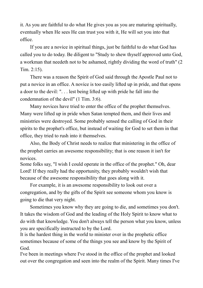it. As you are faithful to do what He gives you as you are maturing spiritually, eventually when He sees He can trust you with it, He will set you into that office.

If you are a novice in spiritual things, just be faithful to do what God has called you to do today. Be diligent to "Study to shew thyself approved unto God, a workman that needeth not to be ashamed, rightly dividing the word of truth" (2 Tim. 2:15).

There was a reason the Spirit of God said through the Apostle Paul not to put a novice in an office. A novice is too easily lifted up in pride, and that opens a door to the devil: ". . . lest being lifted up with pride he fall into the condemnation of the devil" (1 Tim. 3:6).

Many novices have tried to enter the office of the prophet themselves. Many were lifted up in pride when Satan tempted them, and their lives and ministries were destroyed. Some probably sensed the calling of God in their spirits to the prophet's office, but instead of waiting for God to set them in that office, they tried to rush into it themselves.

Also, the Body of Christ needs to realize that ministering in the office of the prophet carries an awesome responsibility; that is one reason it isn't for novices.

Some folks say, "I wish I could operate in the office of the prophet." Oh, dear Lord! If they really had the opportunity, they probably wouldn't wish that because of the awesome responsibility that goes along with it.

For example, it is an awesome responsibility to look out over a congregation, and by the gifts of the Spirit see someone whom you know is going to die that very night.

Sometimes you know why they are going to die, and sometimes you don't. It takes the wisdom of God and the leading of the Holy Spirit to know what to do with that knowledge. You don't always tell the person what you know, unless you are specifically instructed to by the Lord.

It is the hardest thing in the world to minister over in the prophetic office sometimes because of some of the things you see and know by the Spirit of God.

I've been in meetings where I've stood in the office of the prophet and looked out over the congregation and seen into the realm of the Spirit. Many times I've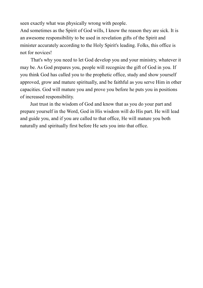seen exactly what was physically wrong with people.

And sometimes as the Spirit of God wills, I know the reason they are sick. It is an awesome responsibility to be used in revelation gifts of the Spirit and minister accurately according to the Holy Spirit's leading. Folks, this office is not for novices!

That's why you need to let God develop you and your ministry, whatever it may be. As God prepares you, people will recognize the gift of God in you. If you think God has called you to the prophetic office, study and show yourself approved, grow and mature spiritually, and be faithful as you serve Him in other capacities. God will mature you and prove you before he puts you in positions of increased responsibility.

Just trust in the wisdom of God and know that as you do your part and prepare yourself in the Word, God in His wisdom will do His part. He will lead and guide you, and if you are called to that office, He will mature you both naturally and spiritually first before He sets you into that office.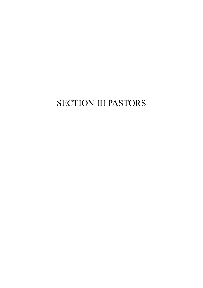# SECTION III PASTORS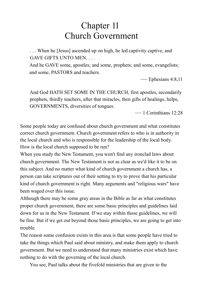## Chapter 11 Church Government

. . . When he [Jesus] ascended up on high, he led captivity captive, and GAVE GIFTS UNTO MEN. . . .

And he GAVE some, apostles; and some, prophets; and some, evangelists; and some, PASTORS and teachers.

— Ephesians 4:8,11

And God HATH SET SOME IN THE CHURCH, first apostles, secondarily prophets, thirdly teachers, after that miracles, then gifts of healings, helps, GOVERNMENTS, diversities of tongues.

— 1 Corinthians 12:28

Some people today are confused about church government and what constitutes correct church government. Church government refers to who is in authority in the local church and who is responsible for the leadership of the local body. How is the local church supposed to be run?

When you study the New Testament, you won't find any ironclad laws about church government. The New Testament is not as clear as we'd like it to be on this subject. And no matter what kind of church government a church has, a person can take scriptures out of their setting to try to prove that his particular kind of church government is right. Many arguments and "religious wars" have been waged over this issue.

Although there may be some gray areas in the Bible as far as what constitutes proper church government, there are some basic principles and guidelines laid down for us in the New Testament. If we stay within those guidelines, we will be fine. But if we get out beyond those basic principles, we are going to get into trouble.

The reason some confusion exists in this area is that some people have tried to take the things which Paul said about ministry, and make them apply to church government. But we need to understand that many ministries exist which have nothing to do with the governing of the local church.

You see, Paul talks about the fivefold ministries that are given to the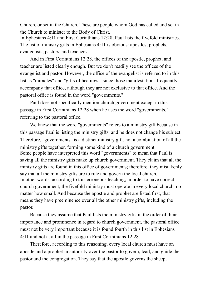Church, or set in the Church. These are people whom God has called and set in the Church to minister to the Body of Christ.

In Ephesians 4:11 and First Corinthians 12:28, Paul lists the fivefold ministries. The list of ministry gifts in Ephesians 4:11 is obvious: apostles, prophets, evangelists, pastors, and teachers.

And in First Corinthians 12:28, the offices of the apostle, prophet, and teacher are listed clearly enough. But we don't readily see the offices of the evangelist and pastor. However, the office of the evangelist is referred to in this list as "miracles" and "gifts of healings," since those manifestations frequently accompany that office, although they are not exclusive to that office. And the pastoral office is found in the word "governments."

Paul does not specifically mention church government except in this passage in First Corinthians 12:28 when he uses the word "governments," referring to the pastoral office.

We know that the word "governments" refers to a ministry gift because in this passage Paul is listing the ministry gifts, and he does not change his subject. Therefore, "governments" is a distinct ministry gift, not a combination of all the ministry gifts together, forming some kind of a church government. Some people have interpreted this word "governments" to mean that Paul is saying all the ministry gifts make up church government. They claim that all the ministry gifts are found in this office of governments; therefore, they mistakenly say that all the ministry gifts are to rule and govern the local church. In other words, according to this erroneous teaching, in order to have correct church government, the fivefold ministry must operate in every local church, no matter how small. And because the apostle and prophet are listed first, that means they have preeminence over all the other ministry gifts, including the pastor.

Because they assume that Paul lists the ministry gifts in the order of their importance and prominence in regard to church government, the pastoral office must not be very important because it is found fourth in this list in Ephesians 4:11 and not at all in the passage in First Corinthians 12:28.

Therefore, according to this reasoning, every local church must have an apostle and a prophet in authority over the pastor to govern, lead, and guide the pastor and the congregation. They say that the apostle governs the sheep,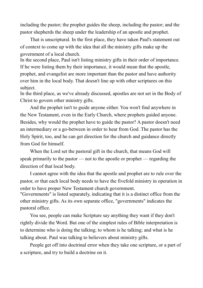including the pastor; the prophet guides the sheep, including the pastor; and the pastor shepherds the sheep under the leadership of an apostle and prophet.

That is unscriptural. In the first place, they have taken Paul's statement out of context to come up with the idea that all the ministry gifts make up the government of a local church.

In the second place, Paul isn't listing ministry gifts in their order of importance. If he were listing them by their importance, it would mean that the apostle, prophet, and evangelist are more important than the pastor and have authority over him in the local body. That doesn't line up with other scriptures on this subject.

In the third place, as we've already discussed, apostles are not set in the Body of Christ to govern other ministry gifts.

And the prophet isn't to guide anyone either. You won't find anywhere in the New Testament, even in the Early Church, where prophets guided anyone. Besides, why would the prophet have to guide the pastor? A pastor doesn't need an intermediary or a go-between in order to hear from God. The pastor has the Holy Spirit, too, and he can get direction for the church and guidance directly from God for himself.

When the Lord set the pastoral gift in the church, that means God will speak primarily to the pastor — not to the apostle or prophet — regarding the direction of that local body.

I cannot agree with the idea that the apostle and prophet are to rule over the pastor, or that each local body needs to have the fivefold ministry in operation in order to have proper New Testament church government.

"Governments" is listed separately, indicating that it is a distinct office from the other ministry gifts. As its own separate office, "governments" indicates the pastoral office.

You see, people can make Scripture say anything they want if they don't rightly divide the Word. But one of the simplest rules of Bible interpretation is to determine who is doing the talking; to whom is he talking; and what is he talking about. Paul was talking to believers about ministry gifts.

People get off into doctrinal error when they take one scripture, or a part of a scripture, and try to build a doctrine on it.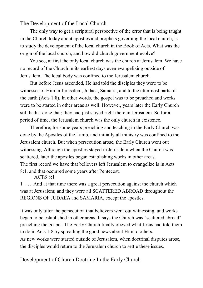## The Development of the Local Church

The only way to get a scriptural perspective of the error that is being taught in the Church today about apostles and prophets governing the local church, is to study the development of the local church in the Book of Acts. What was the origin of the local church, and how did church government evolve?

You see, at first the only local church was the church at Jerusalem. We have no record of the Church in its earliest days even evangelizing outside of Jerusalem. The local body was confined to the Jerusalem church.

But before Jesus ascended, He had told the disciples they were to be witnesses of Him in Jerusalem, Judaea, Samaria, and to the uttermost parts of the earth (Acts 1:8). In other words, the gospel was to be preached and works were to be started in other areas as well. However, years later the Early Church still hadn't done that; they had just stayed right there in Jerusalem. So for a period of time, the Jerusalem church was the only church in existence.

Therefore, for some years preaching and teaching in the Early Church was done by the Apostles of the Lamb, and initially all ministry was confined to the Jerusalem church. But when persecution arose, the Early Church went out witnessing. Although the apostles stayed in Jerusalem when the Church was scattered, later the apostles began establishing works in other areas. The first record we have that believers left Jerusalem to evangelize is in Acts 8:1, and that occurred some years after Pentecost.

ACTS 8:1

1 . . . And at that time there was a great persecution against the church which was at Jerusalem; and they were all SCATTERED ABROAD throughout the REGIONS OF JUDAEA and SAMARIA, except the apostles.

It was only after the persecution that believers went out witnessing, and works began to be established in other areas. It says the Church was "scattered abroad" preaching the gospel. The Early Church finally obeyed what Jesus had told them to do in Acts 1:8 by spreading the good news about Him to others. As new works were started outside of Jerusalem, when doctrinal disputes arose, the disciples would return to the Jerusalem church to settle these issues.

Development of Church Doctrine In the Early Church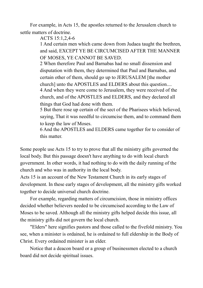For example, in Acts 15, the apostles returned to the Jerusalem church to settle matters of doctrine.

ACTS 15:1,2,4-6

1 And certain men which came down from Judaea taught the brethren, and said, EXCEPT YE BE CIRCUMCISED AFTER THE MANNER OF MOSES, YE CANNOT BE SAVED.

2 When therefore Paul and Barnabas had no small dissension and disputation with them, they determined that Paul and Barnabas, and certain other of them, should go up to JERUSALEM [the mother church] unto the APOSTLES and ELDERS about this question.... 4 And when they were come to Jerusalem, they were received of the church, and of the APOSTLES and ELDERS, and they declared all things that God had done with them.

5 But there rose up certain of the sect of the Pharisees which believed, saying, That it was needful to circumcise them, and to command them to keep the law of Moses.

6 And the APOSTLES and ELDERS came together for to consider of this matter.

Some people use Acts 15 to try to prove that all the ministry gifts governed the local body. But this passage doesn't have anything to do with local church government. In other words, it had nothing to do with the daily running of the church and who was in authority in the local body.

Acts 15 is an account of the New Testament Church in its early stages of development. In these early stages of development, all the ministry gifts worked together to decide universal church doctrine.

For example, regarding matters of circumcision, those in ministry offices decided whether believers needed to be circumcised according to the Law of Moses to be saved. Although all the ministry gifts helped decide this issue, all the ministry gifts did not govern the local church.

"Elders" here signifies pastors and those called to the fivefold ministry. You see, when a minister is ordained, he is ordained to full eldership in the Body of Christ. Every ordained minister is an elder.

Notice that a deacon board or a group of businessmen elected to a church board did not decide spiritual issues.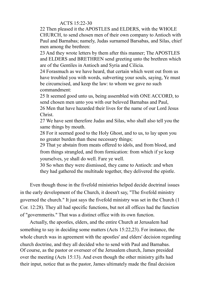#### ACTS 15:22-30

22 Then pleased it the APOSTLES and ELDERS, with the WHOLE CHURCH, to send chosen men of their own company to Antioch with Paul and Barnabas; namely, Judas surnamed Barsabas, and Silas, chief men among the brethren:

23 And they wrote letters by them after this manner; The APOSTLES and ELDERS and BRETHREN send greeting unto the brethren which are of the Gentiles in Antioch and Syria and Cilicia.

24 Forasmuch as we have heard, that certain which went out from us have troubled you with words, subverting your souls, saying, Ye must be circumcised, and keep the law: to whom we gave no such commandment:

25 It seemed good unto us, being assembled with ONE ACCORD, to send chosen men unto you with our beloved Barnabas and Paul,

26 Men that have hazarded their lives for the name of our Lord Jesus Christ.

27 We have sent therefore Judas and Silas, who shall also tell you the same things by mouth.

28 For it seemed good to the Holy Ghost, and to us, to lay upon you no greater burden than these necessary things;

29 That ye abstain from meats offered to idols, and from blood, and from things strangled, and from fornication: from which if ye keep yourselves, ye shall do well. Fare ye well.

30 So when they were dismissed, they came to Antioch: and when they had gathered the multitude together, they delivered the epistle.

Even though those in the fivefold ministries helped decide doctrinal issues in the early development of the Church, it doesn't say, "The fivefold ministry governed the church." It just says the fivefold ministry was set in the Church (1 Cor. 12:28). They all had specific functions, but not all offices had the function of "governmerits." That was a distinct office with its own function.

Actually, the apostles, elders, and the entire Church at Jerusalem had something to say in deciding some matters (Acts 15:22,23). For instance, the whole church was in agreement with the apostles' and elders' decision regarding church doctrine, and they all decided who to send with Paul and Barnabas. Of course, as the pastor or overseer of the Jerusalem church, James presided over the meeting (Acts 15:13). And even though the other ministry gifts had their input, notice that as the pastor, James ultimately made the final decision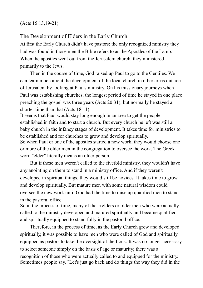#### (Acts 15:13,19-21).

### The Development of Elders in the Early Church

At first the Early Church didn't have pastors; the only recognized ministry they had was found in those men the Bible refers to as the Apostles of the Lamb. When the apostles went out from the Jerusalem church, they ministered primarily to the Jews.

Then in the course of time, God raised up Paul to go to the Gentiles. We can learn much about the development of the local church in other areas outside of Jerusalem by looking at Paul's ministry. On his missionary journeys when Paul was establishing churches, the longest period of time he stayed in one place preaching the gospel was three years (Acts 20:31), but normally he stayed a shorter time than that (Acts 18:11).

It seems that Paul would stay long enough in an area to get the people established in faith and to start a church. But every church he left was still a baby church in the infancy stages of development. It takes time for ministries to be established and for churches to grow and develop spiritually. So when Paul or one of the apostles started a new work, they would choose one or more of the older men in the congregation to oversee the work. The Greek word "elder" literally means an older person.

But if these men weren't called to the fivefold ministry, they wouldn't have any anointing on them to stand in a ministry office. And if they weren't developed in spiritual things, they would still be novices. It takes time to grow and develop spiritually. But mature men with some natural wisdom could oversee the new work until God had the time to raise up qualified men to stand in the pastoral office.

So in the process of time, many of these elders or older men who were actually called to the ministry developed and matured spiritually and became qualified and spiritually equipped to stand fully in the pastoral office.

Therefore, in the process of time, as the Early Church grew and developed spiritually, it was possible to have men who were called of God and spiritually equipped as pastors to take the oversight of the flock. It was no longer necessary to select someone simply on the basis of age or maturity; there was a recognition of those who were actually called to and equipped for the ministry. Sometimes people say, "Let's just go back and do things the way they did in the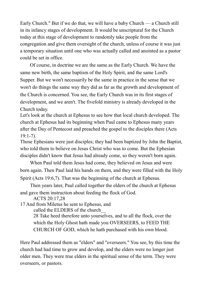Early Church." But if we do that, we will have a baby Church — a Church still in its infancy stages of development. It would be unscriptural for the Church today at this stage of development to randomly take people from the congregation and give them oversight of the church, unless of course it was just a temporary situation until one who was actually called and anointed as a pastor could be set in office.

Of course, in doctrine we are the same as the Early Church. We have the same new birth, the same baptism of the Holy Spirit, and the same Lord's Supper. But we won't necessarily be the same in practice in the sense that we won't do things the same way they did as far as the growth and development of the Church is concerned. You see, the Early Church was in its first stages of development, and we aren't. The fivefold ministry is already developed in the Church today.

Let's look at the church at Ephesus to see how that local church developed. The church at Ephesus had its beginning when Paul came to Ephesus many years after the Day of Pentecost and preached the gospel to the disciples there (Acts 19:1-7).

Those Ephesians were just disciples; they had been baptized by John the Baptist, who told them to believe on Jesus Christ who was to come. But the Ephesian disciples didn't know that Jesus had already come, so they weren't born again.

When Paul told them Jesus had come, they believed on Jesus and were born again. Then Paul laid his hands on them, and they were filled with the Holy Spirit (Acts 19:6,7). That was the beginning of the church at Ephesus.

Then years later, Paul called together the elders of the church at Ephesus and gave them instruction about feeding the flock of God.

ACTS 20:17,28

17 And from Miletus he sent to Ephesus, and

called the ELDERS of the church\_\_

28 Take heed therefore unto yourselves, and to all the flock, over the which the Holy Ghost hath made you OVERSEERS, to FEED THE CHURCH OF GOD, which he hath purchased with his own blood.

Here Paul addressed them as "elders" and "overseers." You see, by this time the church had had time to grow and develop, and the elders were no longer just older men. They were true elders in the spiritual sense of the term. They were overseers, or pastors.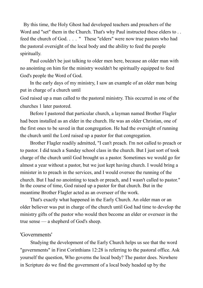By this time, the Holy Ghost had developed teachers and preachers of the Word and "set" them in the Church. That's why Paul instructed these elders to . . feed the church of God. . . . " These "elders" were now true pastors who had the pastoral oversight of the local body and the ability to feed the people spiritually.

Paul couldn't be just talking to older men here, because an older man with no anointing on him for the ministry wouldn't be spiritually equipped to feed God's people the Word of God.

In the early days of my ministry, I saw an example of an older man being put in charge of a church until

God raised up a man called to the pastoral ministry. This occurred in one of the churches 1 later pastored.

Before I pastored that particular church, a layman named Brother Flagler had been installed as an elder in the church. He was an older Christian, one of the first ones to be saved in that congregation. He had the oversight of running the church until the Lord raised up a pastor for that congregation.

Brother Flagler readily admitted, "I can't preach. I'm not called to preach or to pastor. I did teach a Sunday school class in the church. But I just sort of took charge of the church until God brought us a pastor. Sometimes we would go for almost a year without a pastor, but we just kept having church. I would bring a minister in to preach in the services, and I would oversee the running of the church. But I had no anointing to teach or preach, and I wasn't called to pastor." In the course of time, God raised up a pastor for that church. But in the meantime Brother Flagler acted as an overseer of the work.

That's exactly what happened in the Early Church. An older man or an older believer was put in charge of the church until God had time to develop the ministry gifts of the pastor who would then become an elder or overseer in the true sense — a shepherd of God's sheep.

#### 'Governments'

Studying the development of the Early Church helps us see that the word "governments" in First Corinthians 12:28 is referring to the pastoral office. Ask yourself the question, Who governs the local body? The pastor does. Nowhere in Scripture do we find the government of a local body headed up by the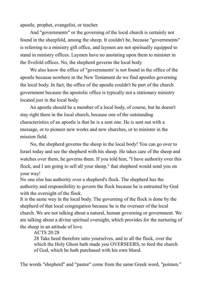apostle, prophet, evangelist, or teacher.

And "governments" or the governing of the local church is certainly not found in the sheepfold, among the sheep. It couldn't be, because "governments" is referring to a ministry gift office, and laymen are not spiritually equipped to stand in ministry offices. Laymen have no anointing upon them to minister in the fivefold offices. No, the shepherd governs the local body.

We also know the office of "governments' is not found in the office of the apostle because nowhere in the New Testament do we find apostles governing the local body. In fact, the office of the apostle couldn't be part of the church government because the apostolic office is typically not a stationary ministry located just in the local body.

An apostle should be a member of a local body, of course, but he doesn't stay right there in the local church, because one of the outstanding characteristics of an apostle is that he is a sent one. He is sent out with a message, or to pioneer new works and new churches, or to minister in the mission field.

No, the shepherd governs the sheep in the local body! You can go over to Israel today and see the shepherd with his sheep. He takes care of the sheep and watches over them; he governs them. If you told him, "I have authority over this flock, and I am going to sell all your sheep," that shepherd would send you on your way!

No one else has authority over a shepherd's flock. The shepherd has the authority and responsibility to govern the flock because he is entrusted by God with the oversight of the flock.

It is the same way in the local body. The governing of the flock is done by the shepherd of that local congregation because he is the overseer of the local church. We are not talking about a natural, human governing or government. We are talking about a divine spiritual oversight, which provides for the nurturing of the sheep in an attitude of love.

ACTS 20:28

28 Take heed therefore unto yourselves, and to all the flock, over the which the Holy Ghost hath made you OVERSEERS, to feed the church of God, which he hath purchased with his own blood.

The words "shepherd" and "pastor" come from the same Greek word, "poimen."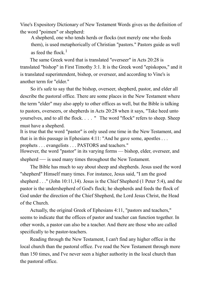Vine's Expository Dictionary of New Testament Words gives us the definition of the word "poimen" or shepherd:

A shepherd, one who tends herds or flocks (not merely one who feeds them), is used metaphorically of Christian "pastors." Pastors guide as well as feed the flock  $1$ 

The same Greek word that is translated "overseer" in Acts 20:28 is translated "bishop" in First Timothy 3:1. It is the Greek word "episkopos," and it is translated superintendent, bishop, or overseer, and according to Vine's is another term for "elder."

So it's safe to say that the bishop, overseer, shepherd, pastor, and elder all describe the pastoral office. There are some places in the New Testament where the term "elder" may also apply to other offices as well, but the Bible is talking to pastors, overseers, or shepherds in Acts 20:28 when it says, "Take heed unto yourselves, and to all the flock. . . . " The word "flock" refers to sheep. Sheep must have a shepherd.

It is true that the word "pastor" is only used one time in the New Testament, and that is in this passage in Ephesians 4:11: "And he gave some, apostles . . . prophets . . . evangelists . . . PASTORS and teachers."

However, the word "pastor" in its varying forms — bishop, elder, overseer, and shepherd — is used many times throughout the New Testament.

The Bible has much to say about sheep and shepherds. Jesus used the word "shepherd" Himself many times. For instance, Jesus said, "I am the good shepherd . . ." (John 10:11,14). Jesus is the Chief Shepherd (1 Peter 5:4), and the pastor is the undershepherd of God's flock; he shepherds and feeds the flock of God under the direction of the Chief Shepherd, the Lord Jesus Christ, the Head of the Church.

Actually, the original Greek of Ephesians 4:11, "pastors and teachers," seems to indicate that the offices of pastor and teacher can function together. In other words, a pastor can also be a teacher. And there are those who are called specifically to be pastor-teachers.

Reading through the New Testament, I can't find any higher office in the local church than the pastoral office. I've read the New Testament through more than 150 times, and I've never seen a higher authority in the local church than the pastoral office.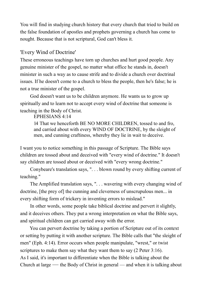You will find in studying church history that every church that tried to build on the false foundation of apostles and prophets governing a church has come to nought. Because that is not scriptural, God can't bless it.

### 'Every Wind of Doctrine'

These erroneous teachings have torn up churches and hurt good people. Any genuine minister of the gospel, no matter what office he stands in, doesn't minister in such a way as to cause strife and to divide a church over doctrinal issues. If he doesn't come to a church to bless the people, then he's false; he is not a true minister of the gospel.

God doesn't want us to be children anymore. He wants us to grow up spiritually and to learn not to accept every wind of doctrine that someone is teaching in the Body of Christ.

EPHESIANS 4:14

14 That we henceforth BE NO MORE CHILDREN, tossed to and fro, and carried about with every WIND OF DOCTRINE, by the sleight of men, and cunning craftiness, whereby they lie in wait to deceive.

I want you to notice something in this passage of Scripture. The Bible says children are tossed about and deceived with "every wind of doctrine." It doesn't say children are tossed about or deceived with "every wrong doctrine."

Conybeare's translation says, ". . . blown round by every shifting current of teaching."

The Amplified translation says, ". . . wavering with every changing wind of doctrine, [the prey of] the cunning and cleverness of unscrupulous men... in every shifting form of trickery in inventing errors to mislead."

In other words, some people take biblical doctrine and pervert it slightly, and it deceives others. They put a wrong interpretation on what the Bible says, and spiritual children can get carried away with the error.

You can pervert doctrine by taking a portion of Scripture out of its context or setting by putting it with another scripture. The Bible calls that "the sleight of men" (Eph. 4:14). Error occurs when people manipulate, "wrest," or twist scriptures to make them say what they want them to say (2 Peter 3:16). As I said, it's important to differentiate when the Bible is talking about the Church at large — the Body of Christ in general — and when it is talking about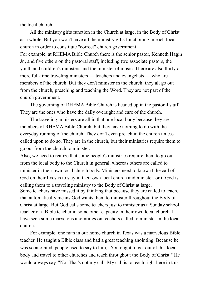the local church.

All the ministry gifts function in the Church at large, in the Body of Christ as a whole. But you won't have all the ministry gifts functioning in each local church in order to constitute "correct" church government. For example, at RHEMA Bible Church there is the senior pastor, Kenneth Hagin Jr., and five others on the pastoral staff, including two associate pastors, the youth and children's ministers and the minister of music. There are also thirty or more full-time traveling ministers — teachers and evangelists — who are members of the church. But they don't minister in the church; they all go out from the church, preaching and teaching the Word. They are not part of the church government.

The governing of RHEMA Bible Church is headed up in the pastoral staff. They are the ones who have the daily oversight and care of the church.

The traveling ministers are all in that one local body because they are members of RHEMA Bible Church, but they have nothing to do with the everyday running of the church. They don't even preach in the church unless called upon to do so. They are in the church, but their ministries require them to go out from the church to minister.

Also, we need to realize that some people's ministries require them to go out from the local body to the Church in general, whereas others are called to minister in their own local church body. Ministers need to know if the call of God on their lives is to stay in their own local church and minister, or if God is calling them to a traveling ministry to the Body of Christ at large. Some teachers have missed it by thinking that because they are called to teach, that automatically means God wants them to minister throughout the Body of Christ at large. But God calls some teachers just to minister as a Sunday school teacher or a Bible teacher in some other capacity in their own local church. I have seen some marvelous anointings on teachers called to minister in the local church.

For example, one man in our home church in Texas was a marvelous Bible teacher. He taught a Bible class and had a great teaching anointing. Because he was so anointed, people used to say to him, "You ought to get out of this local body and travel to other churches and teach throughout the Body of Christ." He would always say, "No. That's not my call. My call is to teach right here in this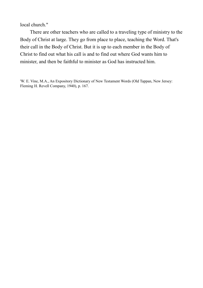local church."

There are other teachers who are called to a traveling type of ministry to the Body of Christ at large. They go from place to place, teaching the Word. That's their call in the Body of Christ. But it is up to each member in the Body of Christ to find out what his call is and to find out where God wants him to minister, and then be faithful to minister as God has instructed him.

'W. E. Vine, M.A., An Expository Dictionary of New Testament Words (Old Tappan, New Jersey: Fleming H. Revell Company, 1940), p. 167.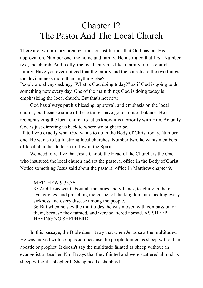## Chapter 12 The Pastor And The Local Church

There are two primary organizations or institutions that God has put His approval on. Number one, the home and family. He instituted that first. Number two, the church. And really, the local church is like a family; it is a church family. Have you ever noticed that the family and the church are the two things the devil attacks more than anything else?

People are always asking, "What is God doing today?" as if God is going to do something new every day. One of the main things God is doing today is emphasizing the local church. But that's not new.

God has always put his blessing, approval, and emphasis on the local church, but because some of these things have gotten out of balance, He is reemphasizing the local church to let us know it is a priority with Him. Actually, God is just directing us back to where we ought to be.

I'll tell you exactly what God wants to do in the Body of Christ today. Number one, He wants to build strong local churches. Number two, he wants members of local churches to learn to flow in the Spirit.

We need to realize that Jesus Christ, the Head of the Church, is the One who instituted the local church and set the pastoral office in the Body of Christ. Notice something Jesus said about the pastoral office in Matthew chapter 9.

#### MATTHEW 9:35,36

35 And Jesus went about all the cities and villages, teaching in their synagogues, and preaching the gospel of the kingdom, and healing every sickness and every disease among the people.

36 But when he saw the multitudes, he was moved with compassion on them, because they fainted, and were scattered abroad, AS SHEEP HAVING NO SHEPHERD.

In this passage, the Bible doesn't say that when Jesus saw the multitudes, He was moved with compassion because the people fainted as sheep without an apostle or prophet. It doesn't say the multitude fainted as sheep without an evangelist or teacher. No! It says that they fainted and were scattered abroad as sheep without a shepherd! Sheep need a shepherd.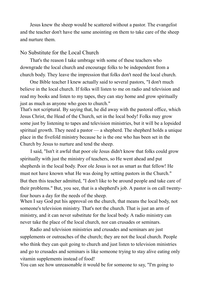Jesus knew the sheep would be scattered without a pastor. The evangelist and the teacher don't have the same anointing on them to take care of the sheep and nurture them.

#### No Substitute for the Local Church

That's the reason I take umbrage with some of these teachers who downgrade the local church and encourage folks to be independent from a church body. They leave the impression that folks don't need the local church.

One Bible teacher I knew actually said to several pastors, "I don't much believe in the local church. If folks will listen to me on radio and television and read my books and listen to my tapes, they can stay home and grow spiritually just as much as anyone who goes to church."

That's not scriptural. By saying that, he did away with the pastoral office, which Jesus Christ, the Head of the Church, set in the local body! Folks may grow some just by listening to tapes and television ministries, but it will be a lopsided spiritual growth. They need a pastor — a shepherd. The shepherd holds a unique place in the fivefold ministry because he is the one who has been set in the Church by Jesus to nurture and tend the sheep.

I said, "Isn't it awful that poor ole Jesus didn't know that folks could grow spiritually with just the ministry of teachers, so He went ahead and put shepherds in the local body. Poor ole Jesus is not as smart as that fellow! He must not have known what He was doing by setting pastors in the Church." But then this teacher admitted, "I don't like to be around people and take care of their problems." But, you see, that is a shepherd's job. A pastor is on call twentyfour hours a day for the needs of the sheep.

When I say God put his approval on the church, that means the local body, not someone's television ministry. That's not the church. That is just an arm of ministry, and it can never substitute for the local body. A radio ministry can never take the place of the local church, nor can crusades or seminars.

Radio and television ministries and crusades and seminars are just supplements or outreaches of the church; they are not the local church. People who think they can quit going to church and just listen to television ministries and go to crusades and seminars is like someone trying to stay alive eating only vitamin supplements instead of food!

You can see how unreasonable it would be for someone to say, "I'm going to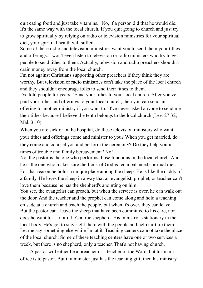quit eating food and just take vitamins." No, if a person did that he would die. It's the same way with the local church. If you quit going to church and just try to grow spiritually by relying on radio or television ministries for your spiritual diet, your spiritual health will suffer.

Some of these radio and television ministries want you to send them your tithes and offerings. I won't even listen to television or radio ministers who try to get people to send tithes to them. Actually, television and radio preachers shouldn't drain money away from the local church.

I'm not against Christians supporting other preachers if they think they are worthy. But television or radio ministries can't take the place of the local church and they shouldn't encourage folks to send their tithes to them.

I've told people for years, "Send your tithes to your local church. After you've paid your tithes and offerings to your local church, then you can send an offering to another ministry if you want to." I've never asked anyone to send me their tithes because I believe the tenth belongs to the local church (Lev. 27:32; Mal. 3:10).

When you are sick or in the hospital, do these television ministers who want your tithes and offerings come and minister to you? When you get married, do they come and counsel you and perform the ceremony? Do they help you in times of trouble and family bereavement? No!

No, the pastor is the one who performs those functions in the local church. And he is the one who makes sure the flock of God is fed a balanced spiritual diet. For that reason he holds a unique place among the sheep. He is like the daddy of a family. He loves the sheep in a way that an evangelist, prophet, or teacher can't love them because he has the shepherd's anointing on him.

You see, the evangelist can preach, but when the service is over, he can walk out the door. And the teacher and the prophet can come along and hold a teaching crusade at a church and teach the people, but when it's over, they can leave. But the pastor can't leave the sheep that have been committed to his care, nor does he want to — not if he's a true shepherd. His ministry is stationary in the local body. He's got to stay right there with the people and help nurture them. Let me say something else while I'm at it. Teaching centers cannot take the place of the local church. Some of these teaching centers have one or two services a week, but there is no shepherd, only a teacher. That's not having church.

A pastor will either be a preacher or a teacher of the Word, but his main office is to pastor. But if a minister just has the teaching gift, then his ministry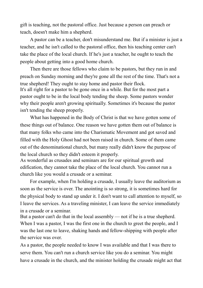gift is teaching, not the pastoral office. Just because a person can preach or teach, doesn't make him a shepherd.

A pastor can be a teacher, don't misunderstand me. But if a minister is just a teacher, and he isn't called to the pastoral office, then his teaching center can't take the place of the local church. If he's just a teacher, he ought to teach the people about getting into a good home church.

Then there are those fellows who claim to be pastors, but they run in and preach on Sunday morning and they're gone all the rest of the time. That's not a true shepherd! They ought to stay home and pastor their flock. It's all right for a pastor to be gone once in a while. But for the most part a pastor ought to be in the local body tending the sheep. Some pastors wonder why their people aren't growing spiritually. Sometimes it's because the pastor isn't tending the sheep properly.

What has happened in the Body of Christ is that we have gotten some of these things out of balance. One reason we have gotten them out of balance is that many folks who came into the Charismatic Movement and got saved and filled with the Holy Ghost had not been raised in church. Some of them came out of the denominational church, but many really didn't know the purpose of the local church so they didn't esteem it properly.

As wonderful as crusades and seminars are for our spiritual growth and edification, they cannot take the place of the local church. You cannot run a church like you would a crusade or a seminar.

For example, when I'm holding a crusade, I usually leave the auditorium as soon as the service is over. The anointing is so strong, it is sometimes hard for the physical body to stand up under it. I don't want to call attention to myself, so I leave the services. As a traveling minister, I can leave the service immediately in a crusade or a seminar.

But a pastor can't do that in the local assembly — not if he is a true shepherd. When I was a pastor, I was the first one in the church to greet the people, and I was the last one to leave, shaking hands and fellow-shipping with people after the service was over.

As a pastor, the people needed to know I was available and that I was there to serve them. You can't run a church service like you do a seminar. You might have a crusade in the church, and the minister holding the crusade might act that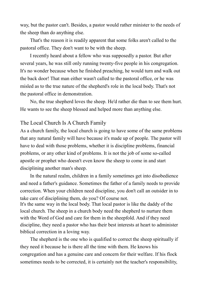way, but the pastor can't. Besides, a pastor would rather minister to the needs of the sheep than do anything else.

That's the reason it is readily apparent that some folks aren't called to the pastoral office. They don't want to be with the sheep.

I recently heard about a fellow who was supposedly a pastor. But after several years, he was still only running twenty-five people in his congregation. It's no wonder because when he finished preaching, he would turn and walk out the back door! That man either wasn't called to the pastoral office, or he was misled as to the true nature of the shepherd's role in the local body. That's not the pastoral office in demonstration.

No, the true shepherd loves the sheep. He'd rather die than to see them hurt. He wants to see the sheep blessed and helped more than anything else.

# The Local Church Is A Church Family

As a church family, the local church is going to have some of the same problems that any natural family will have because it's made up of people. The pastor will have to deal with those problems, whether it is discipline problems, financial problems, or any other kind of problems. It is not the job of some so-called apostle or prophet who doesn't even know the sheep to come in and start disciplining another man's sheep.

In the natural realm, children in a family sometimes get into disobedience and need a father's guidance. Sometimes the father of a family needs to provide correction. When your children need discipline, you don't call an outsider in to take care of disciplining them, do you? Of course not.

It's the same way in the local body. That local pastor is like the daddy of the local church. The sheep in a church body need the shepherd to nurture them with the Word of God and care for them in the sheepfold. And if they need discipline, they need a pastor who has their best interests at heart to administer biblical correction in a loving way.

The shepherd is the one who is qualified to correct the sheep spiritually if they need it because he is there all the time with them. He knows his congregation and has a genuine care and concern for their welfare. If his flock sometimes needs to be corrected, it is certainly not the teacher's responsibility,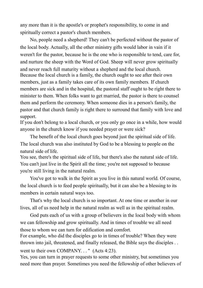any more than it is the apostle's or prophet's responsibility, to come in and spiritually correct a pastor's church members.

No, people need a shepherd! They can't be perfected without the pastor of the local body. Actually, all the other ministry gifts would labor in vain if it weren't for the pastor, because he is the one who is responsible to tend, care for, and nurture the sheep with the Word of God. Sheep will never grow spiritually and never reach full maturity without a shepherd and the local church. Because the local church is a family, the church ought to see after their own members, just as a family takes care of its own family members. If church members are sick and in the hospital, the pastoral staff ought to be right there to minister to them. When folks want to get married, the pastor is there to counsel them and perform the ceremony. When someone dies in a person's family, the pastor and that church family is right there to surround that family with love and support.

If you don't belong to a local church, or you only go once in a while, how would anyone in the church know if you needed prayer or were sick?

The benefit of the local church goes beyond just the spiritual side of life. The local church was also instituted by God to be a blessing to people on the natural side of life.

You see, there's the spiritual side of life, but there's also the natural side of life. You can't just live in the Spirit all the time; you're not supposed to because you're still living in the natural realm.

You've got to walk in the Spirit as you live in this natural world. Of course, the local church is to feed people spiritually, but it can also be a blessing to its members in certain natural ways too.

That's why the local church is so important. At one time or another in our lives, all of us need help in the natural realm as well as in the spiritual realm.

God puts each of us with a group of believers in the local body with whom we can fellowship and grow spiritually. And in times of trouble we all need those to whom we can turn for edification and comfort.

For example, who did the disciples go to in times of trouble? When they were thrown into jail, threatened, and finally released, the Bible says the disciples . . went to their own COMPANY. . . " (Acts 4:23).

Yes, you can turn in prayer requests to some other ministry, but sometimes you need more than prayer. Sometimes you need the fellowship of other believers of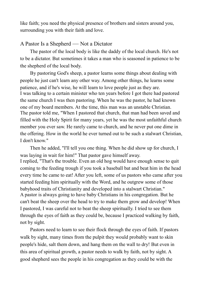like faith; you need the physical presence of brothers and sisters around you, surrounding you with their faith and love.

## A Pastor Is a Shepherd — Not a Dictator

The pastor of the local body is like the daddy of the local church. He's not to be a dictator. But sometimes it takes a man who is seasoned in patience to be the shepherd of the local body.

By pastoring God's sheep, a pastor learns some things about dealing with people he just can't learn any other way. Among other things, he learns some patience, and if he's wise, he will learn to love people just as they are. I was talking to a certain minister who ten years before I got there had pastored the same church I was then pastoring. When he was the pastor, he had known one of my board members. At the time, this man was an unstable Christian. The pastor told me, "When I pastored that church, that man had been saved and filled with the Holy Spirit for many years, yet he was the most unfaithful church member you ever saw. He rarely came to church, and he never put one dime in the offering. How in the world he ever turned out to be such a stalwart Christian, I don't know."

Then he added, "I'll tell you one thing. When he did show up for church, I was laying in wait for him!" That pastor gave himself away. I replied, "That's the trouble. Even an old hog would have enough sense to quit coming to the feeding trough if you took a baseball bat and beat him in the head every time he came to eat! After you left, some of us pastors who came after you started feeding him spiritually with the Word, and he outgrew some of those babyhood traits of Christianity and developed into a stalwart Christian." A pastor is always going to have baby Christians in his congregation. But he can't beat the sheep over the head to try to make them grow and develop! When I pastored, I was careful not to beat the sheep spiritually. I tried to see them through the eyes of faith as they could be, because I practiced walking by faith, not by sight.

Pastors need to learn to see their flock through the eyes of faith. If pastors walk by sight, many times from the pulpit they would probably want to skin people's hide, salt them down, and hang them on the wall to dry! But even in this area of spiritual growth, a pastor needs to walk by faith, not by sight. A good shepherd sees the people in his congregation as they could be with the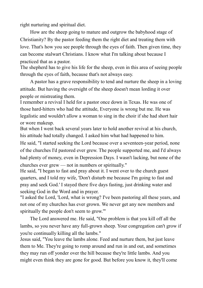right nurturing and spiritual diet.

How are the sheep going to mature and outgrow the babyhood stage of Christianity? By the pastor feeding them the right diet and treating them with love. That's how you see people through the eyes of faith. Then given time, they can become stalwart Christians. I know what I'm talking about because I practiced that as a pastor.

The shepherd has to give his life for the sheep, even in this area of seeing people through the eyes of faith, because that's not always easy.

A pastor has a grave responsibility to tend and nurture the sheep in a loving attitude. But having the oversight of the sheep doesn't mean lording it over people or mistreating them.

I remember a revival I held for a pastor once down in Texas. He was one of those hard-hitters who had the attitude, Everyone is wrong but me. He was legalistic and wouldn't allow a woman to sing in the choir if she had short hair or wore makeup.

But when I went back several years later to hold another revival at his church, his attitude had totally changed. I asked him what had happened to him.

He said, "I started seeking the Lord because over a seventeen-year period, none of the churches I'd pastored ever grew. The people supported me, and I'd always had plenty of money, even in Depression Days. I wasn't lacking, but none of the churches ever grew — not in numbers or spiritually."

He said, "I began to fast and pray about it. I went over to the church guest quarters, and I told my wife, 'Don't disturb me because I'm going to fast and pray and seek God.' I stayed there five days fasting, just drinking water and seeking God in the Word and in prayer.

"I asked the Lord, 'Lord, what is wrong? I've been pastoring all these years, and not one of my churches has ever grown. We never get any new members and spiritually the people don't seem to grow.'"

The Lord answered me. He said, "One problem is that you kill off all the lambs, so you never have any full-grown sheep. Your congregation can't grow if you're continually killing all the lambs."

Jesus said, "You leave the lambs alone. Feed and nurture them, but just leave them to Me. They're going to romp around and run in and out, and sometimes they may run off yonder over the hill because they're little lambs. And you might even think they are gone for good. But before you know it, they'll come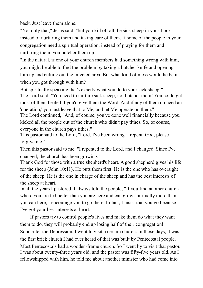back. Just leave them alone."

"Not only that," Jesus said, "but you kill off all the sick sheep in your flock instead of nurturing them and taking care of them. If some of the people in your congregation need a spiritual operation, instead of praying for them and nurturing them, you butcher them up.

"In the natural, if one of your church members had something wrong with him, you might be able to find the problem by taking a butcher knife and opening him up and cutting out the infected area. But what kind of mess would he be in when you got through with him?

But spiritually speaking that's exactly what you do to your sick sheep!" The Lord said, "You need to nurture sick sheep, not butcher them! You could get most of them healed if you'd give them the Word. And if any of them do need an 'operation,' you just leave that to Me, and let Me operate on them."

The Lord continued, "And, of course, you've done well financially because you kicked all the people out of the church who didn't pay tithes. So, of course, everyone in the church pays tithes."

This pastor said to the Lord, "Lord, I've been wrong. I repent. God, please forgive me."

Then this pastor said to me, "I repented to the Lord, and I changed. Since I've changed, the church has been growing."

Thank God for those with a true shepherd's heart. A good shepherd gives his life for the sheep (John 10:11). He puts them first. He is the one who has oversight of the sheep. He is the one in charge of the sheep and has the best interests of the sheep at heart.

In all the years I pastored, I always told the people, "If you find another church where you are fed better than you are here and can grow spiritually more than you can here, I encourage you to go there. In fact, I insist that you go because I've got your best interests at heart."

If pastors try to control people's lives and make them do what they want them to do, they will probably end up losing half of their congregation! Soon after the Depression, I went to visit a certain church. In those days, it was the first brick church I had ever heard of that was built by Pentecostal people. Most Pentecostals had a wooden-frame church. So I went by to visit that pastor. I was about twenty-three years old, and the pastor was fifty-five years old. As I fellowshipped with him, he told me about another minister who had come into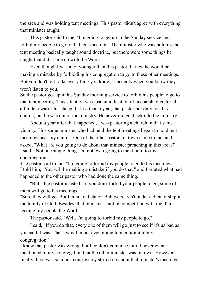the area and was holding tent meetings. This pastor didn't agree with everything that minister taught.

This pastor said to me, "I'm going to get up in the Sunday service and forbid my people to go to that tent meeting." The minister who was holding the tent meeting basically taught sound doctrine, but there were some things he taught that didn't line up with the Word.

Even though I was a lot younger than this pastor, I knew he would be making a mistake by forbidding his congregation to go to these other meetings. But you don't tell folks everything you know, especially when you know they won't listen to you.

So the pastor got up in his Sunday morning service to forbid his people to go to that tent meeting. This situation was just an indication of his harsh, dictatorial attitude towards his sheep. In less than a year, that pastor not only lost his church, but he was out of the ministry. He never did get back into the ministry.

About a year after that happened, I was pastoring a church in that same vicinity. This same minister who had held the tent meetings began to hold tent meetings near my church. One of the other pastors in town came to me, and asked, "What are you going to do about that minister preaching in this area?" I said, "Not one single thing. I'm not even going to mention it to my congregation."

The pastor said to me, "I'm going to forbid my people to go to his meetings." I told him, "You will be making a mistake if you do that," and I related what had happened to the other pastor who had done the same thing.

"But," the pastor insisted, "if you don't forbid your people to go, some of them will go to his meetings."

"Sure they will go. But I'm not a dictator. Believers aren't under a dictatorship in the family of God. Besides, that minister is not in competition with me. I'm feeding my people the Word."

The pastor said, "Well, I'm going to forbid my people to go."

I said, "If you do that, every one of them will go just to see if it's as bad as you said it was. That's why I'm not even going to mention it to my congregation."

I knew that pastor was wrong, but I couldn't convince him. I never even mentioned to my congregation that the other minister was in town. However, finally there was so much controversy stirred up about that minister's meetings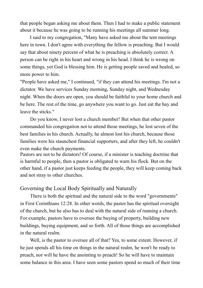that people began asking me about them. Then I had to make a public statement about it because he was going to be running his meetings all summer long.

I said to my congregation, "Many have asked me about the tent meetings here in town. I don't agree with everything the fellow is preaching. But I would say that about ninety percent of what he is preaching is absolutely correct. A person can be right in his heart and wrong in his head. I think he is wrong on some things, yet God is blessing him. He is getting people saved and healed, so more power to him.

"People have asked me," I continued, "if they can attend his meetings. I'm not a dictator. We have services Sunday morning, Sunday night, and Wednesday night. When the doors are open, you should be faithful to your home church and be here. The rest of the time, go anywhere you want to go. Just eat the hay and leave the sticks."

Do you know, I never lost a church member! But when that other pastor commanded his congregation not to attend those meetings, he lost seven of the best families in his church. Actually, he almost lost his church, because those families were his staunchest financial supporters, and after they left, he couldn't even make the church payments.

Pastors are not to be dictators! Of course, if a minister is teaching doctrine that is harmful to people, then a pastor is obligated to warn his flock. But on the other hand, if a pastor just keeps feeding the people, they will keep coming back and not stray to other churches.

## Governing the Local Body Spiritually and Naturally

There is both the spiritual and the natural side to the word "governments" in First Corinthians 12:28. In other words, the pastor has the spiritual oversight of the church, but he also has to deal with the natural side of running a church. For example, pastors have to oversee the buying of property, building new buildings, buying equipment, and so forth. All of those things are accomplished in the natural realm.

Well, is the pastor to oversee all of that? Yes, to some extent. However, if he just spends all his time on things in the natural realm, he won't be ready to preach, nor will he have the anointing to preach! So he will have to maintain some balance in this area. I have seen some pastors spend so much of their time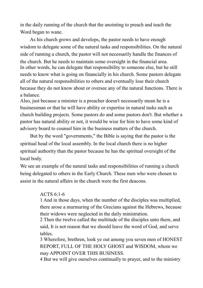in the daily running of the church that the anointing to preach and teach the Word began to wane.

As his church grows and develops, the pastor needs to have enough wisdom to delegate some of the natural tasks and responsibilities. On the natural side of running a church, the pastor will not necessarily handle the finances of the church. But he needs to maintain some oversight in the financial area. In other words, he can delegate that responsibility to someone else, but he still needs to know what is going on financially in his church. Some pastors delegate all of the natural responsibilities to others and eventually lose their church because they do not know about or oversee any of the natural functions. There is a balance.

Also, just because a minister is a preacher doesn't necessarily mean he is a businessman or that he will have ability or expertise in natural tasks such as church building projects. Some pastors do and some pastors don't. But whether a pastor has natural ability or not, it would be wise for him to have some kind of advisory board to counsel him in the business matters of the church.

But by the word "governments," the Bible is saying that the pastor is the spiritual head of the local assembly. In the local church there is no higher spiritual authority than the pastor because he has the spiritual oversight of the local body.

We see an example of the natural tasks and responsibilities of running a church being delegated to others in the Early Church. These men who were chosen to assist in the natural affairs in the church were the first deacons.

#### ACTS 6:1-6

1 And in those days, when the number of the disciples was multiplied, there arose a murmuring of the Grecians against the Hebrews, because their widows were neglected in the daily ministration.

2 Then the twelve called the multitude of the disciples unto them, and said, It is not reason that we should leave the word of God, and serve tables.

3 Wherefore, brethren, look ye out among you seven men of HONEST REPORT, FULL OF THE HOLY GHOST and WISDOM, whom we may APPOINT OVER THIS BUSINESS.

4 But we will give ourselves continually to prayer, and to the ministry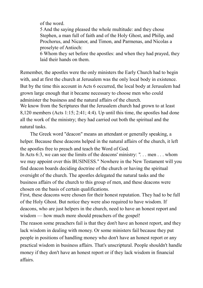of the word.

5 And the saying pleased the whole multitude: and they chose Stephen, a man full of faith and of the Holy Ghost, and Philip, and Prochorus, and Nicanor, and Timon, and Parmenas, and Nicolas a proselyte of Antioch:

6 Whom they set before the apostles: and when they had prayed, they laid their hands on them.

Remember, the apostles were the only ministers the Early Church had to begin with, and at first the church at Jerusalem was the only local body in existence. But by the time this account in Acts 6 occurred, the local body at Jerusalem had grown large enough that it became necessary to choose men who could administer the business and the natural affairs of the church.

We know from the Scriptures that the Jerusalem church had grown to at least 8,120 members (Acts 1:15; 2:41; 4:4). Up until this time, the apostles had done all the work of the ministry; they had carried out both the spiritual and the natural tasks.

The Greek word "deacon" means an attendant or generally speaking, a helper. Because these deacons helped in the natural affairs of the church, it left the apostles free to preach and teach the Word of God.

In Acts 6:3, we can see the limits of the deacons' ministry: ". . . men . . . whom we may appoint over this BUSINESS." Nowhere in the New Testament will you find deacon boards deciding doctrine of the church or having the spiritual oversight of the church. The apostles delegated the natural tasks and the business affairs of the church to this group of men, and these deacons were chosen on the basis of certain qualifications.

First, these deacons were chosen for their honest reputation. They had to be full of the Holy Ghost. But notice they were also required to have wisdom. If deacons, who are just helpers in the church, need to have an honest report and wisdom — how much more should preachers of the gospel!

The reason some preachers fail is that they don't have an honest report, and they lack wisdom in dealing with money. Or some ministers fail because they put people in positions of handling money who don't have an honest report or any practical wisdom in business affairs. That's unscriptural. People shouldn't handle money if they don't have an honest report or if they lack wisdom in financial affairs.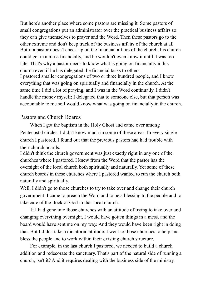But here's another place where some pastors are missing it. Some pastors of small congregations put an administrator over the practical business affairs so they can give themselves to prayer and the Word. Then these pastors go to the other extreme and don't keep track of the business affairs of the church at all. But if a pastor doesn't check up on the financial affairs of the church, his church could get in a mess financially, and he wouldn't even know it until it was too late. That's why a pastor needs to know what is going on financially in his church even if he has delegated the financial tasks to others. I pastored smaller congregations of two or three hundred people, and I knew everything that was going on spiritually and financially in the church. At the same time I did a lot of praying, and I was in the Word continually. I didn't handle the money myself; I delegated that to someone else, but that person was accountable to me so I would know what was going on financially in the church.

# Pastors and Church Boards

When I got the baptism in the Holy Ghost and came over among Pentecostal circles, I didn't know much in some of these areas. In every single church I pastored, I found out that the previous pastors had had trouble with their church boards.

I didn't think the church government was just exactly right in any one of the churches where I pastored. I knew from the Word that the pastor has the oversight of the local church both spiritually and naturally. Yet some of these church boards in these churches where I pastored wanted to run the church both naturally and spiritually.

Well, I didn't go to those churches to try to take over and change their church government. I came to preach the Word and to be a blessing to the people and to take care of the flock of God in that local church.

If I had gone into those churches with an attitude of trying to take over and changing everything overnight, I would have gotten things in a mess, and the board would have sent me on my way. And they would have been right in doing that. But I didn't take a dictatorial attitude. I went to those churches to help and bless the people and to work within their existing church structure.

For example, in the last church I pastored, we needed to build a church addition and redecorate the sanctuary. That's part of the natural side of running a church, isn't it? And it requires dealing with the business side of the ministry.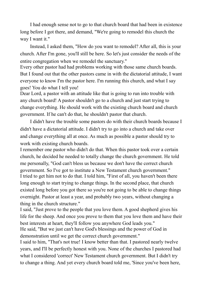I had enough sense not to go to that church board that had been in existence long before I got there, and demand, "We're going to remodel this church the way I want it."

Instead, I asked them, "How do you want to remodel? After all, this is your church. After I'm gone, you'll still be here. So let's just consider the needs of the entire congregation when we remodel the sanctuary."

Every other pastor had had problems working with those same church boards. But I found out that the other pastors came in with the dictatorial attitude, I want everyone to know I'm the pastor here. I'm running this church, and what I say goes! You do what I tell you!

Dear Lord, a pastor with an attitude like that is going to run into trouble with any church board! A pastor shouldn't go to a church and just start trying to change everything. He should work with the existing church board and church government. If he can't do that, he shouldn't pastor that church.

I didn't have the trouble some pastors do with their church boards because I didn't have a dictatorial attitude. I didn't try to go into a church and take over and change everything all at once. As much as possible a pastor should try to work with existing church boards.

I remember one pastor who didn't do that. When this pastor took over a certain church, he decided he needed to totally change the church government. He told me personally, "God can't bless us because we don't have the correct church government. So I've got to institute a New Testament church government." I tried to get him not to do that. I told him, "First of all, you haven't been there long enough to start trying to change things. In the second place, that church existed long before you got there so you're not going to be able to change things overnight. Pastor at least a year, and probably two years, without changing a thing in the church structure."

I said, "Just prove to the people that you love them. A good shepherd gives his life for the sheep. And once you prove to them that you love them and have their best interests at heart, they'll follow you anywhere God leads you." He said, "But we just can't have God's blessings and the power of God in

demonstration until we get the correct church government."

I said to him, "That's not true! I know better than that. I pastored nearly twelve years, and I'll be perfectly honest with you. None of the churches I pastored had what I considered 'correct' New Testament church government. But I didn't try to change a thing. And yet every church board told me, 'Since you've been here,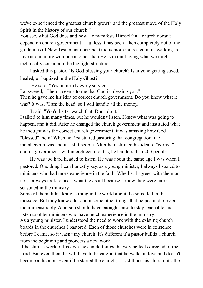we've experienced the greatest church growth and the greatest move of the Holy Spirit in the history of our church.'"

You see, what God does and how He manifests Himself in a church doesn't depend on church government — unless it has been taken completely out of the guidelines of New Testament doctrine. God is more interested in us walking in love and in unity with one another than He is in our having what we might technically consider to be the right structure.

I asked this pastor, "Is God blessing your church? Is anyone getting saved, healed, or baptized in the Holy Ghost?"

He said, "Yes, in nearly every service." I answered, "Then it seems to me that God is blessing you." Then he gave me his idea of correct church government. Do you know what it was? It was, "I am the head, so I will handle all the money."

I said, "You'd better watch that. Don't do it." I talked to him many times, but he wouldn't listen. I knew what was going to happen, and it did. After he changed the church government and instituted what he thought was the correct church government, it was amazing how God "blessed" them! When he first started pastoring that congregation, the membership was about 1,500 people. After he instituted his idea of "correct" church government, within eighteen months, he had less than 200 people.

He was too hard headed to listen. He was about the same age I was when I pastored. One thing I can honestly say, as a young minister, I always listened to ministers who had more experience in the faith. Whether I agreed with them or not, I always took to heart what they said because I knew they were more seasoned in the ministry.

Some of them didn't know a thing in the world about the so-called faith message. But they knew a lot about some other things that helped and blessed me immeasurably. A person should have enough sense to stay teachable and listen to older ministers who have much experience in the ministry.

As a young minister, I understood the need to work with the existing church boards in the churches I pastored. Each of those churches were in existence before I came, so it wasn't my church. It's different if a pastor builds a church from the beginning and pioneers a new work.

If he starts a work of his own, he can do things the way he feels directed of the Lord. But even then, he will have to be careful that he walks in love and doesn't become a dictator. Even if he started the church, it is still not his church; it's the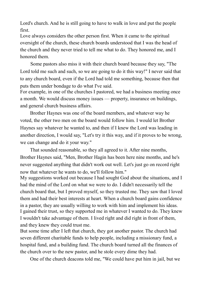Lord's church. And he is still going to have to walk in love and put the people first.

Love always considers the other person first. When it came to the spiritual oversight of the church, these church boards understood that I was the head of the church and they never tried to tell me what to do. They honored me, and I honored them.

Some pastors also miss it with their church board because they say, "The Lord told me such and such, so we are going to do it this way!" I never said that to any church board, even if the Lord had told me something, because then that puts them under bondage to do what I've said.

For example, in one of the churches I pastored, we had a business meeting once a month. We would discuss money issues — property, insurance on buildings, and general church business affairs.

Brother Haynes was one of the board members, and whatever way he voted, the other two men on the board would follow him. I would let Brother Haynes say whatever he wanted to, and then if I knew the Lord was leading in another direction, I would say, "Let's try it this way, and if it proves to be wrong, we can change and do it your way."

That sounded reasonable, so they all agreed to it. After nine months, Brother Haynes said, "Men, Brother Hagin has been here nine months, and he's never suggested anything that didn't work out well. Let's just go on record right now that whatever he wants to do, we'll follow him."

My suggestions worked out because I had sought God about the situations, and I had the mind of the Lord on what we were to do. I didn't necessarily tell the church board that, but I proved myself, so they trusted me. They saw that I loved them and had their best interests at heart. When a church board gains confidence in a pastor, they are usually willing to work with him and implement his ideas. I gained their trust, so they supported me in whatever I wanted to do. They knew I wouldn't take advantage of them. I lived right and did right in front of them, and they knew they could trust me.

But some time after I left that church, they got another pastor. The church had seven different charitable funds to help people, including a missionary fund, a hospital fund, and a building fund. The church board turned all the finances of the church over to the new pastor, and he stole every dime they had.

One of the church deacons told me, "We could have put him in jail, but we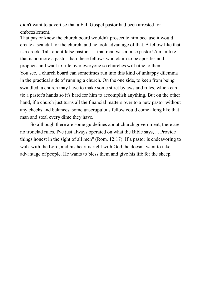didn't want to advertise that a Full Gospel pastor had been arrested for embezzlement."

That pastor knew the church board wouldn't prosecute him because it would create a scandal for the church, and he took advantage of that. A fellow like that is a crook. Talk about false pastors — that man was a false pastor! A man like that is no more a pastor than these fellows who claim to be apostles and prophets and want to rule over everyone so churches will tithe to them. You see, a church board can sometimes run into this kind of unhappy dilemma in the practical side of running a church. On the one side, to keep from being swindled, a church may have to make some strict bylaws and rules, which can tie a pastor's hands so it's hard for him to accomplish anything. But on the other hand, if a church just turns all the financial matters over to a new pastor without any checks and balances, some unscrupulous fellow could come along like that man and steal every dime they have.

So although there are some guidelines about church government, there are no ironclad rules. I've just always operated on what the Bible says, . . Provide things honest in the sight of all men" (Rom. 12:17). If a pastor is endeavoring to walk with the Lord, and his heart is right with God, he doesn't want to take advantage of people. He wants to bless them and give his life for the sheep.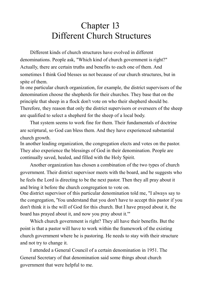# Chapter 13 Different Church Structures

Different kinds of church structures have evolved in different denominations. People ask, "Which kind of church government is right?" Actually, there are certain truths and benefits to each one of them. And sometimes I think God blesses us not because of our church structures, but in spite of them.

In one particular church organization, for example, the district supervisors of the denomination choose the shepherds for their churches. They base that on the principle that sheep in a flock don't vote on who their shepherd should be. Therefore, they reason that only the district supervisors or overseers of the sheep are qualified to select a shepherd for the sheep of a local body.

That system seems to work fine for them. Their fundamentals of doctrine are scriptural, so God can bless them. And they have experienced substantial church growth.

In another leading organization, the congregation elects and votes on the pastor. They also experience the blessings of God in their denomination. People are continually saved, healed, and filled with the Holy Spirit.

Another organization has chosen a combination of the two types of church government. Their district supervisor meets with the board, and he suggests who he feels the Lord is directing to be the next pastor. Then they all pray about it and bring it before the church congregation to vote on.

One district supervisor of this particular denomination told me, "I always say to the congregation, 'You understand that you don't have to accept this pastor if you don't think it is the will of God for this church. But I have prayed about it, the board has prayed about it, and now you pray about it.'"

Which church government is right? They all have their benefits. But the point is that a pastor will have to work within the framework of the existing church government where he is pastoring. He needs to stay with their structure and not try to change it.

I attended a General Council of a certain denomination in 1951. The General Secretary of that denomination said some things about church government that were helpful to me.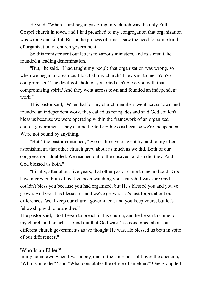He said, "When I first began pastoring, my church was the only Full Gospel church in town, and I had preached to my congregation that organization was wrong and sinful. But in the process of time, I saw the need for some kind of organization or church government."

So this minister sent out letters to various ministers, and as a result, he founded a leading denomination.

"But," he said, "I had taught my people that organization was wrong, so when we began to organize, I lost half my church! They said to me, 'You've compromised! The devil got ahold of you. God can't bless you with that compromising spirit.' And they went across town and founded an independent work."

This pastor said, "When half of my church members went across town and founded an independent work, they called us renegades and said God couldn't bless us because we were operating within the framework of an organized church government. They claimed, 'God can bless us because we're independent. We're not bound by anything.'

"But," the pastor continued, "two or three years went by, and to my utter astonishment, that other church grew about as much as we did. Both of our congregations doubled. We reached out to the unsaved, and so did they. And God blessed us both."

"Finally, after about five years, that other pastor came to me and said, 'God have mercy on both of us! I've been watching your church. I was sure God couldn't bless you because you had organized, but He's blessed you and you've grown. And God has blessed us and we've grown. Let's just forget about our differences. We'll keep our church government, and you keep yours, but let's fellowship with one another.'"

The pastor said, "So I began to preach in his church, and he began to come to my church and preach. I found out that God wasn't so concerned about our different church governments as we thought He was. He blessed us both in spite of our differences."

#### 'Who Is an Elder?'

In my hometown when I was a boy, one of the churches split over the question, "Who is an elder?" and "What constitutes the office of an elder?" One group left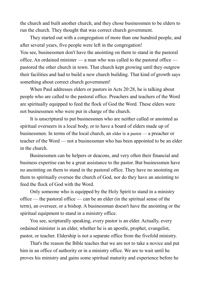the church and built another church, and they chose businessmen to be elders to run the church. They thought that was correct church government.

They started out with a congregation of more than one hundred people, and after several years, five people were left in the congregation! You see, businessmen don't have the anointing on them to stand in the pastoral office. An ordained minister — a man who was called to the pastoral office pastored the other church in town. That church kept growing until they outgrew their facilities and had to build a new church building. That kind of growth says something about correct church government!

When Paul addresses elders or pastors in Acts 20:28, he is talking about people who are called to the pastoral office. Preachers and teachers of the Word are spiritually equipped to feed the flock of God the Word. These elders were not businessmen who were put in charge of the church.

It is unscriptural to put businessmen who are neither called or anointed as spiritual overseers in a local body, or to have a board of elders made up of businessmen. In terms of the local church, an elder is a pastor — a preacher or teacher of the Word — not a businessman who has been appointed to be an elder in the church.

Businessmen can be helpers or deacons, and very often their financial and business expertise can be a great assistance to the pastor. But businessmen have no anointing on them to stand in the pastoral office. They have no anointing on them to spiritually oversee the church of God, nor do they have an anointing to feed the flock of God with the Word.

Only someone who is equipped by the Holy Spirit to stand in a ministry office — the pastoral office — can be an elder (in the spiritual sense of the term), an overseer, or a bishop. A businessman doesn't have the anointing or the spiritual equipment to stand in a ministry office.

You see, scripturally speaking, every pastor is an elder. Actually, every ordained minister is an elder, whether he is an apostle, prophet, evangelist, pastor, or teacher. Eldership is not a separate office from the fivefold ministry.

That's the reason the Bible teaches that we are not to take a novice and put him in an office of authority or in a ministry office. We are to wait until he proves his ministry and gains some spiritual maturity and experience before he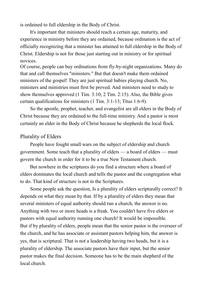is ordained to full eldership in the Body of Christ.

It's important that ministers should reach a certain age, maturity, and experience in ministry before they are ordained, because ordination is the act of officially recognizing that a minister has attained to full eldership in the Body of Christ. Eldership is not for those just starting out in ministry or for spiritual novices.

Of course, people can buy ordinations from fly-by-night organizations. Many do that and call themselves "ministers." But that doesn't make them ordained ministers of the gospel! They are just spiritual babies playing church. No, ministers and ministries must first be proved. And ministers need to study to show themselves approved (1 Tim. 3:10; 2 Tim. 2:15). Also, the Bible gives certain qualifications for ministers (1 Tim. 3:1-13; Titus 1:6-9).

So the apostle, prophet, teacher, and evangelist are all elders in the Body of Christ because they are ordained to the full-time ministry. And a pastor is most certainly an elder in the Body of Christ because he shepherds the local flock.

## Plurality of Elders

People have fought small wars on the subject of eldership and church government. Some teach that a plurality of elders — a board of elders — must govern the church in order for it to be a true New Testament church.

But nowhere in the scriptures do you find a structure where a board of elders dominates the local church and tells the pastor and the congregation what to do. That kind of structure is not in the Scriptures.

Some people ask the question, Is a plurality of elders scripturally correct? It depends on what they mean by that. If by a plurality of elders they mean that several ministers of equal authority should run a church, the answer is no. Anything with two or more heads is a freak. You couldn't have five elders or pastors with equal authority running one church! It would be impossible. But if by plurality of elders, people mean that the senior pastor is the overseer of the church, and he has associate or assistant pastors helping him, the answer is yes, that is scriptural. That is not a leadership having two heads, but it is a plurality of eldership. The associate pastors have their input, but the senior pastor makes the final decision. Someone has to be the main shepherd of the local church.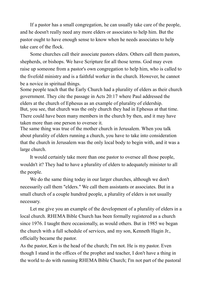If a pastor has a small congregation, he can usually take care of the people, and he doesn't really need any more elders or associates to help him. But the pastor ought to have enough sense to know when he needs associates to help take care of the flock.

Some churches call their associate pastors elders. Others call them pastors, shepherds, or bishops. We have Scripture for all those terms. God may even raise up someone from a pastor's own congregation to help him, who is called to the fivefold ministry and is a faithful worker in the church. However, he cannot be a novice in spiritual things.

Some people teach that the Early Church had a plurality of elders as their church government. They cite the passage in Acts 20:17 where Paul addressed the elders at the church of Ephesus as an example of plurality of eldership. But, you see, that church was the only church they had in Ephesus at that time. There could have been many members in the church by then, and it may have taken more than one person to oversee it.

The same thing was true of the mother church in Jerusalem. When you talk about plurality of elders running a church, you have to take into consideration that the church in Jerusalem was the only local body to begin with, and it was a large church.

It would certainly take more than one pastor to oversee all those people, wouldn't it? They had to have a plurality of elders to adequately minister to all the people.

We do the same thing today in our larger churches, although we don't necessarily call them "elders." We call them assistants or associates. But in a small church of a couple hundred people, a plurality of elders is not usually necessary.

Let me give you an example of the development of a plurality of elders in a local church. RHEMA Bible Church has been formally registered as a church since 1976. I taught there occasionally, as would others. But in 1985 we began the church with a full schedule of services, and my son, Kenneth Hagin Jr., officially became the pastor.

As the pastor, Ken is the head of the church; I'm not. He is my pastor. Even though I stand in the offices of the prophet and teacher, I don't have a thing in the world to do with running RHEMA Bible Church; I'm not part of the pastoral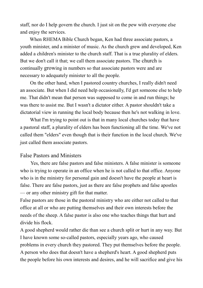staff, nor do I help govern the church. I just sit on the pew with everyone else and enjoy the services.

When RHEMA Bible Church began, Ken had three associate pastors, a youth minister, and a minister of music. As the church grew and developed, Ken added a children's minister to the church staff. That is a true plurality of elders. But we don't call it that; we call them associate pastors. The church is continually growing in numbers so that associate pastors were and are necessary to adequately minister to all the people.

On the other hand, when I pastored country churches, I really didn't need an associate. But when I did need help occasionally, I'd get someone else to help me. That didn't mean that person was supposed to come in and run things; he was there to assist me. But I wasn't a dictator either. A pastor shouldn't take a dictatorial view in running the local body because then he's not walking in love.

What I'm trying to point out is that in many local churches today that have a pastoral staff, a plurality of elders has been functioning all the time. We've not called them "elders" even though that is their function in the local church. We've just called them associate pastors.

## False Pastors and Ministers

Yes, there are false pastors and false ministers. A false minister is someone who is trying to operate in an office when he is not called to that office. Anyone who is in the ministry for personal gain and doesn't have the people at heart is false. There are false pastors, just as there are false prophets and false apostles — or any other ministry gift for that matter.

False pastors are those in the pastoral ministry who are either not called to that office at all or who are putting themselves and their own interests before the needs of the sheep. A false pastor is also one who teaches things that hurt and divide his flock.

A good shepherd would rather die than see a church split or hurt in any way. But I have known some so-called pastors, especially years ago, who caused problems in every church they pastored. They put themselves before the people. A person who does that doesn't have a shepherd's heart. A good shepherd puts the people before his own interests and desires, and he will sacrifice and give his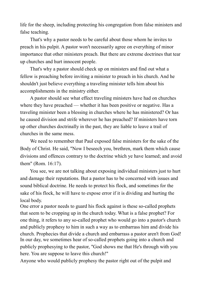life for the sheep, including protecting his congregation from false ministers and false teaching.

That's why a pastor needs to be careful about those whom he invites to preach in his pulpit. A pastor won't necessarily agree on everything of minor importance that other ministers preach. But there are extreme doctrines that tear up churches and hurt innocent people.

That's why a pastor should check up on ministers and find out what a fellow is preaching before inviting a minister to preach in his church. And he shouldn't just believe everything a traveling minister tells him about his accomplishments in the ministry either.

A pastor should see what effect traveling ministers have had on churches where they have preached — whether it has been positive or negative. Has a traveling minister been a blessing in churches where he has ministered? Or has he caused division and strife wherever he has preached? If ministers have torn up other churches doctrinally in the past, they are liable to leave a trail of churches in the same mess.

We need to remember that Paul exposed false ministers for the sake of the Body of Christ. He said, "Now I beseech you, brethren, mark them which cause divisions and offences contrary to the doctrine which ye have learned; and avoid them" (Rom. 16:17).

You see, we are not talking about exposing individual ministers just to hurt and damage their reputations. But a pastor has to be concerned with issues and sound biblical doctrine. He needs to protect his flock, and sometimes for the sake of his flock, he will have to expose error if it is dividing and hurting the local body.

One error a pastor needs to guard his flock against is these so-called prophets that seem to be cropping up in the church today. What is a false prophet? For one thing, it refers to any so-called prophet who would go into a pastor's church and publicly prophesy to him in such a way as to embarrass him and divide his church. Prophecies that divide a church and embarrass a pastor aren't from God! In our day, we sometimes hear of so-called prophets going into a church and publicly prophesying to the pastor, "God shows me that He's through with you here. You are suppose to leave this church!"

Anyone who would publicly prophesy the pastor right out of the pulpit and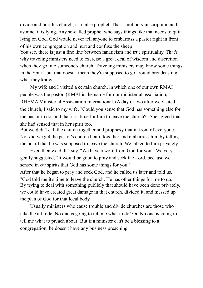divide and hurt his church, is a false prophet. That is not only unscriptural and asinine, it is lying. Any so-called prophet who says things like that needs to quit lying on God. God would never tell anyone to embarrass a pastor right in front of his own congregation and hurt and confuse the sheep!

You see, there is just a fine line between fanaticism and true spirituality. That's why traveling ministers need to exercise a great deal of wisdom and discretion when they go into someone's church. Traveling ministers may know some things in the Spirit, but that doesn't mean they're supposed to go around broadcasting what they know.

My wife and I visited a certain church, in which one of our own RMAI people was the pastor. (RMAI is the name for our ministerial association, RHEMA Ministerial Association International.) A day or two after we visited the church, I said to my wife, "Could you sense that God has something else for the pastor to do, and that it is time for him to leave the church?" She agreed that she had sensed that in her spirit too.

But we didn't call the church together and prophesy that in front of everyone. Nor did we get the pastor's church board together and embarrass him by telling the board that he was supposed to leave the church. We talked to him privately.

Even then we didn't say, "We have a word from God for you." We very gently suggested, "It would be good to pray and seek the Lord, because we sensed in our spirits that God has some things for you."

After that he began to pray and seek God, and he called us later and told us, "God told me it's time to leave the church. He has other things for me to do." By trying to deal with something publicly that should have been done privately, we could have created great damage in that church, divided it, and messed up the plan of God for that local body.

Usually ministers who cause trouble and divide churches are those who take the attitude, No one is going to tell me what to do! Or, No one is going to tell me what to preach about! But if a minister can't be a blessing to a congregation, he doesn't have any business preaching.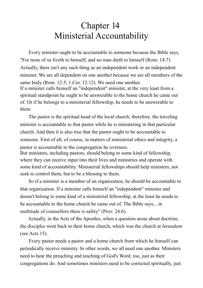# Chapter 14 Ministerial Accountability

Every minister ought to be accountable to someone because the Bible says, "For none of us liveth to himself, and no man dieth to himself (Rom. 14:7). Actually, there isn't any such thing as an independent work or an independent minister. We are all dependent on one another because we are all members of the same body (Rom. 12:5; 1 Cor. 12:12). We need one another. If a minister calls himself an "independent" minister, at the very least from a spiritual standpoint he ought to be answerable to the home church he came out of. Or if he belongs to a ministerial fellowship, he needs to be answerable to them.

The pastor is the spiritual head of the local church; therefore, the traveling minister is accountable to that pastor while he is ministering in that particular church. And then it is also true that the pastor ought to be accountable to someone. First of all, of course, in matters of ministerial ethics and integrity, a pastor is accountable to the congregation he oversees.

But ministers, including pastors, should belong to some kind of fellowship, where they can receive input into their lives and ministries and operate with some kind of accountability. Ministerial fellowships should help ministers, not seek to control them, but to be a blessing to them.

So if a minister is a member of an organization, he should be accountable to that organization. If a minister calls himself an "independent" minister and doesn't belong to some kind of a ministerial fellowship, at the least he needs to be accountable to the home church he came out of. The Bible says,.. in multitude of counsellors there is safety" (Prov. 24:6).

Actually, in the Acts of the Apostles, when a question arose about doctrine, the disciples went back to their home church, which was the church at Jerusalem (see Acts 15).

Every pastor needs a pastor and a home church from which he himself can periodically receive ministry. In other words, we all need one another. Ministers need to hear the preaching and teaching of God's Word, too, just as their congregations do. And sometimes ministers need to be corrected spiritually, just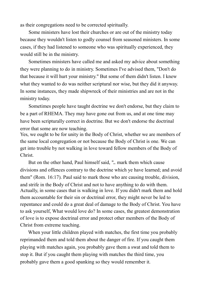as their congregations need to be corrected spiritually.

Some ministers have lost their churches or are out of the ministry today because they wouldn't listen to godly counsel from seasoned ministers. In some cases, if they had listened to someone who was spiritually experienced, they would still be in the ministry.

Sometimes ministers have called me and asked my advice about something they were planning to do in ministry. Sometimes I've advised them, "Don't do that because it will hurt your ministry." But some of them didn't listen. I knew what they wanted to do was neither scriptural nor wise, but they did it anyway. In some instances, they made shipwreck of their ministries and are not in the ministry today.

Sometimes people have taught doctrine we don't endorse, but they claim to be a part of RHEMA. They may have gone out from us, and at one time may have been scripturally correct in doctrine. But we don't endorse the doctrinal error that some are now teaching.

Yes, we ought to be for unity in the Body of Christ, whether we are members of the same local congregation or not because the Body of Christ is one. We can get into trouble by not walking in love toward fellow members of the Body of Christ.

But on the other hand, Paul himself said, "... mark them which cause divisions and offences contrary to the doctrine which ye have learned; and avoid them" (Rom. 16:17). Paul said to mark those who are causing trouble, division, and strife in the Body of Christ and not to have anything to do with them. Actually, in some cases that is walking in love. If you didn't mark them and hold them accountable for their sin or doctrinal error, they might never be led to repentance and could do a great deal of damage to the Body of Christ. You have to ask yourself, What would love do? In some cases, the greatest demonstration of love is to expose doctrinal error and protect other members of the Body of Christ from extreme teaching.

When your little children played with matches, the first time you probably reprimanded them and told them about the danger of fire. If you caught them playing with matches again, you probably gave them a swat and told them to stop it. But if you caught them playing with matches the third time, you probably gave them a good spanking so they would remember it.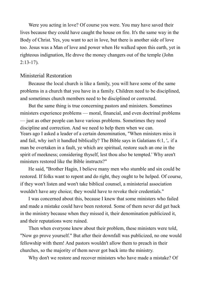Were you acting in love? Of course you were. You may have saved their lives because they could have caught the house on fire. It's the same way in the Body of Christ. Yes, you want to act in love, but there is another side of love too. Jesus was a Man of love and power when He walked upon this earth, yet in righteous indignation, He drove the money changers out of the temple (John 2:13-17).

#### Ministerial Restoration

Because the local church is like a family, you will have some of the same problems in a church that you have in a family. Children need to be disciplined, and sometimes church members need to be disciplined or corrected.

But the same thing is true concerning pastors and ministers. Sometimes ministers experience problems — moral, financial, and even doctrinal problems — just as other people can have various problems. Sometimes they need discipline and correction. And we need to help them when we can. Years ago I asked a leader of a certain denomination, "When ministers miss it and fail, why isn't it handled biblically? The Bible says in Galatians 6:1, '... if a man be overtaken in a fault, ye which are spiritual, restore such an one in the spirit of meekness; considering thyself, lest thou also be tempted.' Why aren't ministers restored like the Bible instructs?"

He said, "Brother Hagin, I believe many men who stumble and sin could be restored. If folks want to repent and do right, they ought to be helped. Of course, if they won't listen and won't take biblical counsel, a ministerial association wouldn't have any choice; they would have to revoke their credentials."

I was concerned about this, because I knew that some ministers who failed and made a mistake could have been restored. Some of them never did get back in the ministry because when they missed it, their denomination publicized it, and their reputations were ruined.

Then when everyone knew about their problem, these ministers were told, "Now go prove yourself." But after their downfall was publicized, no one would fellowship with them! And pastors wouldn't allow them to preach in their churches, so the majority of them never got back into the ministry.

Why don't we restore and recover ministers who have made a mistake? Of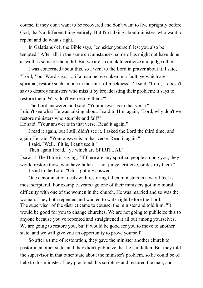course, if they don't want to be recovered and don't want to live uprightly before God, that's a different thing entirely. But I'm talking about ministers who want to repent and do what's right.

In Galatians 6:1, the Bible says, "consider yourself, lest you also be tempted." After all, in the same circumstances, some of us might not have done as well as some of them did. But we are so quick to criticize and judge others.

I was concerned about this, so I went to the Lord in prayer about it. I said, "Lord, Your Word says, '... if a man be overtaken in a fault, ye which are spiritual, restore such an one in the spirit of meekness....' I said, "Lord, it doesn't say to destroy ministers who miss it by broadcasting their problem; it says to restore them. Why don't we restore them?"

The Lord answered and said, "Your answer is in that verse." I didn't see what He was talking about. I said to Him again, "Lord, why don't we restore ministers who stumble and fall?"

He said, "Your answer is in that verse. Read it again."

I read it again, but I still didn't see it. I asked the Lord the third time, and again He said, "Your answer is in that verse. Read it again."

I said, "Well, if it is, I can't see it."

Then again I read,.. ye which are SPIRITUAL"

I saw it! The Bible is saying, "If there are any spiritual people among you, they would restore those who have fallen — not judge, criticize, or destroy them."

I said to the Lord, "Oh! I got my answer."

One denomination deals with restoring fallen ministers in a way I feel is most scriptural. For example, years ago one of their ministers got into moral difficulty with one of the women in the church. He was married and so was the woman. They both repented and wanted to walk right before the Lord. The supervisor of the district came to counsel the minister and told him, "It would be good for you to change churches. We are not going to publicize this to anyone because you've repented and straightened it all out among yourselves. We are going to restore you, but it would be good for you to move to another state, and we will give you an opportunity to prove yourself."

So after a time of restoration, they gave the minister another church to pastor in another state, and they didn't publicize that he had fallen. But they told the supervisor in that other state about the minister's problem, so he could be of help to this minister. They practiced this scripture and restored the man, and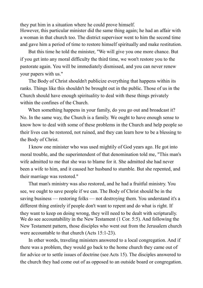they put him in a situation where he could prove himself. However, this particular minister did the same thing again; he had an affair with a woman in that church too. The district supervisor went to him the second time and gave him a period of time to restore himself spiritually and make restitution.

But this time he told the minister, "We will give you one more chance. But if you get into any moral difficulty the third time, we won't restore you to the pastorate again. You will be immediately dismissed, and you can never renew your papers with us."

The Body of Christ shouldn't publicize everything that happens within its ranks. Things like this shouldn't be brought out in the public. Those of us in the Church should have enough spirituality to deal with these things privately within the confines of the Church.

When something happens in your family, do you go out and broadcast it? No. In the same way, the Church is a family. We ought to have enough sense to know how to deal with some of these problems in the Church and help people so their lives can be restored, not ruined, and they can learn how to be a blessing to the Body of Christ.

I know one minister who was used mightily of God years ago. He got into moral trouble, and the superintendent of that denomination told me, "This man's wife admitted to me that she was to blame for it. She admitted she had never been a wife to him, and it caused her husband to stumble. But she repented, and their marriage was restored."

That man's ministry was also restored, and he had a fruitful ministry. You see, we ought to save people if we can. The Body of Christ should be in the saving business — restoring folks — not destroying them. You understand it's a different thing entirely if people don't want to repent and do what is right. If they want to keep on doing wrong, they will need to be dealt with scripturally. We do see accountability in the New Testament (1 Cor. 5:5). And following the New Testament pattern, those disciples who went out from the Jerusalem church were accountable to that church (Acts 15:1-23).

In other words, traveling ministers answered to a local congregation. And if there was a problem, they would go back to the home church they came out of for advice or to settle issues of doctrine (see Acts 15). The disciples answered to the church they had come out of as opposed to an outside board or congregation.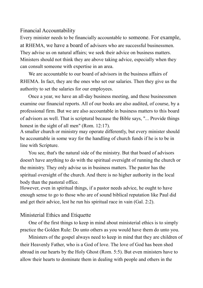## Financial Accountability

Every minister needs to be financially accountable to someone. For example, at RHEMA, we have a board of advisors who are successful businessmen. They advise us on natural affairs; we seek their advice on business matters. Ministers should not think they are above taking advice, especially when they can consult someone with expertise in an area.

We are accountable to our board of advisors in the business affairs of RHEMA. In fact, they are the ones who set our salaries. Then they give us the authority to set the salaries for our employees.

Once a year, we have an all-day business meeting, and these businessmen examine our financial reports. All of our books are also audited, of course, by a professional firm. But we are also accountable in business matters to this board of advisors as well. That is scriptural because the Bible says, "... Provide things honest in the sight of all men" (Rom. 12:17).

A smaller church or ministry may operate differently, but every minister should be accountable in some way for the handling of church funds if he is to be in line with Scripture.

You see, that's the natural side of the ministry. But that board of advisors doesn't have anything to do with the spiritual oversight of running the church or the ministry. They only advise us in business matters. The pastor has the spiritual oversight of the church. And there is no higher authority in the local body than the pastoral office.

However, even in spiritual things, if a pastor needs advice, he ought to have enough sense to go to those who are of sound biblical reputation like Paul did and get their advice, lest he run his spiritual race in vain (Gal. 2:2).

## Ministerial Ethics and Etiquette

One of the first things to keep in mind about ministerial ethics is to simply practice the Golden Rule: Do unto others as you would have them do unto you.

Ministers of the gospel always need to keep in mind that they are children of their Heavenly Father, who is a God of love. The love of God has been shed abroad in our hearts by the Holy Ghost (Rom. 5:5). But even ministers have to allow their hearts to dominate them in dealing with people and others in the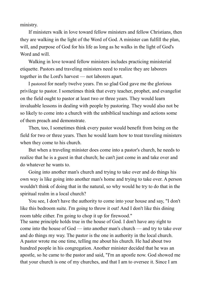ministry.

If ministers walk in love toward fellow ministers and fellow Christians, then they are walking in the light of the Word of God. A minister can fulfill the plan, will, and purpose of God for his life as long as he walks in the light of God's Word and will.

Walking in love toward fellow ministers includes practicing ministerial etiquette. Pastors and traveling ministers need to realize they are laborers together in the Lord's harvest — not laborers apart.

I pastored for nearly twelve years. I'm so glad God gave me the glorious privilege to pastor. I sometimes think that every teacher, prophet, and evangelist on the field ought to pastor at least two or three years. They would learn invaluable lessons in dealing with people by pastoring. They would also not be so likely to come into a church with the unbiblical teachings and actions some of them preach and demonstrate.

Then, too, I sometimes think every pastor would benefit from being on the field for two or three years. Then he would learn how to treat traveling ministers when they come to his church.

But when a traveling minister does come into a pastor's church, he needs to realize that he is a guest in that church; he can't just come in and take over and do whatever he wants to.

Going into another man's church and trying to take over and do things his own way is like going into another man's home and trying to take over. A person wouldn't think of doing that in the natural, so why would he try to do that in the spiritual realm in a local church?

You see, I don't have the authority to come into your house and say, "I don't like this bedroom suite. I'm going to throw it out! And I don't like this dining room table either. I'm going to chop it up for firewood."

The same principle holds true in the house of God. I don't have any right to come into the house of God — into another man's church — and try to take over and do things my way. The pastor is the one in authority in the local church. A pastor wrote me one time, telling me about his church. He had about two hundred people in his congregation. Another minister decided that he was an apostle, so he came to the pastor and said, "I'm an apostle now. God showed me that your church is one of my churches, and that I am to oversee it. Since I am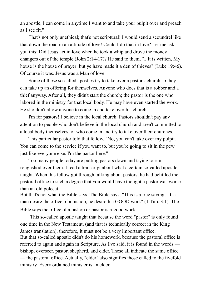an apostle, I can come in anytime I want to and take your pulpit over and preach as I see fit."

That's not only unethical; that's not scriptural! I would send a scoundrel like that down the road in an attitude of love! Could I do that in love? Let me ask you this: Did Jesus act in love when he took a whip and drove the money changers out of the temple (John 2:14-17)? He said to them, "... It is written, My house is the house of prayer: but ye have made it a den of thieves" (Luke 19:46). Of course it was. Jesus was a Man of love.

Some of these so-called apostles try to take over a pastor's church so they can take up an offering for themselves. Anyone who does that is a robber and a thief anyway. After all, they didn't start the church; the pastor is the one who labored in the ministry for that local body. He may have even started the work. He shouldn't allow anyone to come in and take over his church.

I'm for pastors! I believe in the local church. Pastors shouldn't pay any attention to people who don't believe in the local church and aren't committed to a local body themselves, or who come in and try to take over their churches.

This particular pastor told that fellow, "No, you can't take over my pulpit. You can come to the service if you want to, but you're going to sit in the pew just like everyone else. I'm the pastor here."

Too many people today are putting pastors down and trying to run roughshod over them. I read a transcript about what a certain so-called apostle taught. When this fellow got through talking about pastors, he had belittled the pastoral office to such a degree that you would have thought a pastor was worse than an old polecat!

But that's not what the Bible says. The Bible says, "This is a true saying, I f a man desire the office of a bishop, he desireth a GOOD work" (1 Tim. 3:1). The Bible says the office of a bishop or pastor is a good work.

This so-called apostle taught that because the word "pastor" is only found one time in the New Testament, (and that is technically correct in the King James translation), therefore, it must not be a very important office. But that so-called apostle didn't do his homework, because the pastoral office is referred to again and again in Scripture. As I've said, it is found in the words bishop, overseer, pastor, shepherd, and elder. These all indicate the same office — the pastoral office. Actually, "elder" also signifies those called to the fivefold ministry. Every ordained minister is an elder.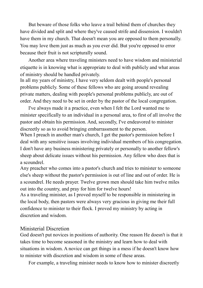But beware of those folks who leave a trail behind them of churches they have divided and split and where they've caused strife and dissension. I wouldn't have them in my church. That doesn't mean you are opposed to them personally. You may love them just as much as you ever did. But you're opposed to error because their fruit is not scripturally sound.

Another area where traveling ministers need to have wisdom and ministerial etiquette is in knowing what is appropriate to deal with publicly and what areas of ministry should be handled privately.

In all my years of ministry, I have very seldom dealt with people's personal problems publicly. Some of these fellows who are going around revealing private matters, dealing with people's personal problems publicly, are out of order. And they need to be set in order by the pastor of the local congregation.

I've always made it a practice, even when I felt the Lord wanted me to minister specifically to an individual in a personal area, to first of all involve the pastor and obtain his permission. And, secondly, I've endeavored to minister discreetly so as to avoid bringing embarrassment to the person.

When I preach in another man's church, I get the pastor's permission before I deal with any sensitive issues involving individual members of his congregation. I don't have any business ministering privately or personally to another fellow's sheep about delicate issues without his permission. Any fellow who does that is a scoundrel.

Any preacher who comes into a pastor's church and tries to minister to someone else's sheep without the pastor's permission is out of line and out of order. He is a scoundrel. He needs prayer. Twelve grown men should take him twelve miles out into the country, and pray for him for twelve hours!

As a traveling minister, as I proved myself to be responsible in ministering in the local body, then pastors were always very gracious in giving me their full confidence to minister to their flock. I proved my ministry by acting in discretion and wisdom.

#### Ministerial Discretion

God doesn't put novices in positions of authority. One reason He doesn't is that it takes time to become seasoned in the ministry and learn how to deal with situations in wisdom. A novice can get things in a mess if he doesn't know how to minister with discretion and wisdom in some of these areas.

For example, a traveling minister needs to know how to minister discreetly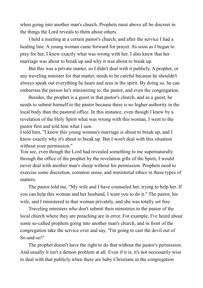when going into another man's church. Prophets must above all be discreet in the things the Lord reveals to them about others.

I held a meeting at a certain pastor's church, and after the service I had a healing line. A young woman came forward for prayer. As soon as I began to pray for her, I knew exactly what was wrong with her. I also knew that her marriage was about to break up and why it was about to break up.

But this was a private matter, so I didn't deal with it publicly. A prophet, or any traveling minister for that matter, needs to be careful because he shouldn't always speak out everything he hears and sees in the spirit. By doing so, he can embarrass the person he's ministering to, the pastor, and even the congregation.

Besides, the prophet is a guest in that pastor's church, and as a guest, he needs to submit himself to the pastor because there is no higher authority in the local body than the pastoral office. In this instance, even though I knew by a revelation of the Holy Spirit what was wrong with this woman, I went to the pastor first and told him what I saw.

I told him, "I know this young woman's marriage is about to break up, and I know exactly why it's about to break up. But I won't deal with this situation without your permission."

You see, even though the Lord had revealed something to me supernaturally through the office of the prophet by the revelation gifts of the Spirit, I would never deal with another man's sheep without his permission. Prophets need to exercise some discretion, common sense, and ministerial ethics in these types of matters.

The pastor told me, "My wife and I have counseled her, trying to help her. If you can help this woman and her husband, I want you to do it." The pastor, his wife, and I ministered to that woman privately, and she was totally set free.

Traveling ministers who don't submit their ministries to the pastor of the local church where they are preaching are in error. For example, I've heard about some so-called prophets going into another man's church, and in front of the congregation take the service over and say, "I'm going to cast the devil out of So-and-so!"

The prophet doesn't have the right to do that without the pastor's permission. And usually it isn't a demon problem at all. Even if it is, it's not necessarily wise to deal with that publicly when there are baby Christians in the congregation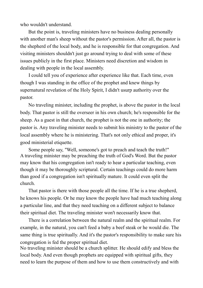who wouldn't understand.

But the point is, traveling ministers have no business dealing personally with another man's sheep without the pastor's permission. After all, the pastor is the shepherd of the local body, and he is responsible for that congregation. And visiting ministers shouldn't just go around trying to deal with some of these issues publicly in the first place. Ministers need discretion and wisdom in dealing with people in the local assembly.

I could tell you of experience after experience like that. Each time, even though I was standing in the office of the prophet and knew things by supernatural revelation of the Holy Spirit, I didn't usurp authority over the pastor.

No traveling minister, including the prophet, is above the pastor in the local body. That pastor is still the overseer in his own church; he's responsible for the sheep. As a guest in that church, the prophet is not the one in authority; the pastor is. Any traveling minister needs to submit his ministry to the pastor of the local assembly where he is ministering. That's not only ethical and proper, it's good ministerial etiquette.

Some people say, "Well, someone's got to preach and teach the truth!" A traveling minister may be preaching the truth of God's Word. But the pastor may know that his congregation isn't ready to hear a particular teaching, even though it may be thoroughly scriptural. Certain teachings could do more harm than good if a congregation isn't spiritually mature. It could even split the church.

That pastor is there with those people all the time. If he is a true shepherd, he knows his people. Or he may know the people have had much teaching along a particular line, and that they need teaching on a different subject to balance their spiritual diet. The traveling minister won't necessarily know that.

There is a correlation between the natural realm and the spiritual realm. For example, in the natural, you can't feed a baby a beef steak or he would die. The same thing is true spiritually. And it's the pastor's responsibility to make sure his congregation is fed the proper spiritual diet.

No traveling minister should be a church splitter. He should edify and bless the local body. And even though prophets are equipped with spiritual gifts, they need to learn the purpose of them and how to use them constructively and with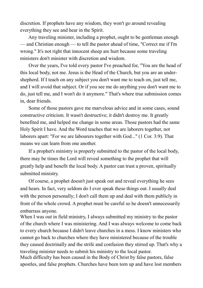discretion. If prophets have any wisdom, they won't go around revealing everything they see and hear in the Spirit.

Any traveling minister, including a prophet, ought to be gentleman enough — and Christian enough — to tell the pastor ahead of time, "Correct me if I'm wrong." It's not right that innocent sheep are hurt because some traveling ministers don't minister with discretion and wisdom.

Over the years, I've told every pastor I've preached for, "You are the head of this local body, not me. Jesus is the Head of the Church, but you are an undershepherd. If I teach on any subject you don't want me to teach on, just tell me, and I will avoid that subject. Or if you see me do anything you don't want me to do, just tell me, and I won't do it anymore." That's where true submission comes in, dear friends.

Some of those pastors gave me marvelous advice and in some cases, sound constructive criticism. It wasn't destructive; it didn't destroy me. It greatly benefited me, and helped me change in some areas. Those pastors had the same Holy Spirit I have. And the Word teaches that we are laborers together, not laborers apart: "For we are labourers together with God..." (1 Cor. 3:9). That means we can learn from one another.

If a prophet's ministry is properly submitted to the pastor of the local body, there may be times the Lord will reveal something to the prophet that will greatly help and benefit the local body. A pastor can trust a proven, spiritually submitted ministry.

Of course, a prophet doesn't just speak out and reveal everything he sees and hears. In fact, very seldom do I ever speak these things out. I usually deal with the person personally; I don't call them up and deal with them publicly in front of the whole crowd. A prophet must be careful so he doesn't unnecessarily embarrass anyone.

When I was out in field ministry. I always submitted my ministry to the pastor of the church where I was ministering. And I was always welcome to come back to every church because I didn't leave churches in a mess. I know ministers who cannot go back to churches where they have ministered because of the trouble they caused doctrinally and the strife and confusion they stirred up. That's why a traveling minister needs to submit his ministry to the local pastor. Much difficulty has been caused in the Body of Christ by false pastors, false apostles, and false prophets. Churches have been torn up and have lost members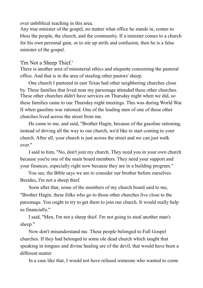over unbiblical teaching in this area.

Any true minister of the gospel, no matter what office he stands in, comes to bless the people, the church, and the community. If a minister comes to a church for his own personal gain, or to stir up strife and confusion, then he is a false minister of the gospel.

# 'I'm Not a Sheep Thief.'

There is another area of ministerial ethics and etiquette concerning the pastoral office. And that is in the area of stealing other pastors' sheep.

One church I pastored in east Texas had other neighboring churches close by. Three families that lived near my parsonage attended these other churches. These other churches didn't have services on Thursday night when we did, so these families came to our Thursday night meetings. This was during World War II when gasoline was rationed. One of the leading men of one of these other churches lived across the street from me.

He came to me, and said, "Brother Hagin, because of the gasoline rationing, instead of driving all the way to our church, we'd like to start coming to your church. After all, your church is just across the street and we can just walk over."

I said to him, "No, don't join my church. They need you in your own church because you're one of the main board members. They need your support and your finances, especially right now because they are in a building program."

You see, the Bible says we are to consider our brother before ourselves. Besides, I'm not a sheep thief.

Soon after that, some of the members of my church board said to me, "Brother Hagin, these folks who go to those other churches live close to the parsonage. You ought to try to get them to join our church. It would really help us financially."

I said, "Men, I'm not a sheep thief. I'm not going to steal another man's sheep."

Now don't misunderstand me. These people belonged to Full Gospel churches. If they had belonged to some ole dead church which taught that speaking in tongues and divine healing are of the devil, that would have been a different matter.

In a case like that, I would not have refused someone who wanted to come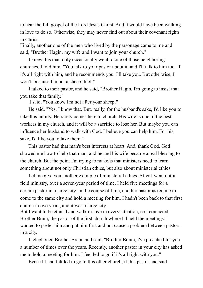to hear the full gospel of the Lord Jesus Christ. And it would have been walking in love to do so. Otherwise, they may never find out about their covenant rights in Christ.

Finally, another one of the men who lived by the parsonage came to me and said, "Brother Hagin, my wife and I want to join your church."

I knew this man only occasionally went to one of those neighboring churches. I told him, "You talk to your pastor about it, and I'll talk to him too. If it's all right with him, and he recommends you, I'll take you. But otherwise, I won't, because I'm not a sheep thief."

I talked to their pastor, and he said, "Brother Hagin, I'm going to insist that you take that family."

I said, "You know I'm not after your sheep."

He said, "Yes, I know that. But, really, for the husband's sake, I'd like you to take this family. He rarely comes here to church. His wife is one of the best workers in my church, and it will be a sacrifice to lose her. But maybe you can influence her husband to walk with God. I believe you can help him. For his sake, I'd like you to take them."

This pastor had that man's best interests at heart. And, thank God, God showed me how to help that man, and he and his wife became a real blessing to the church. But the point I'm trying to make is that ministers need to learn something about not only Christian ethics, but also about ministerial ethics.

Let me give you another example of ministerial ethics. After I went out in field ministry, over a seven-year period of time, I held five meetings for a certain pastor in a large city. In the course of time, another pastor asked me to come to the same city and hold a meeting for him. I hadn't been back to that first church in two years, and it was a large city.

But I want to be ethical and walk in love in every situation, so I contacted Brother Brain, the pastor of the first church where I'd held the meetings. I wanted to prefer him and put him first and not cause a problem between pastors in a city.

I telephoned Brother Braun and said, "Brother Braun, I've preached for you a number of times over the years. Recently, another pastor in your city has asked me to hold a meeting for him. I feel led to go if it's all right with you."

Even if I had felt led to go to this other church, if this pastor had said,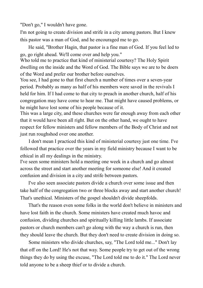"Don't go," I wouldn't have gone.

I'm not going to create division and strife in a city among pastors. But I knew this pastor was a man of God, and he encouraged me to go.

He said, "Brother Hagin, that pastor is a fine man of God. If you feel led to go, go right ahead. We'll come over and help you."

Who told me to practice that kind of ministerial courtesy? The Holy Spirit dwelling on the inside and the Word of God. The Bible says we are to be doers of the Word and prefer our brother before ourselves.

You see, I had gone to that first church a number of times over a seven-year period. Probably as many as half of his members were saved in the revivals I held for him. If I had come to that city to preach in another church, half of his congregation may have come to hear me. That might have caused problems, or he might have lost some of his people because of it.

This was a large city, and these churches were far enough away from each other that it would have been all right. But on the other hand, we ought to have respect for fellow ministers and fellow members of the Body of Christ and not just run roughshod over one another.

I don't mean I practiced this kind of ministerial courtesy just one time. I've followed that practice over the years in my field ministry because I want to be ethical in all my dealings in the ministry.

I've seen some ministers hold a meeting one week in a church and go almost across the street and start another meeting for someone else! And it created confusion and division in a city and strife between pastors.

I've also seen associate pastors divide a church over some issue and then take half of the congregation two or three blocks away and start another church! That's unethical. Ministers of the gospel shouldn't divide sheepfolds.

That's the reason even some folks in the world don't believe in ministers and have lost faith in the church. Some ministers have created much havoc and confusion, dividing churches and spiritually killing little lambs. If associate pastors or church members can't go along with the way a church is run, then they should leave the church. But they don't need to create division in doing so.

Some ministers who divide churches, say, "The Lord told me..." Don't lay that off on the Lord! He's not that way. Some people try to get out of the wrong things they do by using the excuse, "The Lord told me to do it." The Lord never told anyone to be a sheep thief or to divide a church.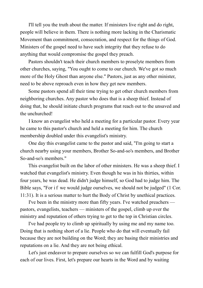I'll tell you the truth about the matter. If ministers live right and do right, people will believe in them. There is nothing more lacking in the Charismatic Movement than commitment, consecration, and respect for the things of God. Ministers of the gospel need to have such integrity that they refuse to do anything that would compromise the gospel they preach.

Pastors shouldn't teach their church members to proselyte members from other churches, saying, "You ought to come to our church. We've got so much more of the Holy Ghost than anyone else." Pastors, just as any other minister, need to be above reproach even in how they get new members.

Some pastors spend all their time trying to get other church members from neighboring churches. Any pastor who does that is a sheep thief. Instead of doing that, he should initiate church programs that reach out to the unsaved and the unchurched!

I know an evangelist who held a meeting for a particular pastor. Every year he came to this pastor's church and held a meeting for him. The church membership doubled under this evangelist's ministry.

One day this evangelist came to the pastor and said, "I'm going to start a church nearby using your members, Brother So-and-so's members, and Brother So-and-so's members."

This evangelist built on the labor of other ministers. He was a sheep thief. I watched that evangelist's ministry. Even though he was in his thirties, within four years, he was dead. He didn't judge himself, so God had to judge him. The Bible says, "For i f we would judge ourselves, we should not be judged" (1 Cor. 11:31). It is a serious matter to hurt the Body of Christ by unethical practices.

I've been in the ministry more than fifty years. I've watched preachers pastors, evangelists, teachers — ministers of the gospel, climb up over the ministry and reputation of others trying to get to the top in Christian circles.

I've had people try to climb up spiritually by using me and my name too. Doing that is nothing short of a lie. People who do that will eventually fail because they are not building on the Word; they are basing their ministries and reputations on a lie. And they are not being ethical.

Let's just endeavor to prepare ourselves so we can fulfill God's purpose for each of our lives. First, let's prepare our hearts in the Word and by waiting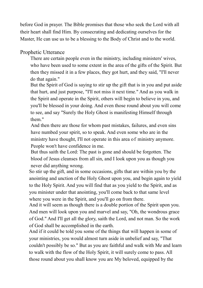before God in prayer. The Bible promises that those who seek the Lord with all their heart shall find Him. By consecrating and dedicating ourselves for the Master, He can use us to be a blessing to the Body of Christ and to the world.

## Prophetic Utterance

There are certain people even in the ministry, including ministers' wives, who have been used to some extent in the area of the gifts of the Spirit. But then they missed it in a few places, they got hurt, and they said, "I'll never do that again."

But the Spirit of God is saying to stir up the gift that is in you and put aside that hurt, and just purpose, "I'll not miss it next time." And as you walk in the Spirit and operate in the Spirit, others will begin to believe in you, and you'll be blessed in your doing. And even those round about you will come to see, and say "Surely the Holy Ghost is manifesting Himself through them."

And then there are those for whom past mistakes, failures, and even sins have numbed your spirit, so to speak. And even some who are in the ministry have thought, I'll not operate in this area of ministry anymore. People won't have confidence in me.

But thus saith the Lord: The past is gone and should be forgotten. The blood of Jesus cleanses from all sin, and I look upon you as though you never did anything wrong.

So stir up the gift, and in some occasions, gifts that are within you by the anointing and unction of the Holy Ghost upon you, and begin again to yield to the Holy Spirit. And you will find that as you yield to the Spirit, and as you minister under that anointing, you'll come back to that same level where you were in the Spirit, and you'll go on from there.

And it will seem as though there is a double portion of the Spirit upon you. And men will look upon you and marvel and say, "Oh, the wondrous grace of God." And I'll get all the glory, saith the Lord, and not man. So the work of God shall be accomplished in the earth.

And if it could be told you some of the things that will happen in some of your ministries, you would almost turn aside in unbelief and say, "That couldn't possibly be so." But as you are faithful and walk with Me and learn to walk with the flow of the Holy Spirit, it will surely come to pass. All those round about you shall know you are My beloved, equipped by the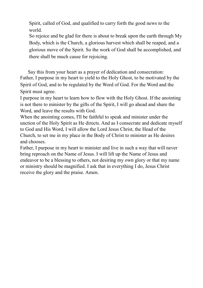Spirit, called of God, and qualified to carry forth the good news to the world.

So rejoice and be glad for there is about to break upon the earth through My Body, which is the Church, a glorious harvest which shall be reaped, and a glorious move of the Spirit. So the work of God shall be accomplished, and there shall be much cause for rejoicing.

Say this from your heart as a prayer of dedication and consecration: Father, I purpose in my heart to yield to the Holy Ghost, to be motivated by the Spirit of God, and to be regulated by the Word of God. For the Word and the Spirit must agree.

I purpose in my heart to learn how to flow with the Holy Ghost. If the anointing is not there to minister by the gifts of the Spirit, I will go ahead and share the Word, and leave the results with God.

When the anointing comes, I'll be faithful to speak and minister under the unction of the Holy Spirit as He directs. And as I consecrate and dedicate myself to God and His Word, I will allow the Lord Jesus Christ, the Head of the Church, to set me in my place in the Body of Christ to minister as He desires and chooses.

Father, I purpose in my heart to minister and live in such a way that will never bring reproach on the Name of Jesus. I will lift up the Name of Jesus and endeavor to be a blessing to others, not desiring my own glory or that my name or ministry should be magnified. I ask that in everything I do, Jesus Christ receive the glory and the praise. Amen.